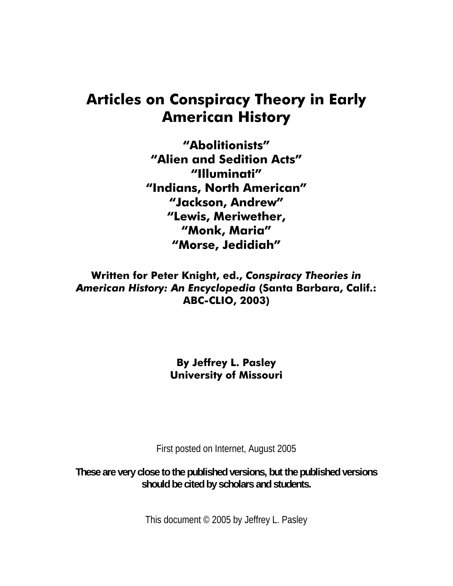# **Articles on Conspiracy Theory in Early American History**

**"Abolitionists" "Alien and Sedition Acts" "Illuminati" "Indians, North American" "Jackson, Andrew" "Lewis, Meriwether, "Monk, Maria" "Morse, Jedidiah"** 

### **Written for Peter Knight, ed.,** *Conspiracy Theories in American History: An Encyclopedia* **(Santa Barbara, Calif.: ABC-CLIO, 2003)**

**By Jeffrey L. Pasley University of Missouri** 

First posted on Internet, August 2005

**These are very close to the published versions, but the published versions should be cited by scholars and students.** 

This document © 2005 by Jeffrey L. Pasley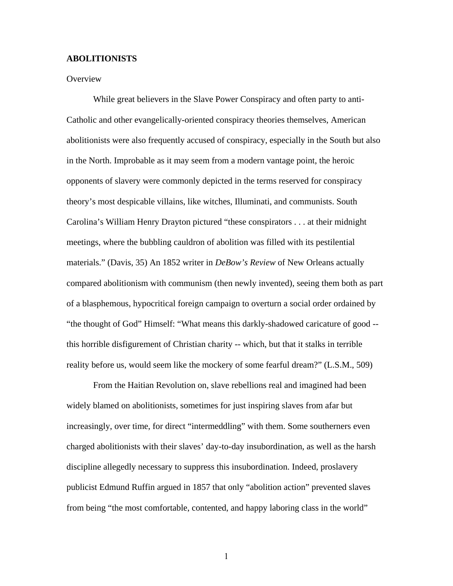#### **ABOLITIONISTS**

#### **Overview**

 While great believers in the Slave Power Conspiracy and often party to anti-Catholic and other evangelically-oriented conspiracy theories themselves, American abolitionists were also frequently accused of conspiracy, especially in the South but also in the North. Improbable as it may seem from a modern vantage point, the heroic opponents of slavery were commonly depicted in the terms reserved for conspiracy theory's most despicable villains, like witches, Illuminati, and communists. South Carolina's William Henry Drayton pictured "these conspirators . . . at their midnight meetings, where the bubbling cauldron of abolition was filled with its pestilential materials." (Davis, 35) An 1852 writer in *DeBow's Review* of New Orleans actually compared abolitionism with communism (then newly invented), seeing them both as part of a blasphemous, hypocritical foreign campaign to overturn a social order ordained by "the thought of God" Himself: "What means this darkly-shadowed caricature of good - this horrible disfigurement of Christian charity -- which, but that it stalks in terrible reality before us, would seem like the mockery of some fearful dream?" (L.S.M., 509)

 From the Haitian Revolution on, slave rebellions real and imagined had been widely blamed on abolitionists, sometimes for just inspiring slaves from afar but increasingly, over time, for direct "intermeddling" with them. Some southerners even charged abolitionists with their slaves' day-to-day insubordination, as well as the harsh discipline allegedly necessary to suppress this insubordination. Indeed, proslavery publicist Edmund Ruffin argued in 1857 that only "abolition action" prevented slaves from being "the most comfortable, contented, and happy laboring class in the world"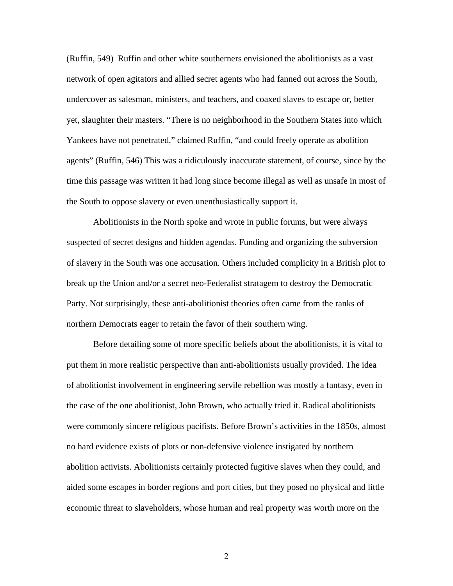(Ruffin, 549) Ruffin and other white southerners envisioned the abolitionists as a vast network of open agitators and allied secret agents who had fanned out across the South, undercover as salesman, ministers, and teachers, and coaxed slaves to escape or, better yet, slaughter their masters. "There is no neighborhood in the Southern States into which Yankees have not penetrated," claimed Ruffin, "and could freely operate as abolition agents" (Ruffin, 546) This was a ridiculously inaccurate statement, of course, since by the time this passage was written it had long since become illegal as well as unsafe in most of the South to oppose slavery or even unenthusiastically support it.

Abolitionists in the North spoke and wrote in public forums, but were always suspected of secret designs and hidden agendas. Funding and organizing the subversion of slavery in the South was one accusation. Others included complicity in a British plot to break up the Union and/or a secret neo-Federalist stratagem to destroy the Democratic Party. Not surprisingly, these anti-abolitionist theories often came from the ranks of northern Democrats eager to retain the favor of their southern wing.

Before detailing some of more specific beliefs about the abolitionists, it is vital to put them in more realistic perspective than anti-abolitionists usually provided. The idea of abolitionist involvement in engineering servile rebellion was mostly a fantasy, even in the case of the one abolitionist, John Brown, who actually tried it. Radical abolitionists were commonly sincere religious pacifists. Before Brown's activities in the 1850s, almost no hard evidence exists of plots or non-defensive violence instigated by northern abolition activists. Abolitionists certainly protected fugitive slaves when they could, and aided some escapes in border regions and port cities, but they posed no physical and little economic threat to slaveholders, whose human and real property was worth more on the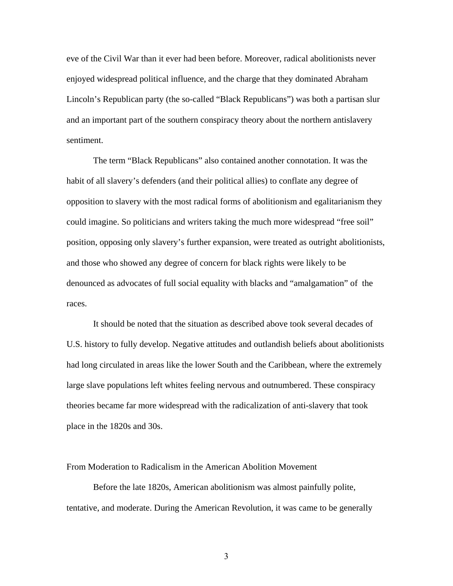eve of the Civil War than it ever had been before. Moreover, radical abolitionists never enjoyed widespread political influence, and the charge that they dominated Abraham Lincoln's Republican party (the so-called "Black Republicans") was both a partisan slur and an important part of the southern conspiracy theory about the northern antislavery sentiment.

The term "Black Republicans" also contained another connotation. It was the habit of all slavery's defenders (and their political allies) to conflate any degree of opposition to slavery with the most radical forms of abolitionism and egalitarianism they could imagine. So politicians and writers taking the much more widespread "free soil" position, opposing only slavery's further expansion, were treated as outright abolitionists, and those who showed any degree of concern for black rights were likely to be denounced as advocates of full social equality with blacks and "amalgamation" of the races.

 It should be noted that the situation as described above took several decades of U.S. history to fully develop. Negative attitudes and outlandish beliefs about abolitionists had long circulated in areas like the lower South and the Caribbean, where the extremely large slave populations left whites feeling nervous and outnumbered. These conspiracy theories became far more widespread with the radicalization of anti-slavery that took place in the 1820s and 30s.

#### From Moderation to Radicalism in the American Abolition Movement

Before the late 1820s, American abolitionism was almost painfully polite, tentative, and moderate. During the American Revolution, it was came to be generally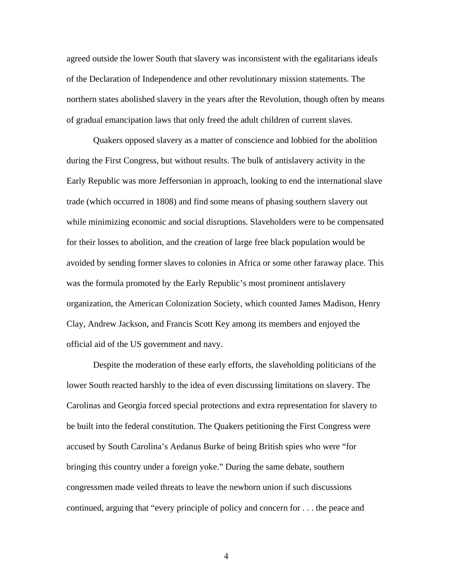agreed outside the lower South that slavery was inconsistent with the egalitarians ideals of the Declaration of Independence and other revolutionary mission statements. The northern states abolished slavery in the years after the Revolution, though often by means of gradual emancipation laws that only freed the adult children of current slaves.

Quakers opposed slavery as a matter of conscience and lobbied for the abolition during the First Congress, but without results. The bulk of antislavery activity in the Early Republic was more Jeffersonian in approach, looking to end the international slave trade (which occurred in 1808) and find some means of phasing southern slavery out while minimizing economic and social disruptions. Slaveholders were to be compensated for their losses to abolition, and the creation of large free black population would be avoided by sending former slaves to colonies in Africa or some other faraway place. This was the formula promoted by the Early Republic's most prominent antislavery organization, the American Colonization Society, which counted James Madison, Henry Clay, Andrew Jackson, and Francis Scott Key among its members and enjoyed the official aid of the US government and navy.

 Despite the moderation of these early efforts, the slaveholding politicians of the lower South reacted harshly to the idea of even discussing limitations on slavery. The Carolinas and Georgia forced special protections and extra representation for slavery to be built into the federal constitution. The Quakers petitioning the First Congress were accused by South Carolina's Aedanus Burke of being British spies who were "for bringing this country under a foreign yoke." During the same debate, southern congressmen made veiled threats to leave the newborn union if such discussions continued, arguing that "every principle of policy and concern for . . . the peace and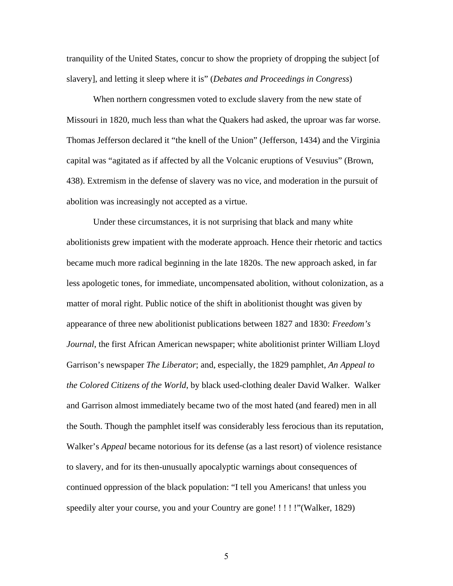tranquility of the United States, concur to show the propriety of dropping the subject [of slavery], and letting it sleep where it is" (*Debates and Proceedings in Congress*)

When northern congressmen voted to exclude slavery from the new state of Missouri in 1820, much less than what the Quakers had asked, the uproar was far worse. Thomas Jefferson declared it "the knell of the Union" (Jefferson, 1434) and the Virginia capital was "agitated as if affected by all the Volcanic eruptions of Vesuvius" (Brown, 438). Extremism in the defense of slavery was no vice, and moderation in the pursuit of abolition was increasingly not accepted as a virtue.

 Under these circumstances, it is not surprising that black and many white abolitionists grew impatient with the moderate approach. Hence their rhetoric and tactics became much more radical beginning in the late 1820s. The new approach asked, in far less apologetic tones, for immediate, uncompensated abolition, without colonization, as a matter of moral right. Public notice of the shift in abolitionist thought was given by appearance of three new abolitionist publications between 1827 and 1830: *Freedom's Journal*, the first African American newspaper; white abolitionist printer William Lloyd Garrison's newspaper *The Liberator*; and, especially, the 1829 pamphlet, *An Appeal to the Colored Citizens of the World*, by black used-clothing dealer David Walker. Walker and Garrison almost immediately became two of the most hated (and feared) men in all the South. Though the pamphlet itself was considerably less ferocious than its reputation, Walker's *Appeal* became notorious for its defense (as a last resort) of violence resistance to slavery, and for its then-unusually apocalyptic warnings about consequences of continued oppression of the black population: "I tell you Americans! that unless you speedily alter your course, you and your Country are gone! ! ! ! !"(Walker, 1829)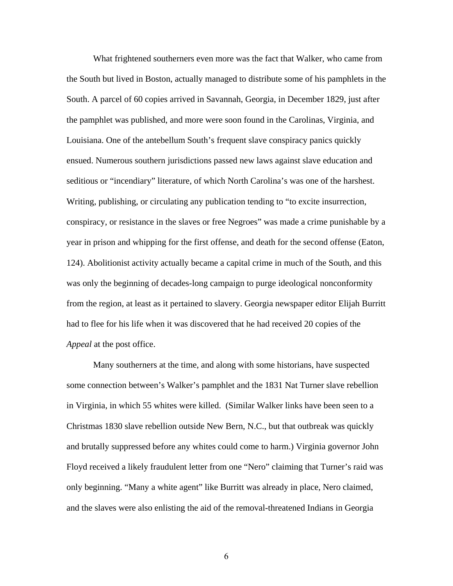What frightened southerners even more was the fact that Walker, who came from the South but lived in Boston, actually managed to distribute some of his pamphlets in the South. A parcel of 60 copies arrived in Savannah, Georgia, in December 1829, just after the pamphlet was published, and more were soon found in the Carolinas, Virginia, and Louisiana. One of the antebellum South's frequent slave conspiracy panics quickly ensued. Numerous southern jurisdictions passed new laws against slave education and seditious or "incendiary" literature, of which North Carolina's was one of the harshest. Writing, publishing, or circulating any publication tending to "to excite insurrection, conspiracy, or resistance in the slaves or free Negroes" was made a crime punishable by a year in prison and whipping for the first offense, and death for the second offense (Eaton, 124). Abolitionist activity actually became a capital crime in much of the South, and this was only the beginning of decades-long campaign to purge ideological nonconformity from the region, at least as it pertained to slavery. Georgia newspaper editor Elijah Burritt had to flee for his life when it was discovered that he had received 20 copies of the *Appeal* at the post office.

Many southerners at the time, and along with some historians, have suspected some connection between's Walker's pamphlet and the 1831 Nat Turner slave rebellion in Virginia, in which 55 whites were killed. (Similar Walker links have been seen to a Christmas 1830 slave rebellion outside New Bern, N.C., but that outbreak was quickly and brutally suppressed before any whites could come to harm.) Virginia governor John Floyd received a likely fraudulent letter from one "Nero" claiming that Turner's raid was only beginning. "Many a white agent" like Burritt was already in place, Nero claimed, and the slaves were also enlisting the aid of the removal-threatened Indians in Georgia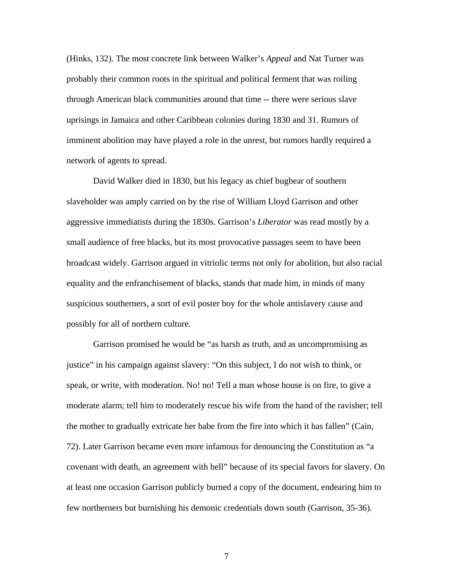(Hinks, 132). The most concrete link between Walker's *Appeal* and Nat Turner was probably their common roots in the spiritual and political ferment that was roiling through American black communities around that time -- there were serious slave uprisings in Jamaica and other Caribbean colonies during 1830 and 31. Rumors of imminent abolition may have played a role in the unrest, but rumors hardly required a network of agents to spread.

David Walker died in 1830, but his legacy as chief bugbear of southern slaveholder was amply carried on by the rise of William Lloyd Garrison and other aggressive immediatists during the 1830s. Garrison's *Liberator* was read mostly by a small audience of free blacks, but its most provocative passages seem to have been broadcast widely. Garrison argued in vitriolic terms not only for abolition, but also racial equality and the enfranchisement of blacks, stands that made him, in minds of many suspicious southerners, a sort of evil poster boy for the whole antislavery cause and possibly for all of northern culture.

Garrison promised he would be "as harsh as truth, and as uncompromising as justice" in his campaign against slavery: "On this subject, I do not wish to think, or speak, or write, with moderation. No! no! Tell a man whose house is on fire, to give a moderate alarm; tell him to moderately rescue his wife from the hand of the ravisher; tell the mother to gradually extricate her babe from the fire into which it has fallen" (Cain, 72). Later Garrison became even more infamous for denouncing the Constitution as "a covenant with death, an agreement with hell" because of its special favors for slavery. On at least one occasion Garrison publicly burned a copy of the document, endearing him to few northerners but burnishing his demonic credentials down south (Garrison, 35-36).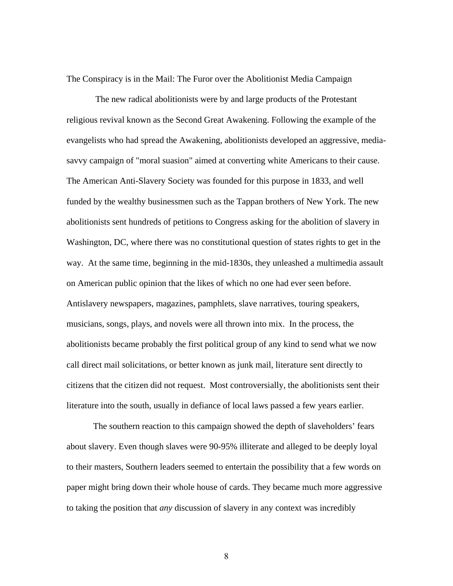The Conspiracy is in the Mail: The Furor over the Abolitionist Media Campaign

 The new radical abolitionists were by and large products of the Protestant religious revival known as the Second Great Awakening. Following the example of the evangelists who had spread the Awakening, abolitionists developed an aggressive, mediasavvy campaign of "moral suasion" aimed at converting white Americans to their cause. The American Anti-Slavery Society was founded for this purpose in 1833, and well funded by the wealthy businessmen such as the Tappan brothers of New York. The new abolitionists sent hundreds of petitions to Congress asking for the abolition of slavery in Washington, DC, where there was no constitutional question of states rights to get in the way. At the same time, beginning in the mid-1830s, they unleashed a multimedia assault on American public opinion that the likes of which no one had ever seen before. Antislavery newspapers, magazines, pamphlets, slave narratives, touring speakers, musicians, songs, plays, and novels were all thrown into mix. In the process, the abolitionists became probably the first political group of any kind to send what we now call direct mail solicitations, or better known as junk mail, literature sent directly to citizens that the citizen did not request. Most controversially, the abolitionists sent their literature into the south, usually in defiance of local laws passed a few years earlier.

The southern reaction to this campaign showed the depth of slaveholders' fears about slavery. Even though slaves were 90-95% illiterate and alleged to be deeply loyal to their masters, Southern leaders seemed to entertain the possibility that a few words on paper might bring down their whole house of cards. They became much more aggressive to taking the position that *any* discussion of slavery in any context was incredibly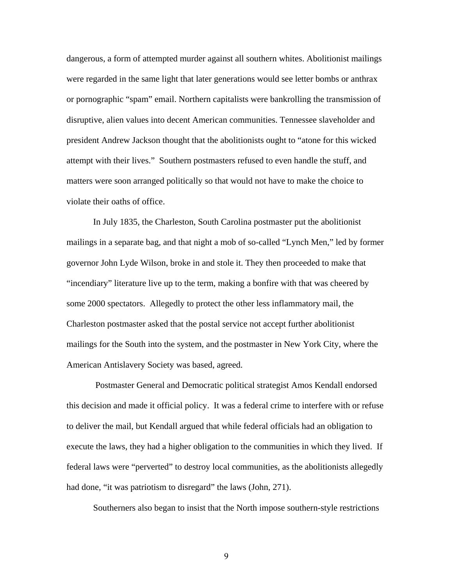dangerous, a form of attempted murder against all southern whites. Abolitionist mailings were regarded in the same light that later generations would see letter bombs or anthrax or pornographic "spam" email. Northern capitalists were bankrolling the transmission of disruptive, alien values into decent American communities. Tennessee slaveholder and president Andrew Jackson thought that the abolitionists ought to "atone for this wicked attempt with their lives." Southern postmasters refused to even handle the stuff, and matters were soon arranged politically so that would not have to make the choice to violate their oaths of office.

In July 1835, the Charleston, South Carolina postmaster put the abolitionist mailings in a separate bag, and that night a mob of so-called "Lynch Men," led by former governor John Lyde Wilson, broke in and stole it. They then proceeded to make that "incendiary" literature live up to the term, making a bonfire with that was cheered by some 2000 spectators. Allegedly to protect the other less inflammatory mail, the Charleston postmaster asked that the postal service not accept further abolitionist mailings for the South into the system, and the postmaster in New York City, where the American Antislavery Society was based, agreed.

 Postmaster General and Democratic political strategist Amos Kendall endorsed this decision and made it official policy. It was a federal crime to interfere with or refuse to deliver the mail, but Kendall argued that while federal officials had an obligation to execute the laws, they had a higher obligation to the communities in which they lived. If federal laws were "perverted" to destroy local communities, as the abolitionists allegedly had done, "it was patriotism to disregard" the laws (John, 271).

Southerners also began to insist that the North impose southern-style restrictions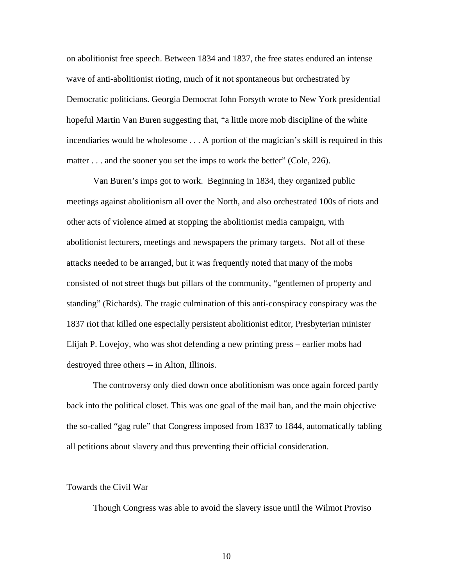on abolitionist free speech. Between 1834 and 1837, the free states endured an intense wave of anti-abolitionist rioting, much of it not spontaneous but orchestrated by Democratic politicians. Georgia Democrat John Forsyth wrote to New York presidential hopeful Martin Van Buren suggesting that, "a little more mob discipline of the white incendiaries would be wholesome . . . A portion of the magician's skill is required in this matter . . . and the sooner you set the imps to work the better" (Cole, 226).

Van Buren's imps got to work. Beginning in 1834, they organized public meetings against abolitionism all over the North, and also orchestrated 100s of riots and other acts of violence aimed at stopping the abolitionist media campaign, with abolitionist lecturers, meetings and newspapers the primary targets. Not all of these attacks needed to be arranged, but it was frequently noted that many of the mobs consisted of not street thugs but pillars of the community, "gentlemen of property and standing" (Richards). The tragic culmination of this anti-conspiracy conspiracy was the 1837 riot that killed one especially persistent abolitionist editor, Presbyterian minister Elijah P. Lovejoy, who was shot defending a new printing press – earlier mobs had destroyed three others -- in Alton, Illinois.

The controversy only died down once abolitionism was once again forced partly back into the political closet. This was one goal of the mail ban, and the main objective the so-called "gag rule" that Congress imposed from 1837 to 1844, automatically tabling all petitions about slavery and thus preventing their official consideration.

#### Towards the Civil War

Though Congress was able to avoid the slavery issue until the Wilmot Proviso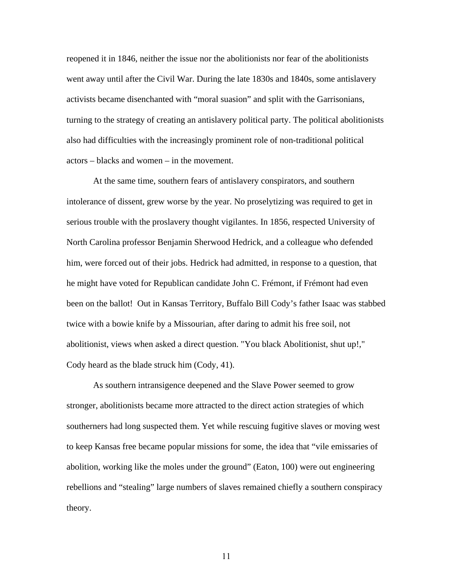reopened it in 1846, neither the issue nor the abolitionists nor fear of the abolitionists went away until after the Civil War. During the late 1830s and 1840s, some antislavery activists became disenchanted with "moral suasion" and split with the Garrisonians, turning to the strategy of creating an antislavery political party. The political abolitionists also had difficulties with the increasingly prominent role of non-traditional political actors – blacks and women – in the movement.

At the same time, southern fears of antislavery conspirators, and southern intolerance of dissent, grew worse by the year. No proselytizing was required to get in serious trouble with the proslavery thought vigilantes. In 1856, respected University of North Carolina professor Benjamin Sherwood Hedrick, and a colleague who defended him, were forced out of their jobs. Hedrick had admitted, in response to a question, that he might have voted for Republican candidate John C. Frémont, if Frémont had even been on the ballot! Out in Kansas Territory, Buffalo Bill Cody's father Isaac was stabbed twice with a bowie knife by a Missourian, after daring to admit his free soil, not abolitionist, views when asked a direct question. "You black Abolitionist, shut up!," Cody heard as the blade struck him (Cody, 41).

As southern intransigence deepened and the Slave Power seemed to grow stronger, abolitionists became more attracted to the direct action strategies of which southerners had long suspected them. Yet while rescuing fugitive slaves or moving west to keep Kansas free became popular missions for some, the idea that "vile emissaries of abolition, working like the moles under the ground" (Eaton, 100) were out engineering rebellions and "stealing" large numbers of slaves remained chiefly a southern conspiracy theory.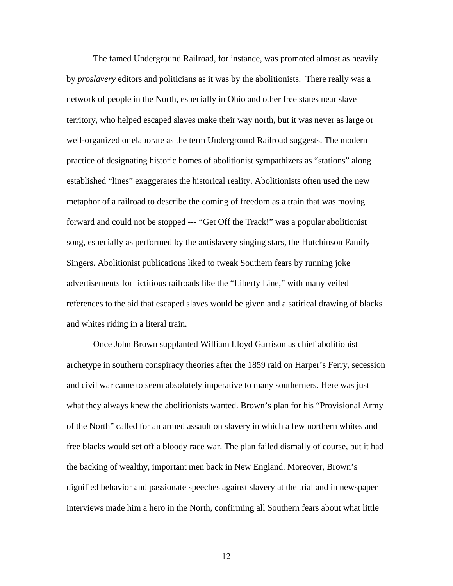The famed Underground Railroad, for instance, was promoted almost as heavily by *proslavery* editors and politicians as it was by the abolitionists. There really was a network of people in the North, especially in Ohio and other free states near slave territory, who helped escaped slaves make their way north, but it was never as large or well-organized or elaborate as the term Underground Railroad suggests. The modern practice of designating historic homes of abolitionist sympathizers as "stations" along established "lines" exaggerates the historical reality. Abolitionists often used the new metaphor of a railroad to describe the coming of freedom as a train that was moving forward and could not be stopped --- "Get Off the Track!" was a popular abolitionist song, especially as performed by the antislavery singing stars, the Hutchinson Family Singers. Abolitionist publications liked to tweak Southern fears by running joke advertisements for fictitious railroads like the "Liberty Line," with many veiled references to the aid that escaped slaves would be given and a satirical drawing of blacks and whites riding in a literal train.

 Once John Brown supplanted William Lloyd Garrison as chief abolitionist archetype in southern conspiracy theories after the 1859 raid on Harper's Ferry, secession and civil war came to seem absolutely imperative to many southerners. Here was just what they always knew the abolitionists wanted. Brown's plan for his "Provisional Army of the North" called for an armed assault on slavery in which a few northern whites and free blacks would set off a bloody race war. The plan failed dismally of course, but it had the backing of wealthy, important men back in New England. Moreover, Brown's dignified behavior and passionate speeches against slavery at the trial and in newspaper interviews made him a hero in the North, confirming all Southern fears about what little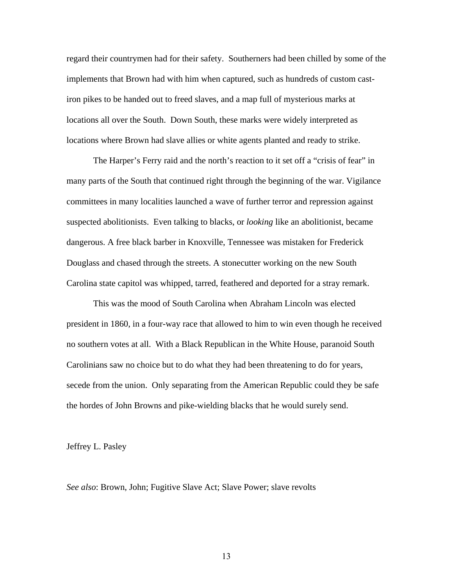regard their countrymen had for their safety. Southerners had been chilled by some of the implements that Brown had with him when captured, such as hundreds of custom castiron pikes to be handed out to freed slaves, and a map full of mysterious marks at locations all over the South. Down South, these marks were widely interpreted as locations where Brown had slave allies or white agents planted and ready to strike.

The Harper's Ferry raid and the north's reaction to it set off a "crisis of fear" in many parts of the South that continued right through the beginning of the war. Vigilance committees in many localities launched a wave of further terror and repression against suspected abolitionists. Even talking to blacks, or *looking* like an abolitionist, became dangerous. A free black barber in Knoxville, Tennessee was mistaken for Frederick Douglass and chased through the streets. A stonecutter working on the new South Carolina state capitol was whipped, tarred, feathered and deported for a stray remark.

 This was the mood of South Carolina when Abraham Lincoln was elected president in 1860, in a four-way race that allowed to him to win even though he received no southern votes at all. With a Black Republican in the White House, paranoid South Carolinians saw no choice but to do what they had been threatening to do for years, secede from the union. Only separating from the American Republic could they be safe the hordes of John Browns and pike-wielding blacks that he would surely send.

#### Jeffrey L. Pasley

*See also*: Brown, John; Fugitive Slave Act; Slave Power; slave revolts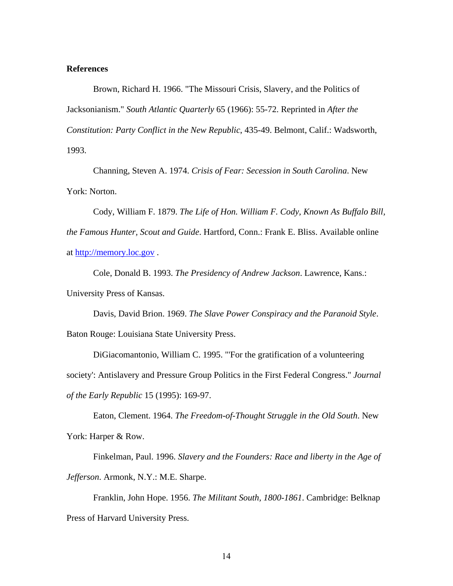#### **References**

Brown, Richard H. 1966. "The Missouri Crisis, Slavery, and the Politics of Jacksonianism." *South Atlantic Quarterly* 65 (1966): 55-72. Reprinted in *After the Constitution: Party Conflict in the New Republic*, 435-49. Belmont, Calif.: Wadsworth, 1993.

Channing, Steven A. 1974. *Crisis of Fear: Secession in South Carolina*. New York: Norton.

Cody, William F. 1879. *The Life of Hon. William F. Cody, Known As Buffalo Bill, the Famous Hunter, Scout and Guide*. Hartford, Conn.: Frank E. Bliss. Available online at http://memory.loc.gov .

Cole, Donald B. 1993. *The Presidency of Andrew Jackson*. Lawrence, Kans.: University Press of Kansas.

Davis, David Brion. 1969. *The Slave Power Conspiracy and the Paranoid Style*. Baton Rouge: Louisiana State University Press.

DiGiacomantonio, William C. 1995. "'For the gratification of a volunteering society': Antislavery and Pressure Group Politics in the First Federal Congress." *Journal of the Early Republic* 15 (1995): 169-97.

Eaton, Clement. 1964. *The Freedom-of-Thought Struggle in the Old South*. New York: Harper & Row.

Finkelman, Paul. 1996. *Slavery and the Founders: Race and liberty in the Age of Jefferson*. Armonk, N.Y.: M.E. Sharpe.

Franklin, John Hope. 1956. *The Militant South, 1800-1861*. Cambridge: Belknap Press of Harvard University Press.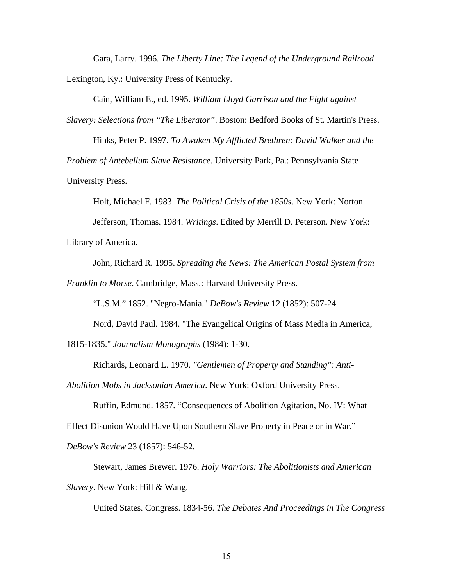Gara, Larry. 1996. *The Liberty Line: The Legend of the Underground Railroad*. Lexington, Ky.: University Press of Kentucky.

Cain, William E., ed. 1995. *William Lloyd Garrison and the Fight against Slavery: Selections from "The Liberator"*. Boston: Bedford Books of St. Martin's Press.

Hinks, Peter P. 1997. *To Awaken My Afflicted Brethren: David Walker and the* 

*Problem of Antebellum Slave Resistance*. University Park, Pa.: Pennsylvania State

University Press.

Holt, Michael F. 1983. *The Political Crisis of the 1850s*. New York: Norton.

Jefferson, Thomas. 1984. *Writings*. Edited by Merrill D. Peterson. New York:

Library of America.

John, Richard R. 1995. *Spreading the News: The American Postal System from Franklin to Morse*. Cambridge, Mass.: Harvard University Press.

"L.S.M." 1852. "Negro-Mania." *DeBow's Review* 12 (1852): 507-24.

Nord, David Paul. 1984. "The Evangelical Origins of Mass Media in America,

1815-1835." *Journalism Monographs* (1984): 1-30.

Richards, Leonard L. 1970. *"Gentlemen of Property and Standing": Anti-*

*Abolition Mobs in Jacksonian America*. New York: Oxford University Press.

Ruffin, Edmund. 1857. "Consequences of Abolition Agitation, No. IV: What

Effect Disunion Would Have Upon Southern Slave Property in Peace or in War."

*DeBow's Review* 23 (1857): 546-52.

Stewart, James Brewer. 1976. *Holy Warriors: The Abolitionists and American Slavery*. New York: Hill & Wang.

United States. Congress. 1834-56. *The Debates And Proceedings in The Congress*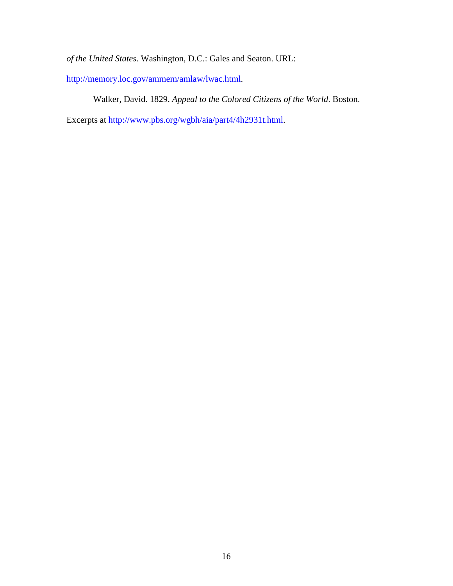*of the United States*. Washington, D.C.: Gales and Seaton. URL:

http://memory.loc.gov/ammem/amlaw/lwac.html.

Walker, David. 1829. *Appeal to the Colored Citizens of the World*. Boston.

Excerpts at http://www.pbs.org/wgbh/aia/part4/4h2931t.html.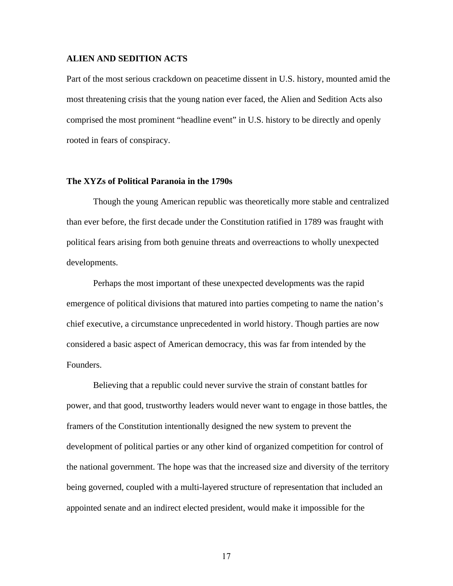#### **ALIEN AND SEDITION ACTS**

Part of the most serious crackdown on peacetime dissent in U.S. history, mounted amid the most threatening crisis that the young nation ever faced, the Alien and Sedition Acts also comprised the most prominent "headline event" in U.S. history to be directly and openly rooted in fears of conspiracy.

#### **The XYZs of Political Paranoia in the 1790s**

 Though the young American republic was theoretically more stable and centralized than ever before, the first decade under the Constitution ratified in 1789 was fraught with political fears arising from both genuine threats and overreactions to wholly unexpected developments.

 Perhaps the most important of these unexpected developments was the rapid emergence of political divisions that matured into parties competing to name the nation's chief executive, a circumstance unprecedented in world history. Though parties are now considered a basic aspect of American democracy, this was far from intended by the Founders.

Believing that a republic could never survive the strain of constant battles for power, and that good, trustworthy leaders would never want to engage in those battles, the framers of the Constitution intentionally designed the new system to prevent the development of political parties or any other kind of organized competition for control of the national government. The hope was that the increased size and diversity of the territory being governed, coupled with a multi-layered structure of representation that included an appointed senate and an indirect elected president, would make it impossible for the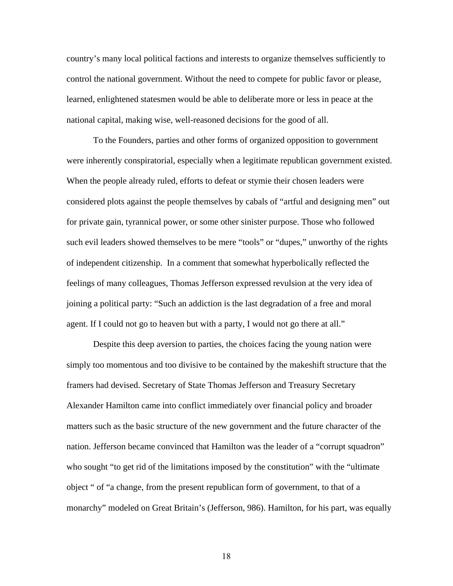country's many local political factions and interests to organize themselves sufficiently to control the national government. Without the need to compete for public favor or please, learned, enlightened statesmen would be able to deliberate more or less in peace at the national capital, making wise, well-reasoned decisions for the good of all.

To the Founders, parties and other forms of organized opposition to government were inherently conspiratorial, especially when a legitimate republican government existed. When the people already ruled, efforts to defeat or stymie their chosen leaders were considered plots against the people themselves by cabals of "artful and designing men" out for private gain, tyrannical power, or some other sinister purpose. Those who followed such evil leaders showed themselves to be mere "tools" or "dupes," unworthy of the rights of independent citizenship. In a comment that somewhat hyperbolically reflected the feelings of many colleagues, Thomas Jefferson expressed revulsion at the very idea of joining a political party: "Such an addiction is the last degradation of a free and moral agent. If I could not go to heaven but with a party, I would not go there at all."

Despite this deep aversion to parties, the choices facing the young nation were simply too momentous and too divisive to be contained by the makeshift structure that the framers had devised. Secretary of State Thomas Jefferson and Treasury Secretary Alexander Hamilton came into conflict immediately over financial policy and broader matters such as the basic structure of the new government and the future character of the nation. Jefferson became convinced that Hamilton was the leader of a "corrupt squadron" who sought "to get rid of the limitations imposed by the constitution" with the "ultimate object " of "a change, from the present republican form of government, to that of a monarchy" modeled on Great Britain's (Jefferson, 986). Hamilton, for his part, was equally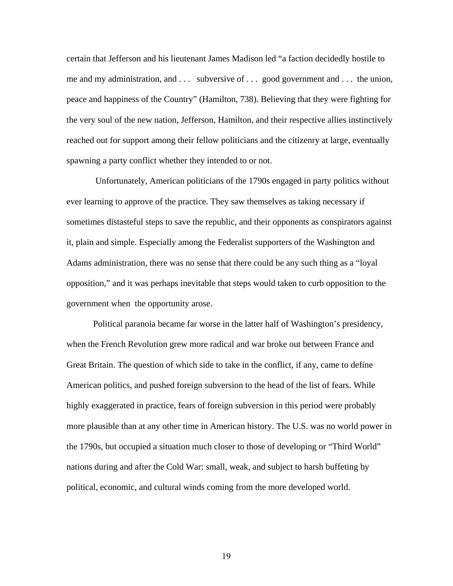certain that Jefferson and his lieutenant James Madison led "a faction decidedly hostile to me and my administration, and . . . subversive of . . . good government and . . . the union, peace and happiness of the Country" (Hamilton, 738). Believing that they were fighting for the very soul of the new nation, Jefferson, Hamilton, and their respective allies instinctively reached out for support among their fellow politicians and the citizenry at large, eventually spawning a party conflict whether they intended to or not.

 Unfortunately, American politicians of the 1790s engaged in party politics without ever learning to approve of the practice. They saw themselves as taking necessary if sometimes distasteful steps to save the republic, and their opponents as conspirators against it, plain and simple. Especially among the Federalist supporters of the Washington and Adams administration, there was no sense that there could be any such thing as a "loyal opposition," and it was perhaps inevitable that steps would taken to curb opposition to the government when the opportunity arose.

Political paranoia became far worse in the latter half of Washington's presidency, when the French Revolution grew more radical and war broke out between France and Great Britain. The question of which side to take in the conflict, if any, came to define American politics, and pushed foreign subversion to the head of the list of fears. While highly exaggerated in practice, fears of foreign subversion in this period were probably more plausible than at any other time in American history. The U.S. was no world power in the 1790s, but occupied a situation much closer to those of developing or "Third World" nations during and after the Cold War: small, weak, and subject to harsh buffeting by political, economic, and cultural winds coming from the more developed world.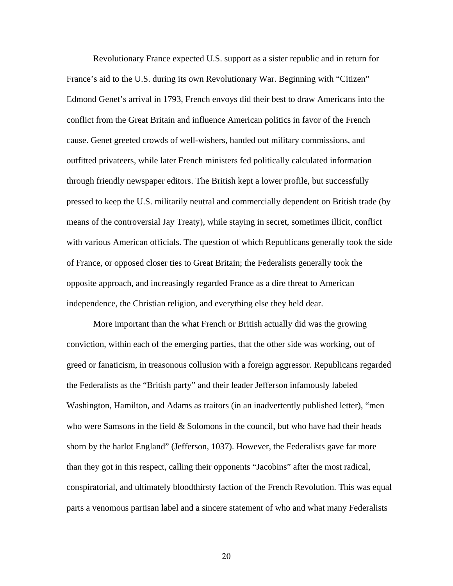Revolutionary France expected U.S. support as a sister republic and in return for France's aid to the U.S. during its own Revolutionary War. Beginning with "Citizen" Edmond Genet's arrival in 1793, French envoys did their best to draw Americans into the conflict from the Great Britain and influence American politics in favor of the French cause. Genet greeted crowds of well-wishers, handed out military commissions, and outfitted privateers, while later French ministers fed politically calculated information through friendly newspaper editors. The British kept a lower profile, but successfully pressed to keep the U.S. militarily neutral and commercially dependent on British trade (by means of the controversial Jay Treaty), while staying in secret, sometimes illicit, conflict with various American officials. The question of which Republicans generally took the side of France, or opposed closer ties to Great Britain; the Federalists generally took the opposite approach, and increasingly regarded France as a dire threat to American independence, the Christian religion, and everything else they held dear.

More important than the what French or British actually did was the growing conviction, within each of the emerging parties, that the other side was working, out of greed or fanaticism, in treasonous collusion with a foreign aggressor. Republicans regarded the Federalists as the "British party" and their leader Jefferson infamously labeled Washington, Hamilton, and Adams as traitors (in an inadvertently published letter), "men who were Samsons in the field & Solomons in the council, but who have had their heads shorn by the harlot England" (Jefferson, 1037). However, the Federalists gave far more than they got in this respect, calling their opponents "Jacobins" after the most radical, conspiratorial, and ultimately bloodthirsty faction of the French Revolution. This was equal parts a venomous partisan label and a sincere statement of who and what many Federalists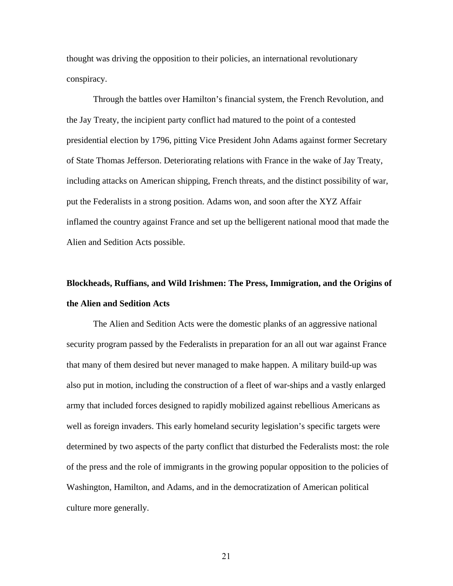thought was driving the opposition to their policies, an international revolutionary conspiracy.

Through the battles over Hamilton's financial system, the French Revolution, and the Jay Treaty, the incipient party conflict had matured to the point of a contested presidential election by 1796, pitting Vice President John Adams against former Secretary of State Thomas Jefferson. Deteriorating relations with France in the wake of Jay Treaty, including attacks on American shipping, French threats, and the distinct possibility of war, put the Federalists in a strong position. Adams won, and soon after the XYZ Affair inflamed the country against France and set up the belligerent national mood that made the Alien and Sedition Acts possible.

### **Blockheads, Ruffians, and Wild Irishmen: The Press, Immigration, and the Origins of the Alien and Sedition Acts**

The Alien and Sedition Acts were the domestic planks of an aggressive national security program passed by the Federalists in preparation for an all out war against France that many of them desired but never managed to make happen. A military build-up was also put in motion, including the construction of a fleet of war-ships and a vastly enlarged army that included forces designed to rapidly mobilized against rebellious Americans as well as foreign invaders. This early homeland security legislation's specific targets were determined by two aspects of the party conflict that disturbed the Federalists most: the role of the press and the role of immigrants in the growing popular opposition to the policies of Washington, Hamilton, and Adams, and in the democratization of American political culture more generally.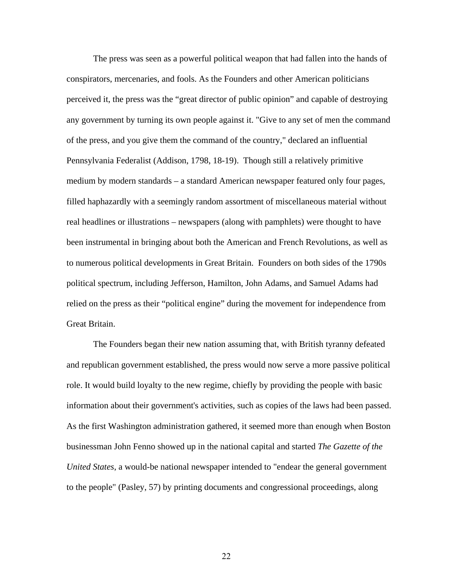The press was seen as a powerful political weapon that had fallen into the hands of conspirators, mercenaries, and fools. As the Founders and other American politicians perceived it, the press was the "great director of public opinion" and capable of destroying any government by turning its own people against it. "Give to any set of men the command of the press, and you give them the command of the country," declared an influential Pennsylvania Federalist (Addison, 1798, 18-19). Though still a relatively primitive medium by modern standards – a standard American newspaper featured only four pages, filled haphazardly with a seemingly random assortment of miscellaneous material without real headlines or illustrations – newspapers (along with pamphlets) were thought to have been instrumental in bringing about both the American and French Revolutions, as well as to numerous political developments in Great Britain. Founders on both sides of the 1790s political spectrum, including Jefferson, Hamilton, John Adams, and Samuel Adams had relied on the press as their "political engine" during the movement for independence from Great Britain.

The Founders began their new nation assuming that, with British tyranny defeated and republican government established, the press would now serve a more passive political role. It would build loyalty to the new regime, chiefly by providing the people with basic information about their government's activities, such as copies of the laws had been passed. As the first Washington administration gathered, it seemed more than enough when Boston businessman John Fenno showed up in the national capital and started *The Gazette of the United States*, a would-be national newspaper intended to "endear the general government to the people" (Pasley, 57) by printing documents and congressional proceedings, along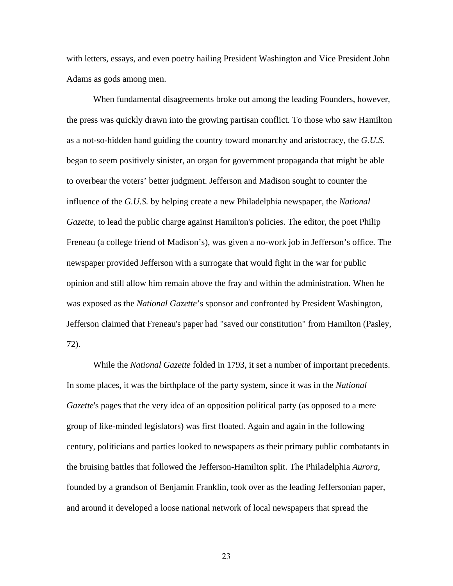with letters, essays, and even poetry hailing President Washington and Vice President John Adams as gods among men.

When fundamental disagreements broke out among the leading Founders, however, the press was quickly drawn into the growing partisan conflict. To those who saw Hamilton as a not-so-hidden hand guiding the country toward monarchy and aristocracy, the *G.U.S.*  began to seem positively sinister, an organ for government propaganda that might be able to overbear the voters' better judgment. Jefferson and Madison sought to counter the influence of the *G.U.S.* by helping create a new Philadelphia newspaper, the *National Gazette*, to lead the public charge against Hamilton's policies. The editor, the poet Philip Freneau (a college friend of Madison's), was given a no-work job in Jefferson's office. The newspaper provided Jefferson with a surrogate that would fight in the war for public opinion and still allow him remain above the fray and within the administration. When he was exposed as the *National Gazette*'s sponsor and confronted by President Washington, Jefferson claimed that Freneau's paper had "saved our constitution" from Hamilton (Pasley, 72).

While the *National Gazette* folded in 1793, it set a number of important precedents. In some places, it was the birthplace of the party system, since it was in the *National Gazette*'s pages that the very idea of an opposition political party (as opposed to a mere group of like-minded legislators) was first floated. Again and again in the following century, politicians and parties looked to newspapers as their primary public combatants in the bruising battles that followed the Jefferson-Hamilton split. The Philadelphia *Aurora*, founded by a grandson of Benjamin Franklin, took over as the leading Jeffersonian paper, and around it developed a loose national network of local newspapers that spread the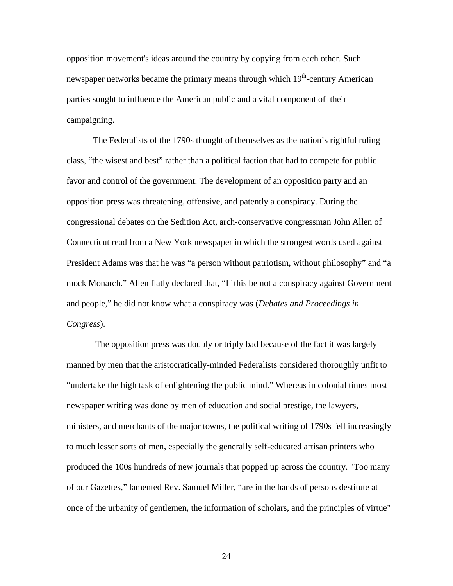opposition movement's ideas around the country by copying from each other. Such newspaper networks became the primary means through which 19<sup>th</sup>-century American parties sought to influence the American public and a vital component of their campaigning.

The Federalists of the 1790s thought of themselves as the nation's rightful ruling class, "the wisest and best" rather than a political faction that had to compete for public favor and control of the government. The development of an opposition party and an opposition press was threatening, offensive, and patently a conspiracy. During the congressional debates on the Sedition Act, arch-conservative congressman John Allen of Connecticut read from a New York newspaper in which the strongest words used against President Adams was that he was "a person without patriotism, without philosophy" and "a mock Monarch." Allen flatly declared that, "If this be not a conspiracy against Government and people," he did not know what a conspiracy was (*Debates and Proceedings in Congress*).

 The opposition press was doubly or triply bad because of the fact it was largely manned by men that the aristocratically-minded Federalists considered thoroughly unfit to "undertake the high task of enlightening the public mind." Whereas in colonial times most newspaper writing was done by men of education and social prestige, the lawyers, ministers, and merchants of the major towns, the political writing of 1790s fell increasingly to much lesser sorts of men, especially the generally self-educated artisan printers who produced the 100s hundreds of new journals that popped up across the country. "Too many of our Gazettes," lamented Rev. Samuel Miller, "are in the hands of persons destitute at once of the urbanity of gentlemen, the information of scholars, and the principles of virtue"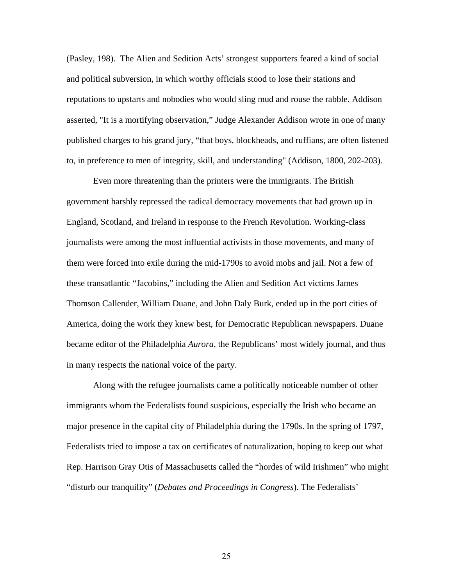(Pasley, 198). The Alien and Sedition Acts' strongest supporters feared a kind of social and political subversion, in which worthy officials stood to lose their stations and reputations to upstarts and nobodies who would sling mud and rouse the rabble. Addison asserted, "It is a mortifying observation," Judge Alexander Addison wrote in one of many published charges to his grand jury, "that boys, blockheads, and ruffians, are often listened to, in preference to men of integrity, skill, and understanding" (Addison, 1800, 202-203).

Even more threatening than the printers were the immigrants. The British government harshly repressed the radical democracy movements that had grown up in England, Scotland, and Ireland in response to the French Revolution. Working-class journalists were among the most influential activists in those movements, and many of them were forced into exile during the mid-1790s to avoid mobs and jail. Not a few of these transatlantic "Jacobins," including the Alien and Sedition Act victims James Thomson Callender, William Duane, and John Daly Burk, ended up in the port cities of America, doing the work they knew best, for Democratic Republican newspapers. Duane became editor of the Philadelphia *Aurora*, the Republicans' most widely journal, and thus in many respects the national voice of the party.

Along with the refugee journalists came a politically noticeable number of other immigrants whom the Federalists found suspicious, especially the Irish who became an major presence in the capital city of Philadelphia during the 1790s. In the spring of 1797, Federalists tried to impose a tax on certificates of naturalization, hoping to keep out what Rep. Harrison Gray Otis of Massachusetts called the "hordes of wild Irishmen" who might "disturb our tranquility" (*Debates and Proceedings in Congress*). The Federalists'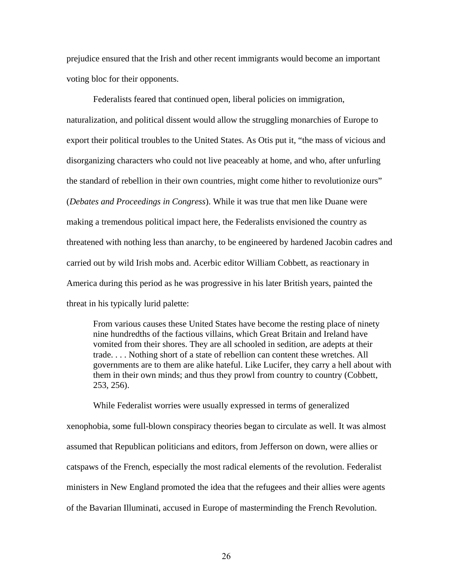prejudice ensured that the Irish and other recent immigrants would become an important voting bloc for their opponents.

Federalists feared that continued open, liberal policies on immigration, naturalization, and political dissent would allow the struggling monarchies of Europe to export their political troubles to the United States. As Otis put it, "the mass of vicious and disorganizing characters who could not live peaceably at home, and who, after unfurling the standard of rebellion in their own countries, might come hither to revolutionize ours" (*Debates and Proceedings in Congress*). While it was true that men like Duane were making a tremendous political impact here, the Federalists envisioned the country as threatened with nothing less than anarchy, to be engineered by hardened Jacobin cadres and carried out by wild Irish mobs and. Acerbic editor William Cobbett, as reactionary in America during this period as he was progressive in his later British years, painted the threat in his typically lurid palette:

From various causes these United States have become the resting place of ninety nine hundredths of the factious villains, which Great Britain and Ireland have vomited from their shores. They are all schooled in sedition, are adepts at their trade. . . . Nothing short of a state of rebellion can content these wretches. All governments are to them are alike hateful. Like Lucifer, they carry a hell about with them in their own minds; and thus they prowl from country to country (Cobbett, 253, 256).

While Federalist worries were usually expressed in terms of generalized xenophobia, some full-blown conspiracy theories began to circulate as well. It was almost assumed that Republican politicians and editors, from Jefferson on down, were allies or catspaws of the French, especially the most radical elements of the revolution. Federalist ministers in New England promoted the idea that the refugees and their allies were agents of the Bavarian Illuminati, accused in Europe of masterminding the French Revolution.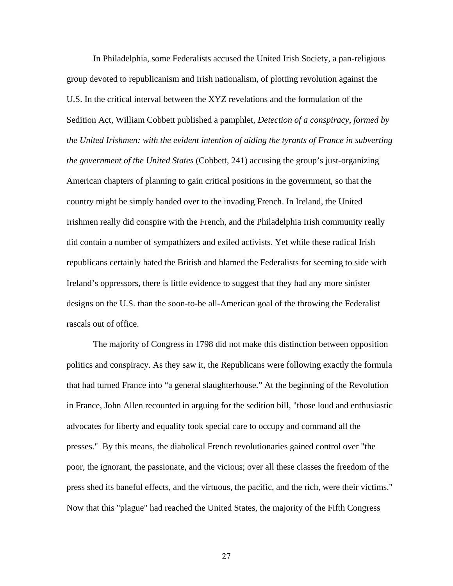In Philadelphia, some Federalists accused the United Irish Society, a pan-religious group devoted to republicanism and Irish nationalism, of plotting revolution against the U.S. In the critical interval between the XYZ revelations and the formulation of the Sedition Act, William Cobbett published a pamphlet, *Detection of a conspiracy*, *formed by the United Irishmen: with the evident intention of aiding the tyrants of France in subverting the government of the United States* (Cobbett, 241) accusing the group's just-organizing American chapters of planning to gain critical positions in the government, so that the country might be simply handed over to the invading French. In Ireland, the United Irishmen really did conspire with the French, and the Philadelphia Irish community really did contain a number of sympathizers and exiled activists. Yet while these radical Irish republicans certainly hated the British and blamed the Federalists for seeming to side with Ireland's oppressors, there is little evidence to suggest that they had any more sinister designs on the U.S. than the soon-to-be all-American goal of the throwing the Federalist rascals out of office.

 The majority of Congress in 1798 did not make this distinction between opposition politics and conspiracy. As they saw it, the Republicans were following exactly the formula that had turned France into "a general slaughterhouse." At the beginning of the Revolution in France, John Allen recounted in arguing for the sedition bill, "those loud and enthusiastic advocates for liberty and equality took special care to occupy and command all the presses." By this means, the diabolical French revolutionaries gained control over "the poor, the ignorant, the passionate, and the vicious; over all these classes the freedom of the press shed its baneful effects, and the virtuous, the pacific, and the rich, were their victims." Now that this "plague" had reached the United States, the majority of the Fifth Congress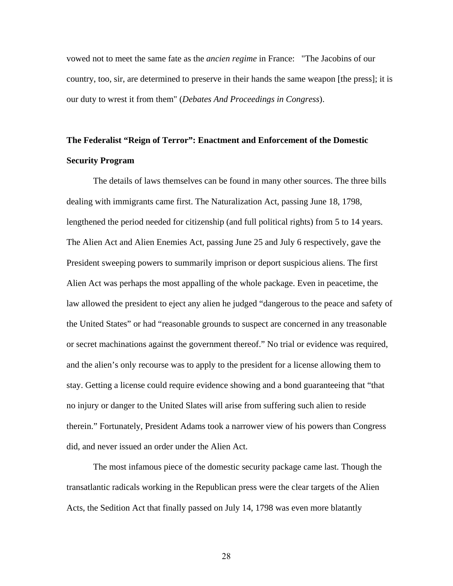vowed not to meet the same fate as the *ancien regime* in France: "The Jacobins of our country, too, sir, are determined to preserve in their hands the same weapon [the press]; it is our duty to wrest it from them" (*Debates And Proceedings in Congress*).

## **The Federalist "Reign of Terror": Enactment and Enforcement of the Domestic Security Program**

 The details of laws themselves can be found in many other sources. The three bills dealing with immigrants came first. The Naturalization Act, passing June 18, 1798, lengthened the period needed for citizenship (and full political rights) from 5 to 14 years. The Alien Act and Alien Enemies Act, passing June 25 and July 6 respectively, gave the President sweeping powers to summarily imprison or deport suspicious aliens. The first Alien Act was perhaps the most appalling of the whole package. Even in peacetime, the law allowed the president to eject any alien he judged "dangerous to the peace and safety of the United States" or had "reasonable grounds to suspect are concerned in any treasonable or secret machinations against the government thereof." No trial or evidence was required, and the alien's only recourse was to apply to the president for a license allowing them to stay. Getting a license could require evidence showing and a bond guaranteeing that "that no injury or danger to the United Slates will arise from suffering such alien to reside therein." Fortunately, President Adams took a narrower view of his powers than Congress did, and never issued an order under the Alien Act.

 The most infamous piece of the domestic security package came last. Though the transatlantic radicals working in the Republican press were the clear targets of the Alien Acts, the Sedition Act that finally passed on July 14, 1798 was even more blatantly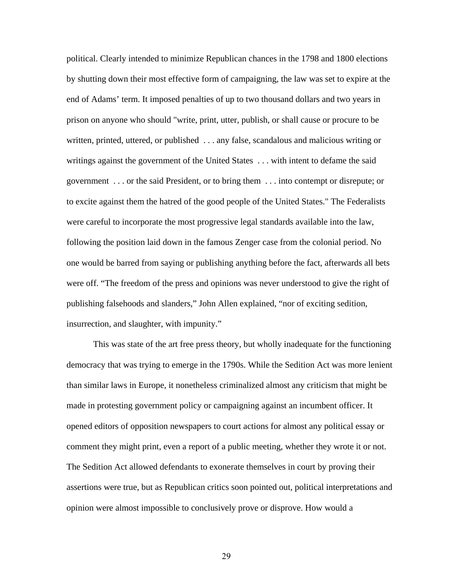political. Clearly intended to minimize Republican chances in the 1798 and 1800 elections by shutting down their most effective form of campaigning, the law was set to expire at the end of Adams' term. It imposed penalties of up to two thousand dollars and two years in prison on anyone who should "write, print, utter, publish, or shall cause or procure to be written, printed, uttered, or published . . . any false, scandalous and malicious writing or writings against the government of the United States . . . with intent to defame the said government . . . or the said President, or to bring them . . . into contempt or disrepute; or to excite against them the hatred of the good people of the United States." The Federalists were careful to incorporate the most progressive legal standards available into the law, following the position laid down in the famous Zenger case from the colonial period. No one would be barred from saying or publishing anything before the fact, afterwards all bets were off. "The freedom of the press and opinions was never understood to give the right of publishing falsehoods and slanders," John Allen explained, "nor of exciting sedition, insurrection, and slaughter, with impunity."

This was state of the art free press theory, but wholly inadequate for the functioning democracy that was trying to emerge in the 1790s. While the Sedition Act was more lenient than similar laws in Europe, it nonetheless criminalized almost any criticism that might be made in protesting government policy or campaigning against an incumbent officer. It opened editors of opposition newspapers to court actions for almost any political essay or comment they might print, even a report of a public meeting, whether they wrote it or not. The Sedition Act allowed defendants to exonerate themselves in court by proving their assertions were true, but as Republican critics soon pointed out, political interpretations and opinion were almost impossible to conclusively prove or disprove. How would a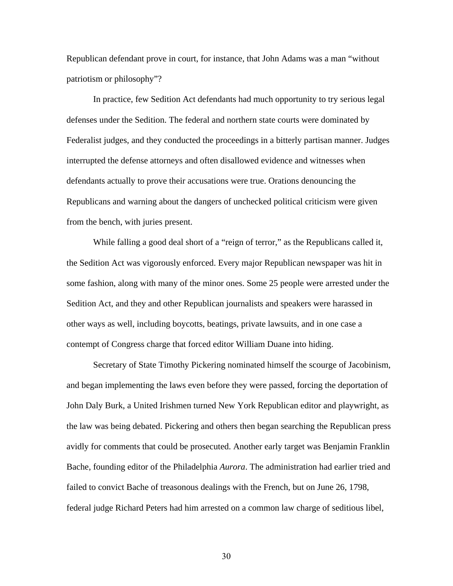Republican defendant prove in court, for instance, that John Adams was a man "without patriotism or philosophy"?

In practice, few Sedition Act defendants had much opportunity to try serious legal defenses under the Sedition. The federal and northern state courts were dominated by Federalist judges, and they conducted the proceedings in a bitterly partisan manner. Judges interrupted the defense attorneys and often disallowed evidence and witnesses when defendants actually to prove their accusations were true. Orations denouncing the Republicans and warning about the dangers of unchecked political criticism were given from the bench, with juries present.

 While falling a good deal short of a "reign of terror," as the Republicans called it, the Sedition Act was vigorously enforced. Every major Republican newspaper was hit in some fashion, along with many of the minor ones. Some 25 people were arrested under the Sedition Act, and they and other Republican journalists and speakers were harassed in other ways as well, including boycotts, beatings, private lawsuits, and in one case a contempt of Congress charge that forced editor William Duane into hiding.

Secretary of State Timothy Pickering nominated himself the scourge of Jacobinism, and began implementing the laws even before they were passed, forcing the deportation of John Daly Burk, a United Irishmen turned New York Republican editor and playwright, as the law was being debated. Pickering and others then began searching the Republican press avidly for comments that could be prosecuted. Another early target was Benjamin Franklin Bache, founding editor of the Philadelphia *Aurora*. The administration had earlier tried and failed to convict Bache of treasonous dealings with the French, but on June 26, 1798, federal judge Richard Peters had him arrested on a common law charge of seditious libel,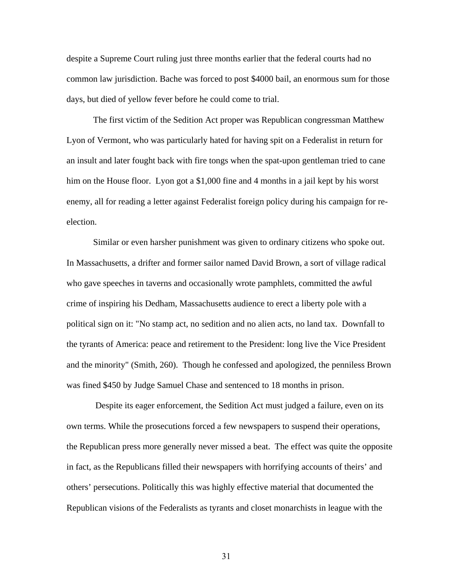despite a Supreme Court ruling just three months earlier that the federal courts had no common law jurisdiction. Bache was forced to post \$4000 bail, an enormous sum for those days, but died of yellow fever before he could come to trial.

The first victim of the Sedition Act proper was Republican congressman Matthew Lyon of Vermont, who was particularly hated for having spit on a Federalist in return for an insult and later fought back with fire tongs when the spat-upon gentleman tried to cane him on the House floor. Lyon got a \$1,000 fine and 4 months in a jail kept by his worst enemy, all for reading a letter against Federalist foreign policy during his campaign for reelection.

 Similar or even harsher punishment was given to ordinary citizens who spoke out. In Massachusetts, a drifter and former sailor named David Brown, a sort of village radical who gave speeches in taverns and occasionally wrote pamphlets, committed the awful crime of inspiring his Dedham, Massachusetts audience to erect a liberty pole with a political sign on it: "No stamp act, no sedition and no alien acts, no land tax. Downfall to the tyrants of America: peace and retirement to the President: long live the Vice President and the minority" (Smith, 260). Though he confessed and apologized, the penniless Brown was fined \$450 by Judge Samuel Chase and sentenced to 18 months in prison.

 Despite its eager enforcement, the Sedition Act must judged a failure, even on its own terms. While the prosecutions forced a few newspapers to suspend their operations, the Republican press more generally never missed a beat. The effect was quite the opposite in fact, as the Republicans filled their newspapers with horrifying accounts of theirs' and others' persecutions. Politically this was highly effective material that documented the Republican visions of the Federalists as tyrants and closet monarchists in league with the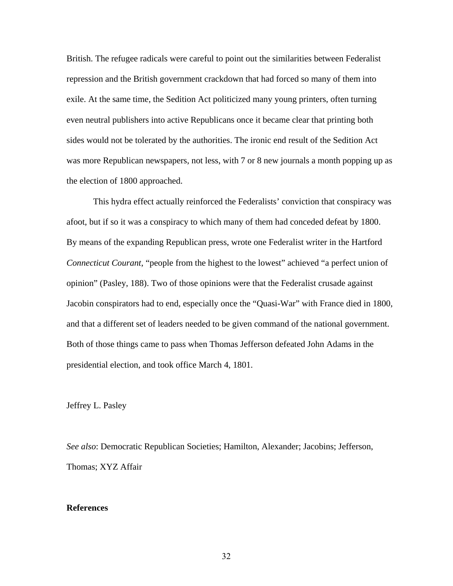British. The refugee radicals were careful to point out the similarities between Federalist repression and the British government crackdown that had forced so many of them into exile. At the same time, the Sedition Act politicized many young printers, often turning even neutral publishers into active Republicans once it became clear that printing both sides would not be tolerated by the authorities. The ironic end result of the Sedition Act was more Republican newspapers, not less, with 7 or 8 new journals a month popping up as the election of 1800 approached.

This hydra effect actually reinforced the Federalists' conviction that conspiracy was afoot, but if so it was a conspiracy to which many of them had conceded defeat by 1800. By means of the expanding Republican press, wrote one Federalist writer in the Hartford *Connecticut Courant*, "people from the highest to the lowest" achieved "a perfect union of opinion" (Pasley, 188). Two of those opinions were that the Federalist crusade against Jacobin conspirators had to end, especially once the "Quasi-War" with France died in 1800, and that a different set of leaders needed to be given command of the national government. Both of those things came to pass when Thomas Jefferson defeated John Adams in the presidential election, and took office March 4, 1801.

Jeffrey L. Pasley

*See also*: Democratic Republican Societies; Hamilton, Alexander; Jacobins; Jefferson, Thomas; XYZ Affair

#### **References**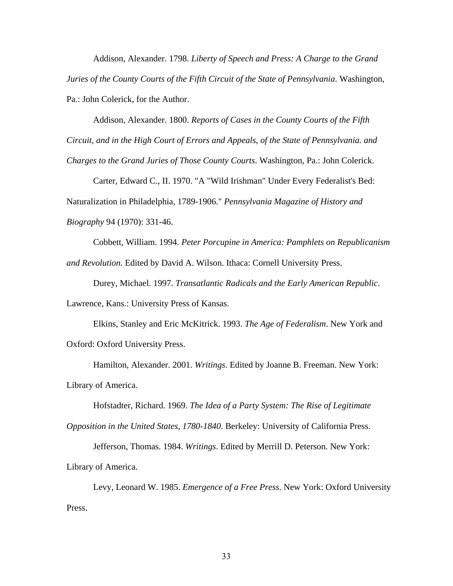Addison, Alexander. 1798. *Liberty of Speech and Press: A Charge to the Grand Juries of the County Courts of the Fifth Circuit of the State of Pennsylvania*. Washington, Pa.: John Colerick, for the Author.

Addison, Alexander. 1800. *Reports of Cases in the County Courts of the Fifth Circuit, and in the High Court of Errors and Appeals, of the State of Pennsylvania. and Charges to the Grand Juries of Those County Courts*. Washington, Pa.: John Colerick.

Carter, Edward C., II. 1970. "A "Wild Irishman" Under Every Federalist's Bed: Naturalization in Philadelphia, 1789-1906." *Pennsylvania Magazine of History and Biography* 94 (1970): 331-46.

Cobbett, William. 1994. *Peter Porcupine in America: Pamphlets on Republicanism and Revolution*. Edited by David A. Wilson. Ithaca: Cornell University Press.

Durey, Michael. 1997. *Transatlantic Radicals and the Early American Republic*. Lawrence, Kans.: University Press of Kansas.

Elkins, Stanley and Eric McKitrick. 1993. *The Age of Federalism*. New York and Oxford: Oxford University Press.

Hamilton, Alexander. 2001. *Writings*. Edited by Joanne B. Freeman. New York: Library of America.

Hofstadter, Richard. 1969. *The Idea of a Party System: The Rise of Legitimate Opposition in the United States, 1780-1840*. Berkeley: University of California Press.

Jefferson, Thomas. 1984. *Writings*. Edited by Merrill D. Peterson. New York: Library of America.

Levy, Leonard W. 1985. *Emergence of a Free Press*. New York: Oxford University Press.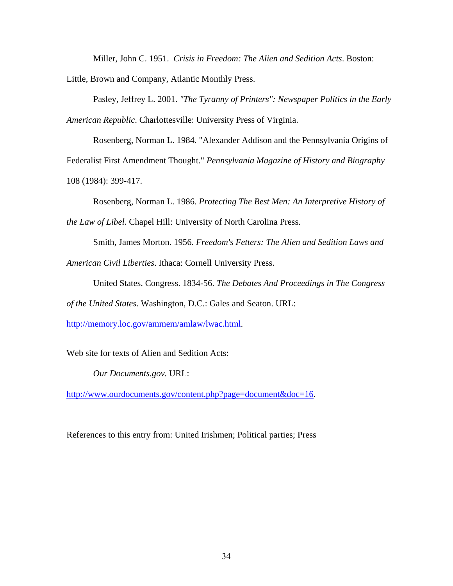Miller, John C. 1951. *Crisis in Freedom: The Alien and Sedition Acts*. Boston:

Little, Brown and Company, Atlantic Monthly Press.

Pasley, Jeffrey L. 2001. *"The Tyranny of Printers": Newspaper Politics in the Early American Republic*. Charlottesville: University Press of Virginia.

Rosenberg, Norman L. 1984. "Alexander Addison and the Pennsylvania Origins of Federalist First Amendment Thought." *Pennsylvania Magazine of History and Biography* 108 (1984): 399-417.

Rosenberg, Norman L. 1986. *Protecting The Best Men: An Interpretive History of the Law of Libel*. Chapel Hill: University of North Carolina Press.

Smith, James Morton. 1956. *Freedom's Fetters: The Alien and Sedition Laws and American Civil Liberties*. Ithaca: Cornell University Press.

United States. Congress. 1834-56. *The Debates And Proceedings in The Congress* 

*of the United States*. Washington, D.C.: Gales and Seaton. URL:

http://memory.loc.gov/ammem/amlaw/lwac.html.

Web site for texts of Alien and Sedition Acts:

*Our Documents.gov.* URL:

http://www.ourdocuments.gov/content.php?page=document&doc=16.

References to this entry from: United Irishmen; Political parties; Press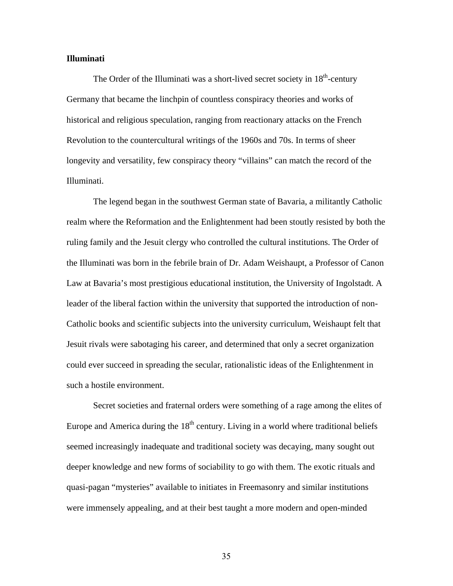#### **Illuminati**

The Order of the Illuminati was a short-lived secret society in  $18<sup>th</sup>$ -century Germany that became the linchpin of countless conspiracy theories and works of historical and religious speculation, ranging from reactionary attacks on the French Revolution to the countercultural writings of the 1960s and 70s. In terms of sheer longevity and versatility, few conspiracy theory "villains" can match the record of the Illuminati.

The legend began in the southwest German state of Bavaria, a militantly Catholic realm where the Reformation and the Enlightenment had been stoutly resisted by both the ruling family and the Jesuit clergy who controlled the cultural institutions. The Order of the Illuminati was born in the febrile brain of Dr. Adam Weishaupt, a Professor of Canon Law at Bavaria's most prestigious educational institution, the University of Ingolstadt. A leader of the liberal faction within the university that supported the introduction of non-Catholic books and scientific subjects into the university curriculum, Weishaupt felt that Jesuit rivals were sabotaging his career, and determined that only a secret organization could ever succeed in spreading the secular, rationalistic ideas of the Enlightenment in such a hostile environment.

Secret societies and fraternal orders were something of a rage among the elites of Europe and America during the  $18<sup>th</sup>$  century. Living in a world where traditional beliefs seemed increasingly inadequate and traditional society was decaying, many sought out deeper knowledge and new forms of sociability to go with them. The exotic rituals and quasi-pagan "mysteries" available to initiates in Freemasonry and similar institutions were immensely appealing, and at their best taught a more modern and open-minded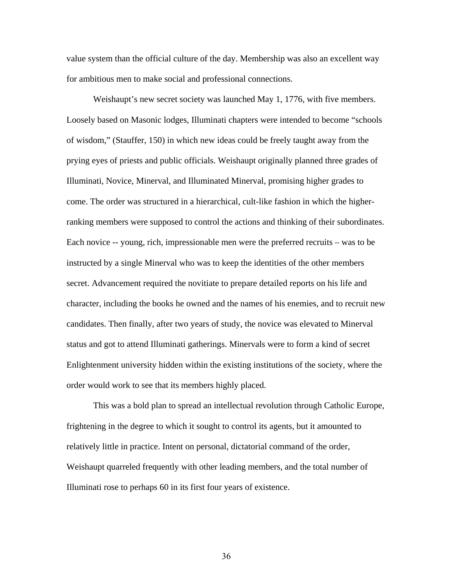value system than the official culture of the day. Membership was also an excellent way for ambitious men to make social and professional connections.

Weishaupt's new secret society was launched May 1, 1776, with five members. Loosely based on Masonic lodges, Illuminati chapters were intended to become "schools of wisdom," (Stauffer, 150) in which new ideas could be freely taught away from the prying eyes of priests and public officials. Weishaupt originally planned three grades of Illuminati, Novice, Minerval, and Illuminated Minerval, promising higher grades to come. The order was structured in a hierarchical, cult-like fashion in which the higherranking members were supposed to control the actions and thinking of their subordinates. Each novice -- young, rich, impressionable men were the preferred recruits – was to be instructed by a single Minerval who was to keep the identities of the other members secret. Advancement required the novitiate to prepare detailed reports on his life and character, including the books he owned and the names of his enemies, and to recruit new candidates. Then finally, after two years of study, the novice was elevated to Minerval status and got to attend Illuminati gatherings. Minervals were to form a kind of secret Enlightenment university hidden within the existing institutions of the society, where the order would work to see that its members highly placed.

This was a bold plan to spread an intellectual revolution through Catholic Europe, frightening in the degree to which it sought to control its agents, but it amounted to relatively little in practice. Intent on personal, dictatorial command of the order, Weishaupt quarreled frequently with other leading members, and the total number of Illuminati rose to perhaps 60 in its first four years of existence.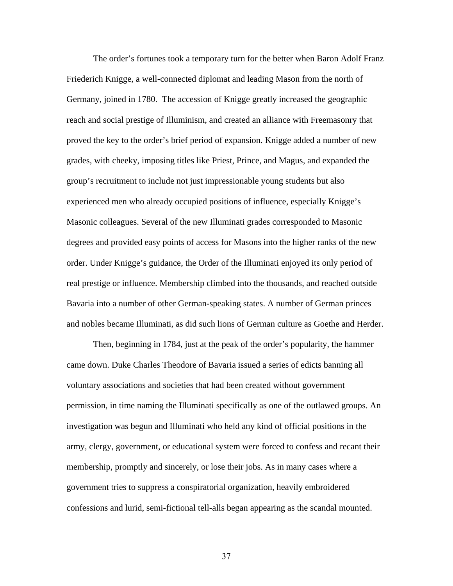The order's fortunes took a temporary turn for the better when Baron Adolf Franz Friederich Knigge, a well-connected diplomat and leading Mason from the north of Germany, joined in 1780. The accession of Knigge greatly increased the geographic reach and social prestige of Illuminism, and created an alliance with Freemasonry that proved the key to the order's brief period of expansion. Knigge added a number of new grades, with cheeky, imposing titles like Priest, Prince, and Magus, and expanded the group's recruitment to include not just impressionable young students but also experienced men who already occupied positions of influence, especially Knigge's Masonic colleagues. Several of the new Illuminati grades corresponded to Masonic degrees and provided easy points of access for Masons into the higher ranks of the new order. Under Knigge's guidance, the Order of the Illuminati enjoyed its only period of real prestige or influence. Membership climbed into the thousands, and reached outside Bavaria into a number of other German-speaking states. A number of German princes and nobles became Illuminati, as did such lions of German culture as Goethe and Herder.

Then, beginning in 1784, just at the peak of the order's popularity, the hammer came down. Duke Charles Theodore of Bavaria issued a series of edicts banning all voluntary associations and societies that had been created without government permission, in time naming the Illuminati specifically as one of the outlawed groups. An investigation was begun and Illuminati who held any kind of official positions in the army, clergy, government, or educational system were forced to confess and recant their membership, promptly and sincerely, or lose their jobs. As in many cases where a government tries to suppress a conspiratorial organization, heavily embroidered confessions and lurid, semi-fictional tell-alls began appearing as the scandal mounted.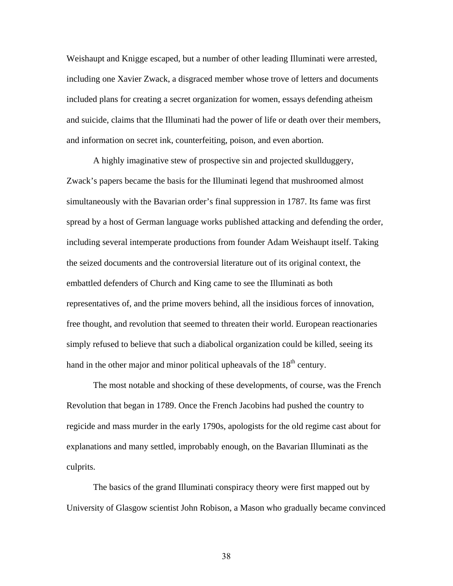Weishaupt and Knigge escaped, but a number of other leading Illuminati were arrested, including one Xavier Zwack, a disgraced member whose trove of letters and documents included plans for creating a secret organization for women, essays defending atheism and suicide, claims that the Illuminati had the power of life or death over their members, and information on secret ink, counterfeiting, poison, and even abortion.

A highly imaginative stew of prospective sin and projected skullduggery, Zwack's papers became the basis for the Illuminati legend that mushroomed almost simultaneously with the Bavarian order's final suppression in 1787. Its fame was first spread by a host of German language works published attacking and defending the order, including several intemperate productions from founder Adam Weishaupt itself. Taking the seized documents and the controversial literature out of its original context, the embattled defenders of Church and King came to see the Illuminati as both representatives of, and the prime movers behind, all the insidious forces of innovation, free thought, and revolution that seemed to threaten their world. European reactionaries simply refused to believe that such a diabolical organization could be killed, seeing its hand in the other major and minor political upheavals of the  $18<sup>th</sup>$  century.

The most notable and shocking of these developments, of course, was the French Revolution that began in 1789. Once the French Jacobins had pushed the country to regicide and mass murder in the early 1790s, apologists for the old regime cast about for explanations and many settled, improbably enough, on the Bavarian Illuminati as the culprits.

The basics of the grand Illuminati conspiracy theory were first mapped out by University of Glasgow scientist John Robison, a Mason who gradually became convinced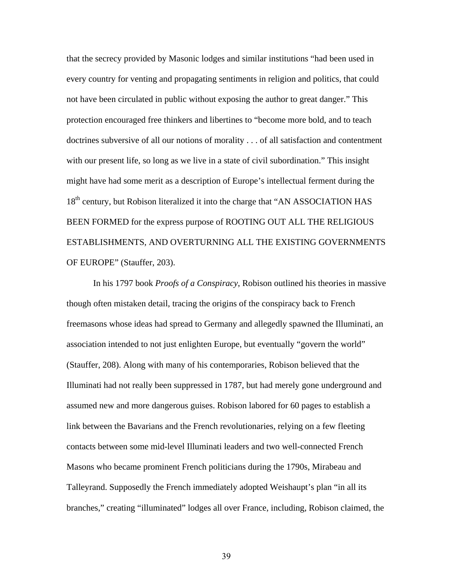that the secrecy provided by Masonic lodges and similar institutions "had been used in every country for venting and propagating sentiments in religion and politics, that could not have been circulated in public without exposing the author to great danger." This protection encouraged free thinkers and libertines to "become more bold, and to teach doctrines subversive of all our notions of morality . . . of all satisfaction and contentment with our present life, so long as we live in a state of civil subordination." This insight might have had some merit as a description of Europe's intellectual ferment during the 18<sup>th</sup> century, but Robison literalized it into the charge that "AN ASSOCIATION HAS BEEN FORMED for the express purpose of ROOTING OUT ALL THE RELIGIOUS ESTABLISHMENTS, AND OVERTURNING ALL THE EXISTING GOVERNMENTS OF EUROPE" (Stauffer, 203).

In his 1797 book *Proofs of a Conspiracy*, Robison outlined his theories in massive though often mistaken detail, tracing the origins of the conspiracy back to French freemasons whose ideas had spread to Germany and allegedly spawned the Illuminati, an association intended to not just enlighten Europe, but eventually "govern the world" (Stauffer, 208). Along with many of his contemporaries, Robison believed that the Illuminati had not really been suppressed in 1787, but had merely gone underground and assumed new and more dangerous guises. Robison labored for 60 pages to establish a link between the Bavarians and the French revolutionaries, relying on a few fleeting contacts between some mid-level Illuminati leaders and two well-connected French Masons who became prominent French politicians during the 1790s, Mirabeau and Talleyrand. Supposedly the French immediately adopted Weishaupt's plan "in all its branches," creating "illuminated" lodges all over France, including, Robison claimed, the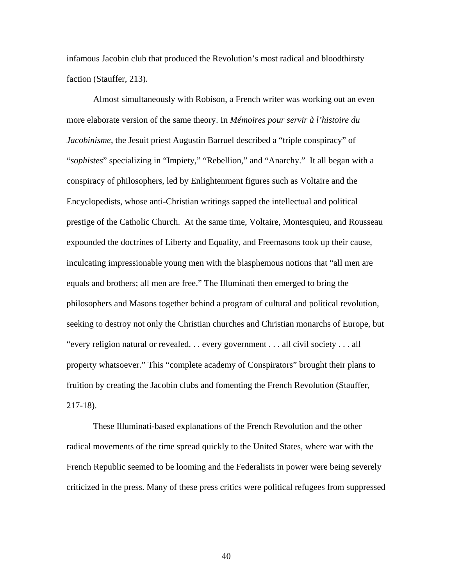infamous Jacobin club that produced the Revolution's most radical and bloodthirsty faction (Stauffer, 213).

Almost simultaneously with Robison, a French writer was working out an even more elaborate version of the same theory. In *Mémoires pour servir à l'histoire du Jacobinisme*, the Jesuit priest Augustin Barruel described a "triple conspiracy" of "*sophistes*" specializing in "Impiety," "Rebellion," and "Anarchy." It all began with a conspiracy of philosophers, led by Enlightenment figures such as Voltaire and the Encyclopedists, whose anti-Christian writings sapped the intellectual and political prestige of the Catholic Church. At the same time, Voltaire, Montesquieu, and Rousseau expounded the doctrines of Liberty and Equality, and Freemasons took up their cause, inculcating impressionable young men with the blasphemous notions that "all men are equals and brothers; all men are free." The Illuminati then emerged to bring the philosophers and Masons together behind a program of cultural and political revolution, seeking to destroy not only the Christian churches and Christian monarchs of Europe, but "every religion natural or revealed. . . every government . . . all civil society . . . all property whatsoever." This "complete academy of Conspirators" brought their plans to fruition by creating the Jacobin clubs and fomenting the French Revolution (Stauffer, 217-18).

These Illuminati-based explanations of the French Revolution and the other radical movements of the time spread quickly to the United States, where war with the French Republic seemed to be looming and the Federalists in power were being severely criticized in the press. Many of these press critics were political refugees from suppressed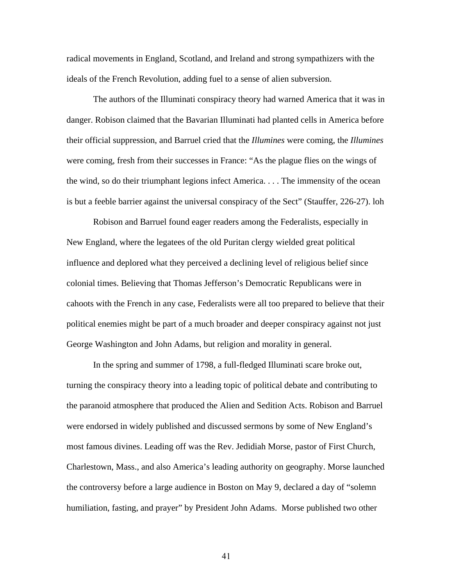radical movements in England, Scotland, and Ireland and strong sympathizers with the ideals of the French Revolution, adding fuel to a sense of alien subversion.

The authors of the Illuminati conspiracy theory had warned America that it was in danger. Robison claimed that the Bavarian Illuminati had planted cells in America before their official suppression, and Barruel cried that the *Illumines* were coming, the *Illumines* were coming, fresh from their successes in France: "As the plague flies on the wings of the wind, so do their triumphant legions infect America. . . . The immensity of the ocean is but a feeble barrier against the universal conspiracy of the Sect" (Stauffer, 226-27). loh

Robison and Barruel found eager readers among the Federalists, especially in New England, where the legatees of the old Puritan clergy wielded great political influence and deplored what they perceived a declining level of religious belief since colonial times. Believing that Thomas Jefferson's Democratic Republicans were in cahoots with the French in any case, Federalists were all too prepared to believe that their political enemies might be part of a much broader and deeper conspiracy against not just George Washington and John Adams, but religion and morality in general.

In the spring and summer of 1798, a full-fledged Illuminati scare broke out, turning the conspiracy theory into a leading topic of political debate and contributing to the paranoid atmosphere that produced the Alien and Sedition Acts. Robison and Barruel were endorsed in widely published and discussed sermons by some of New England's most famous divines. Leading off was the Rev. Jedidiah Morse, pastor of First Church, Charlestown, Mass., and also America's leading authority on geography. Morse launched the controversy before a large audience in Boston on May 9, declared a day of "solemn humiliation, fasting, and prayer" by President John Adams. Morse published two other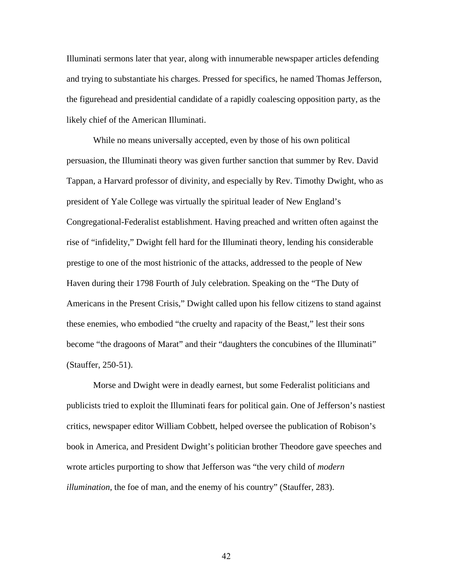Illuminati sermons later that year, along with innumerable newspaper articles defending and trying to substantiate his charges. Pressed for specifics, he named Thomas Jefferson, the figurehead and presidential candidate of a rapidly coalescing opposition party, as the likely chief of the American Illuminati.

While no means universally accepted, even by those of his own political persuasion, the Illuminati theory was given further sanction that summer by Rev. David Tappan, a Harvard professor of divinity, and especially by Rev. Timothy Dwight, who as president of Yale College was virtually the spiritual leader of New England's Congregational-Federalist establishment. Having preached and written often against the rise of "infidelity," Dwight fell hard for the Illuminati theory, lending his considerable prestige to one of the most histrionic of the attacks, addressed to the people of New Haven during their 1798 Fourth of July celebration. Speaking on the "The Duty of Americans in the Present Crisis," Dwight called upon his fellow citizens to stand against these enemies, who embodied "the cruelty and rapacity of the Beast," lest their sons become "the dragoons of Marat" and their "daughters the concubines of the Illuminati" (Stauffer, 250-51).

Morse and Dwight were in deadly earnest, but some Federalist politicians and publicists tried to exploit the Illuminati fears for political gain. One of Jefferson's nastiest critics, newspaper editor William Cobbett, helped oversee the publication of Robison's book in America, and President Dwight's politician brother Theodore gave speeches and wrote articles purporting to show that Jefferson was "the very child of *modern illumination*, the foe of man, and the enemy of his country" (Stauffer, 283).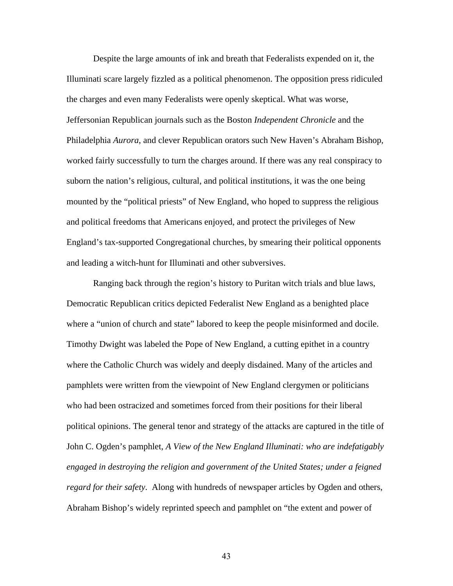Despite the large amounts of ink and breath that Federalists expended on it, the Illuminati scare largely fizzled as a political phenomenon. The opposition press ridiculed the charges and even many Federalists were openly skeptical. What was worse, Jeffersonian Republican journals such as the Boston *Independent Chronicle* and the Philadelphia *Aurora*, and clever Republican orators such New Haven's Abraham Bishop, worked fairly successfully to turn the charges around. If there was any real conspiracy to suborn the nation's religious, cultural, and political institutions, it was the one being mounted by the "political priests" of New England, who hoped to suppress the religious and political freedoms that Americans enjoyed, and protect the privileges of New England's tax-supported Congregational churches, by smearing their political opponents and leading a witch-hunt for Illuminati and other subversives.

Ranging back through the region's history to Puritan witch trials and blue laws, Democratic Republican critics depicted Federalist New England as a benighted place where a "union of church and state" labored to keep the people misinformed and docile. Timothy Dwight was labeled the Pope of New England, a cutting epithet in a country where the Catholic Church was widely and deeply disdained. Many of the articles and pamphlets were written from the viewpoint of New England clergymen or politicians who had been ostracized and sometimes forced from their positions for their liberal political opinions. The general tenor and strategy of the attacks are captured in the title of John C. Ogden's pamphlet, *A View of the New England Illuminati: who are indefatigably engaged in destroying the religion and government of the United States; under a feigned regard for their safety*. Along with hundreds of newspaper articles by Ogden and others, Abraham Bishop's widely reprinted speech and pamphlet on "the extent and power of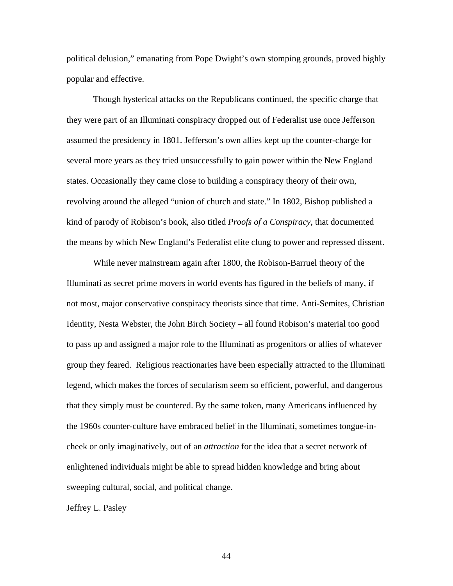political delusion," emanating from Pope Dwight's own stomping grounds, proved highly popular and effective.

Though hysterical attacks on the Republicans continued, the specific charge that they were part of an Illuminati conspiracy dropped out of Federalist use once Jefferson assumed the presidency in 1801. Jefferson's own allies kept up the counter-charge for several more years as they tried unsuccessfully to gain power within the New England states. Occasionally they came close to building a conspiracy theory of their own, revolving around the alleged "union of church and state." In 1802, Bishop published a kind of parody of Robison's book, also titled *Proofs of a Conspiracy*, that documented the means by which New England's Federalist elite clung to power and repressed dissent.

While never mainstream again after 1800, the Robison-Barruel theory of the Illuminati as secret prime movers in world events has figured in the beliefs of many, if not most, major conservative conspiracy theorists since that time. Anti-Semites, Christian Identity, Nesta Webster, the John Birch Society – all found Robison's material too good to pass up and assigned a major role to the Illuminati as progenitors or allies of whatever group they feared. Religious reactionaries have been especially attracted to the Illuminati legend, which makes the forces of secularism seem so efficient, powerful, and dangerous that they simply must be countered. By the same token, many Americans influenced by the 1960s counter-culture have embraced belief in the Illuminati, sometimes tongue-incheek or only imaginatively, out of an *attraction* for the idea that a secret network of enlightened individuals might be able to spread hidden knowledge and bring about sweeping cultural, social, and political change.

Jeffrey L. Pasley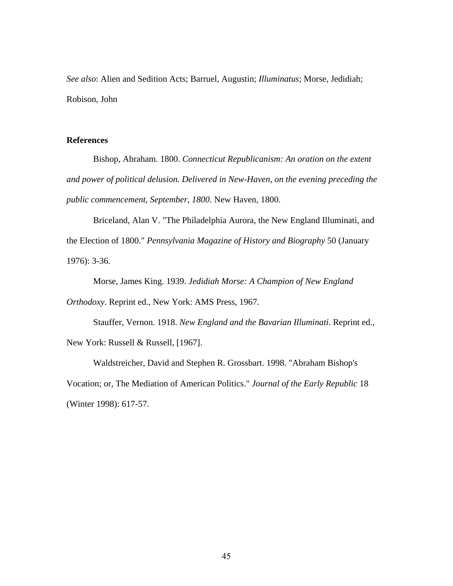*See also*: Alien and Sedition Acts; Barruel, Augustin; *Illuminatus*; Morse, Jedidiah; Robison, John

### **References**

Bishop, Abraham. 1800. *Connecticut Republicanism: An oration on the extent and power of political delusion. Delivered in New-Haven, on the evening preceding the public commencement, September, 1800*. New Haven, 1800.

Briceland, Alan V. "The Philadelphia Aurora, the New England Illuminati, and the Election of 1800." *Pennsylvania Magazine of History and Biography* 50 (January 1976): 3-36.

Morse, James King. 1939. *Jedidiah Morse: A Champion of New England Orthodoxy*. Reprint ed., New York: AMS Press, 1967.

Stauffer, Vernon. 1918. *New England and the Bavarian Illuminati*. Reprint ed., New York: Russell & Russell, [1967].

Waldstreicher, David and Stephen R. Grossbart. 1998. "Abraham Bishop's Vocation; or, The Mediation of American Politics." *Journal of the Early Republic* 18 (Winter 1998): 617-57.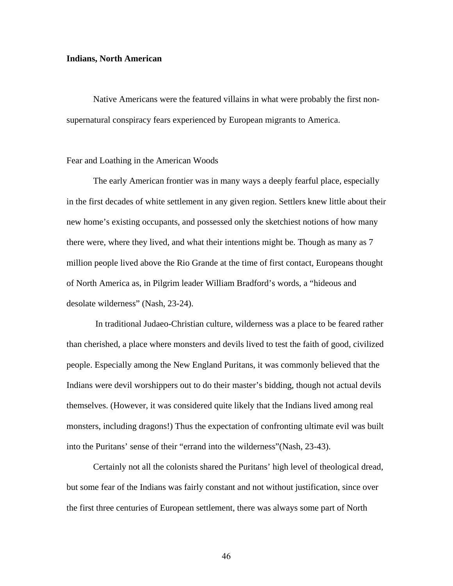#### **Indians, North American**

 Native Americans were the featured villains in what were probably the first nonsupernatural conspiracy fears experienced by European migrants to America.

## Fear and Loathing in the American Woods

The early American frontier was in many ways a deeply fearful place, especially in the first decades of white settlement in any given region. Settlers knew little about their new home's existing occupants, and possessed only the sketchiest notions of how many there were, where they lived, and what their intentions might be. Though as many as 7 million people lived above the Rio Grande at the time of first contact, Europeans thought of North America as, in Pilgrim leader William Bradford's words, a "hideous and desolate wilderness" (Nash, 23-24).

 In traditional Judaeo-Christian culture, wilderness was a place to be feared rather than cherished, a place where monsters and devils lived to test the faith of good, civilized people. Especially among the New England Puritans, it was commonly believed that the Indians were devil worshippers out to do their master's bidding, though not actual devils themselves. (However, it was considered quite likely that the Indians lived among real monsters, including dragons!) Thus the expectation of confronting ultimate evil was built into the Puritans' sense of their "errand into the wilderness"(Nash, 23-43).

Certainly not all the colonists shared the Puritans' high level of theological dread, but some fear of the Indians was fairly constant and not without justification, since over the first three centuries of European settlement, there was always some part of North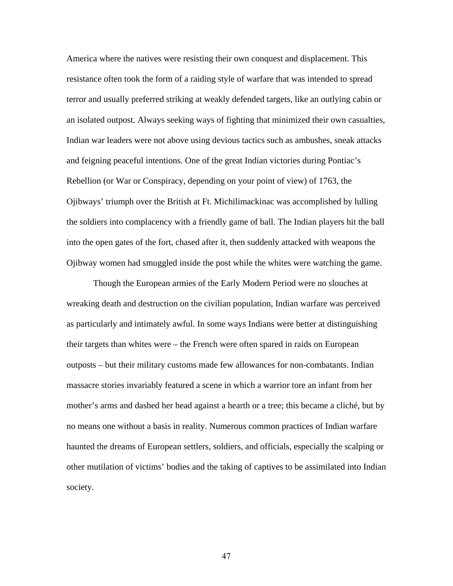America where the natives were resisting their own conquest and displacement. This resistance often took the form of a raiding style of warfare that was intended to spread terror and usually preferred striking at weakly defended targets, like an outlying cabin or an isolated outpost. Always seeking ways of fighting that minimized their own casualties, Indian war leaders were not above using devious tactics such as ambushes, sneak attacks and feigning peaceful intentions. One of the great Indian victories during Pontiac's Rebellion (or War or Conspiracy, depending on your point of view) of 1763, the Ojibways' triumph over the British at Ft. Michilimackinac was accomplished by lulling the soldiers into complacency with a friendly game of ball. The Indian players hit the ball into the open gates of the fort, chased after it, then suddenly attacked with weapons the Ojibway women had smuggled inside the post while the whites were watching the game.

Though the European armies of the Early Modern Period were no slouches at wreaking death and destruction on the civilian population, Indian warfare was perceived as particularly and intimately awful. In some ways Indians were better at distinguishing their targets than whites were – the French were often spared in raids on European outposts – but their military customs made few allowances for non-combatants. Indian massacre stories invariably featured a scene in which a warrior tore an infant from her mother's arms and dashed her head against a hearth or a tree; this became a cliché, but by no means one without a basis in reality. Numerous common practices of Indian warfare haunted the dreams of European settlers, soldiers, and officials, especially the scalping or other mutilation of victims' bodies and the taking of captives to be assimilated into Indian society.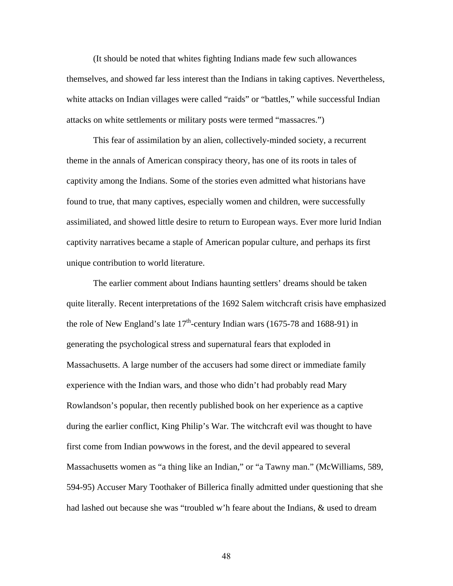(It should be noted that whites fighting Indians made few such allowances themselves, and showed far less interest than the Indians in taking captives. Nevertheless, white attacks on Indian villages were called "raids" or "battles," while successful Indian attacks on white settlements or military posts were termed "massacres.")

This fear of assimilation by an alien, collectively-minded society, a recurrent theme in the annals of American conspiracy theory, has one of its roots in tales of captivity among the Indians. Some of the stories even admitted what historians have found to true, that many captives, especially women and children, were successfully assimiliated, and showed little desire to return to European ways. Ever more lurid Indian captivity narratives became a staple of American popular culture, and perhaps its first unique contribution to world literature.

The earlier comment about Indians haunting settlers' dreams should be taken quite literally. Recent interpretations of the 1692 Salem witchcraft crisis have emphasized the role of New England's late  $17<sup>th</sup>$ -century Indian wars (1675-78 and 1688-91) in generating the psychological stress and supernatural fears that exploded in Massachusetts. A large number of the accusers had some direct or immediate family experience with the Indian wars, and those who didn't had probably read Mary Rowlandson's popular, then recently published book on her experience as a captive during the earlier conflict, King Philip's War. The witchcraft evil was thought to have first come from Indian powwows in the forest, and the devil appeared to several Massachusetts women as "a thing like an Indian," or "a Tawny man." (McWilliams, 589, 594-95) Accuser Mary Toothaker of Billerica finally admitted under questioning that she had lashed out because she was "troubled w'h feare about the Indians, & used to dream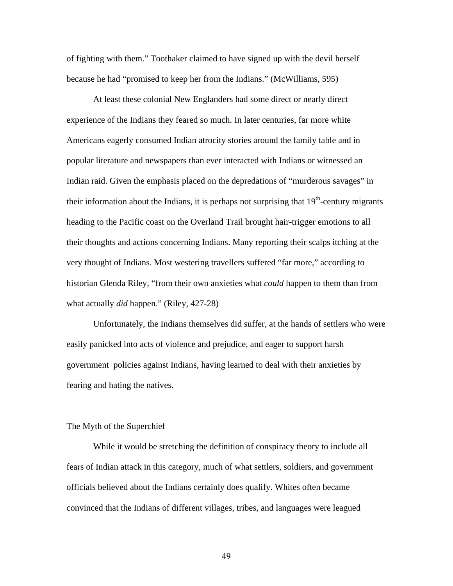of fighting with them." Toothaker claimed to have signed up with the devil herself because he had "promised to keep her from the Indians." (McWilliams, 595)

At least these colonial New Englanders had some direct or nearly direct experience of the Indians they feared so much. In later centuries, far more white Americans eagerly consumed Indian atrocity stories around the family table and in popular literature and newspapers than ever interacted with Indians or witnessed an Indian raid. Given the emphasis placed on the depredations of "murderous savages" in their information about the Indians, it is perhaps not surprising that  $19<sup>th</sup>$ -century migrants heading to the Pacific coast on the Overland Trail brought hair-trigger emotions to all their thoughts and actions concerning Indians. Many reporting their scalps itching at the very thought of Indians. Most westering travellers suffered "far more," according to historian Glenda Riley, "from their own anxieties what *could* happen to them than from what actually *did* happen." (Riley, 427-28)

Unfortunately, the Indians themselves did suffer, at the hands of settlers who were easily panicked into acts of violence and prejudice, and eager to support harsh government policies against Indians, having learned to deal with their anxieties by fearing and hating the natives.

#### The Myth of the Superchief

While it would be stretching the definition of conspiracy theory to include all fears of Indian attack in this category, much of what settlers, soldiers, and government officials believed about the Indians certainly does qualify. Whites often became convinced that the Indians of different villages, tribes, and languages were leagued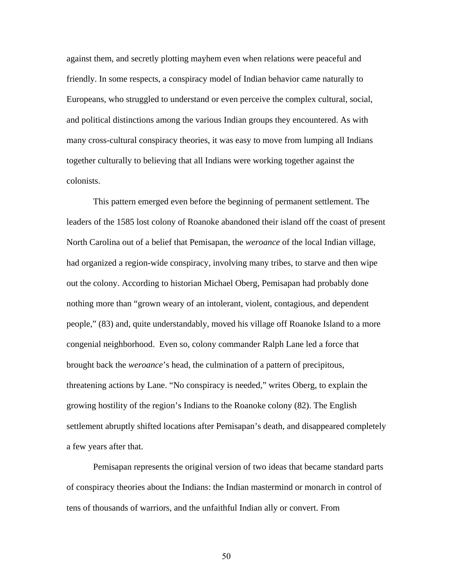against them, and secretly plotting mayhem even when relations were peaceful and friendly. In some respects, a conspiracy model of Indian behavior came naturally to Europeans, who struggled to understand or even perceive the complex cultural, social, and political distinctions among the various Indian groups they encountered. As with many cross-cultural conspiracy theories, it was easy to move from lumping all Indians together culturally to believing that all Indians were working together against the colonists.

This pattern emerged even before the beginning of permanent settlement. The leaders of the 1585 lost colony of Roanoke abandoned their island off the coast of present North Carolina out of a belief that Pemisapan, the *weroance* of the local Indian village, had organized a region-wide conspiracy, involving many tribes, to starve and then wipe out the colony. According to historian Michael Oberg, Pemisapan had probably done nothing more than "grown weary of an intolerant, violent, contagious, and dependent people," (83) and, quite understandably, moved his village off Roanoke Island to a more congenial neighborhood. Even so, colony commander Ralph Lane led a force that brought back the *weroance*'s head, the culmination of a pattern of precipitous, threatening actions by Lane. "No conspiracy is needed," writes Oberg, to explain the growing hostility of the region's Indians to the Roanoke colony (82). The English settlement abruptly shifted locations after Pemisapan's death, and disappeared completely a few years after that.

 Pemisapan represents the original version of two ideas that became standard parts of conspiracy theories about the Indians: the Indian mastermind or monarch in control of tens of thousands of warriors, and the unfaithful Indian ally or convert. From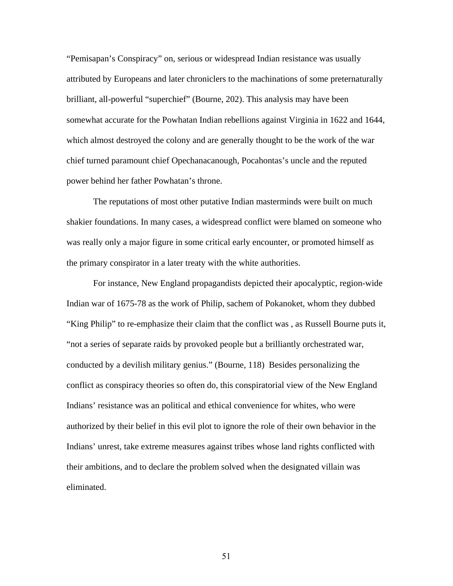"Pemisapan's Conspiracy" on, serious or widespread Indian resistance was usually attributed by Europeans and later chroniclers to the machinations of some preternaturally brilliant, all-powerful "superchief" (Bourne, 202). This analysis may have been somewhat accurate for the Powhatan Indian rebellions against Virginia in 1622 and 1644, which almost destroyed the colony and are generally thought to be the work of the war chief turned paramount chief Opechanacanough, Pocahontas's uncle and the reputed power behind her father Powhatan's throne.

The reputations of most other putative Indian masterminds were built on much shakier foundations. In many cases, a widespread conflict were blamed on someone who was really only a major figure in some critical early encounter, or promoted himself as the primary conspirator in a later treaty with the white authorities.

For instance, New England propagandists depicted their apocalyptic, region-wide Indian war of 1675-78 as the work of Philip, sachem of Pokanoket, whom they dubbed "King Philip" to re-emphasize their claim that the conflict was , as Russell Bourne puts it, "not a series of separate raids by provoked people but a brilliantly orchestrated war, conducted by a devilish military genius." (Bourne, 118) Besides personalizing the conflict as conspiracy theories so often do, this conspiratorial view of the New England Indians' resistance was an political and ethical convenience for whites, who were authorized by their belief in this evil plot to ignore the role of their own behavior in the Indians' unrest, take extreme measures against tribes whose land rights conflicted with their ambitions, and to declare the problem solved when the designated villain was eliminated.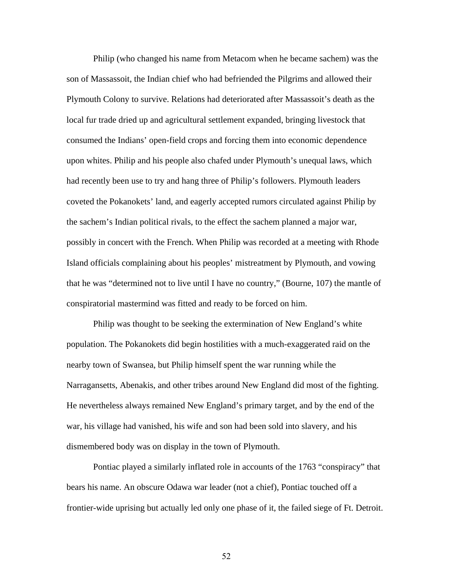Philip (who changed his name from Metacom when he became sachem) was the son of Massassoit, the Indian chief who had befriended the Pilgrims and allowed their Plymouth Colony to survive. Relations had deteriorated after Massassoit's death as the local fur trade dried up and agricultural settlement expanded, bringing livestock that consumed the Indians' open-field crops and forcing them into economic dependence upon whites. Philip and his people also chafed under Plymouth's unequal laws, which had recently been use to try and hang three of Philip's followers. Plymouth leaders coveted the Pokanokets' land, and eagerly accepted rumors circulated against Philip by the sachem's Indian political rivals, to the effect the sachem planned a major war, possibly in concert with the French. When Philip was recorded at a meeting with Rhode Island officials complaining about his peoples' mistreatment by Plymouth, and vowing that he was "determined not to live until I have no country," (Bourne, 107) the mantle of conspiratorial mastermind was fitted and ready to be forced on him.

Philip was thought to be seeking the extermination of New England's white population. The Pokanokets did begin hostilities with a much-exaggerated raid on the nearby town of Swansea, but Philip himself spent the war running while the Narragansetts, Abenakis, and other tribes around New England did most of the fighting. He nevertheless always remained New England's primary target, and by the end of the war, his village had vanished, his wife and son had been sold into slavery, and his dismembered body was on display in the town of Plymouth.

Pontiac played a similarly inflated role in accounts of the 1763 "conspiracy" that bears his name. An obscure Odawa war leader (not a chief), Pontiac touched off a frontier-wide uprising but actually led only one phase of it, the failed siege of Ft. Detroit.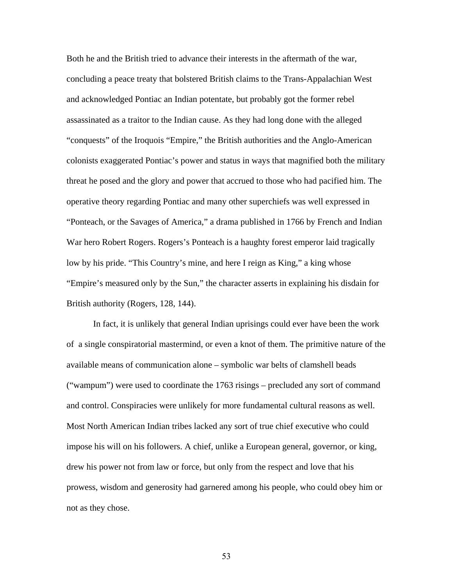Both he and the British tried to advance their interests in the aftermath of the war, concluding a peace treaty that bolstered British claims to the Trans-Appalachian West and acknowledged Pontiac an Indian potentate, but probably got the former rebel assassinated as a traitor to the Indian cause. As they had long done with the alleged "conquests" of the Iroquois "Empire," the British authorities and the Anglo-American colonists exaggerated Pontiac's power and status in ways that magnified both the military threat he posed and the glory and power that accrued to those who had pacified him. The operative theory regarding Pontiac and many other superchiefs was well expressed in "Ponteach, or the Savages of America," a drama published in 1766 by French and Indian War hero Robert Rogers. Rogers's Ponteach is a haughty forest emperor laid tragically low by his pride. "This Country's mine, and here I reign as King," a king whose "Empire's measured only by the Sun," the character asserts in explaining his disdain for British authority (Rogers, 128, 144).

In fact, it is unlikely that general Indian uprisings could ever have been the work of a single conspiratorial mastermind, or even a knot of them. The primitive nature of the available means of communication alone – symbolic war belts of clamshell beads ("wampum") were used to coordinate the 1763 risings – precluded any sort of command and control. Conspiracies were unlikely for more fundamental cultural reasons as well. Most North American Indian tribes lacked any sort of true chief executive who could impose his will on his followers. A chief, unlike a European general, governor, or king, drew his power not from law or force, but only from the respect and love that his prowess, wisdom and generosity had garnered among his people, who could obey him or not as they chose.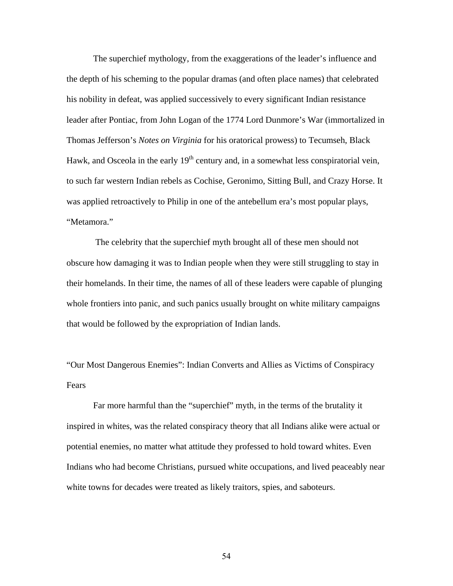The superchief mythology, from the exaggerations of the leader's influence and the depth of his scheming to the popular dramas (and often place names) that celebrated his nobility in defeat, was applied successively to every significant Indian resistance leader after Pontiac, from John Logan of the 1774 Lord Dunmore's War (immortalized in Thomas Jefferson's *Notes on Virginia* for his oratorical prowess) to Tecumseh, Black Hawk, and Osceola in the early  $19<sup>th</sup>$  century and, in a somewhat less conspiratorial vein, to such far western Indian rebels as Cochise, Geronimo, Sitting Bull, and Crazy Horse. It was applied retroactively to Philip in one of the antebellum era's most popular plays, "Metamora."

 The celebrity that the superchief myth brought all of these men should not obscure how damaging it was to Indian people when they were still struggling to stay in their homelands. In their time, the names of all of these leaders were capable of plunging whole frontiers into panic, and such panics usually brought on white military campaigns that would be followed by the expropriation of Indian lands.

"Our Most Dangerous Enemies": Indian Converts and Allies as Victims of Conspiracy **Fears** 

 Far more harmful than the "superchief" myth, in the terms of the brutality it inspired in whites, was the related conspiracy theory that all Indians alike were actual or potential enemies, no matter what attitude they professed to hold toward whites. Even Indians who had become Christians, pursued white occupations, and lived peaceably near white towns for decades were treated as likely traitors, spies, and saboteurs.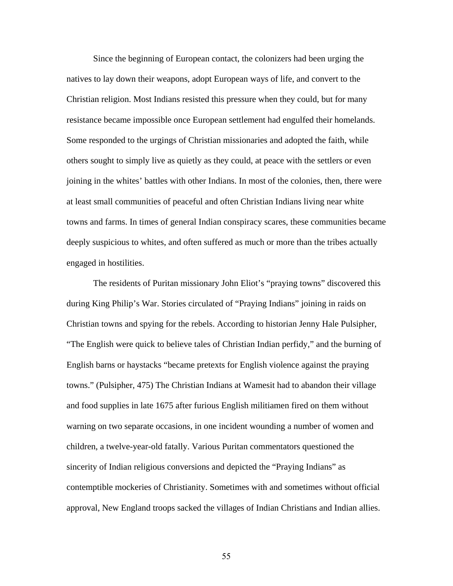Since the beginning of European contact, the colonizers had been urging the natives to lay down their weapons, adopt European ways of life, and convert to the Christian religion. Most Indians resisted this pressure when they could, but for many resistance became impossible once European settlement had engulfed their homelands. Some responded to the urgings of Christian missionaries and adopted the faith, while others sought to simply live as quietly as they could, at peace with the settlers or even joining in the whites' battles with other Indians. In most of the colonies, then, there were at least small communities of peaceful and often Christian Indians living near white towns and farms. In times of general Indian conspiracy scares, these communities became deeply suspicious to whites, and often suffered as much or more than the tribes actually engaged in hostilities.

The residents of Puritan missionary John Eliot's "praying towns" discovered this during King Philip's War. Stories circulated of "Praying Indians" joining in raids on Christian towns and spying for the rebels. According to historian Jenny Hale Pulsipher, "The English were quick to believe tales of Christian Indian perfidy," and the burning of English barns or haystacks "became pretexts for English violence against the praying towns." (Pulsipher, 475) The Christian Indians at Wamesit had to abandon their village and food supplies in late 1675 after furious English militiamen fired on them without warning on two separate occasions, in one incident wounding a number of women and children, a twelve-year-old fatally. Various Puritan commentators questioned the sincerity of Indian religious conversions and depicted the "Praying Indians" as contemptible mockeries of Christianity. Sometimes with and sometimes without official approval, New England troops sacked the villages of Indian Christians and Indian allies.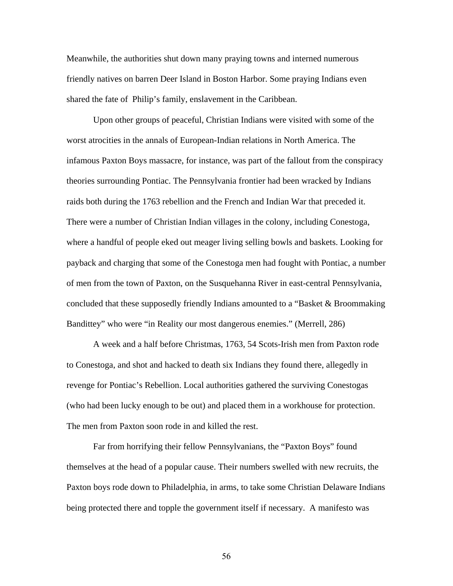Meanwhile, the authorities shut down many praying towns and interned numerous friendly natives on barren Deer Island in Boston Harbor. Some praying Indians even shared the fate of Philip's family, enslavement in the Caribbean.

Upon other groups of peaceful, Christian Indians were visited with some of the worst atrocities in the annals of European-Indian relations in North America. The infamous Paxton Boys massacre, for instance, was part of the fallout from the conspiracy theories surrounding Pontiac. The Pennsylvania frontier had been wracked by Indians raids both during the 1763 rebellion and the French and Indian War that preceded it. There were a number of Christian Indian villages in the colony, including Conestoga, where a handful of people eked out meager living selling bowls and baskets. Looking for payback and charging that some of the Conestoga men had fought with Pontiac, a number of men from the town of Paxton, on the Susquehanna River in east-central Pennsylvania, concluded that these supposedly friendly Indians amounted to a "Basket & Broommaking Bandittey" who were "in Reality our most dangerous enemies." (Merrell, 286)

A week and a half before Christmas, 1763, 54 Scots-Irish men from Paxton rode to Conestoga, and shot and hacked to death six Indians they found there, allegedly in revenge for Pontiac's Rebellion. Local authorities gathered the surviving Conestogas (who had been lucky enough to be out) and placed them in a workhouse for protection. The men from Paxton soon rode in and killed the rest.

Far from horrifying their fellow Pennsylvanians, the "Paxton Boys" found themselves at the head of a popular cause. Their numbers swelled with new recruits, the Paxton boys rode down to Philadelphia, in arms, to take some Christian Delaware Indians being protected there and topple the government itself if necessary. A manifesto was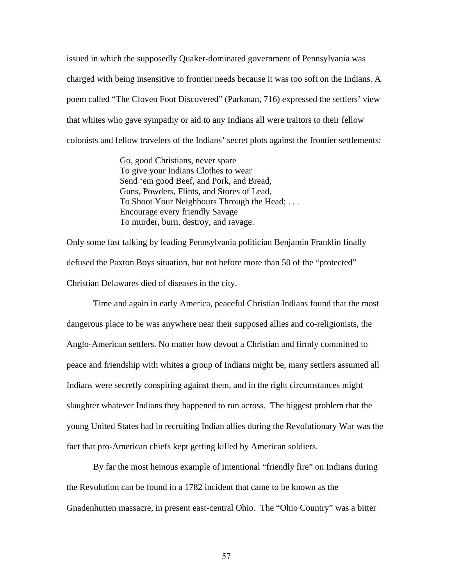issued in which the supposedly Quaker-dominated government of Pennsylvania was charged with being insensitive to frontier needs because it was too soft on the Indians. A poem called "The Cloven Foot Discovered" (Parkman, 716) expressed the settlers' view that whites who gave sympathy or aid to any Indians all were traitors to their fellow colonists and fellow travelers of the Indians' secret plots against the frontier settlements:

> Go, good Christians, never spare To give your Indians Clothes to wear Send 'em good Beef, and Pork, and Bread, Guns, Powders, Flints, and Stores of Lead, To Shoot Your Neighbours Through the Head; . . . Encourage every friendly Savage To murder, burn, destroy, and ravage.

Only some fast talking by leading Pennsylvania politician Benjamin Franklin finally defused the Paxton Boys situation, but not before more than 50 of the "protected" Christian Delawares died of diseases in the city.

 Time and again in early America, peaceful Christian Indians found that the most dangerous place to be was anywhere near their supposed allies and co-religionists, the Anglo-American settlers. No matter how devout a Christian and firmly committed to peace and friendship with whites a group of Indians might be, many settlers assumed all Indians were secretly conspiring against them, and in the right circumstances might slaughter whatever Indians they happened to run across. The biggest problem that the young United States had in recruiting Indian allies during the Revolutionary War was the fact that pro-American chiefs kept getting killed by American soldiers.

By far the most heinous example of intentional "friendly fire" on Indians during the Revolution can be found in a 1782 incident that came to be known as the Gnadenhutten massacre, in present east-central Ohio. The "Ohio Country" was a bitter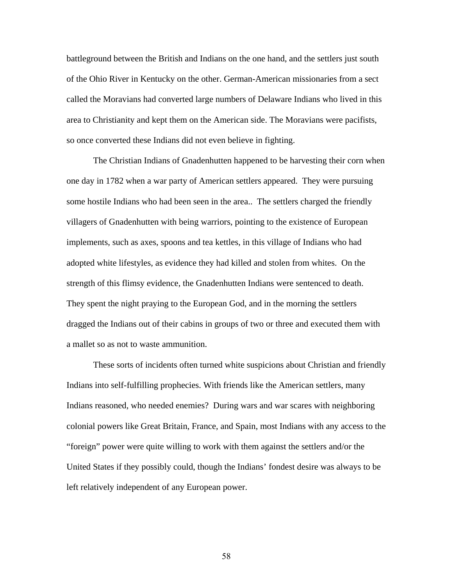battleground between the British and Indians on the one hand, and the settlers just south of the Ohio River in Kentucky on the other. German-American missionaries from a sect called the Moravians had converted large numbers of Delaware Indians who lived in this area to Christianity and kept them on the American side. The Moravians were pacifists, so once converted these Indians did not even believe in fighting.

The Christian Indians of Gnadenhutten happened to be harvesting their corn when one day in 1782 when a war party of American settlers appeared. They were pursuing some hostile Indians who had been seen in the area.. The settlers charged the friendly villagers of Gnadenhutten with being warriors, pointing to the existence of European implements, such as axes, spoons and tea kettles, in this village of Indians who had adopted white lifestyles, as evidence they had killed and stolen from whites. On the strength of this flimsy evidence, the Gnadenhutten Indians were sentenced to death. They spent the night praying to the European God, and in the morning the settlers dragged the Indians out of their cabins in groups of two or three and executed them with a mallet so as not to waste ammunition.

These sorts of incidents often turned white suspicions about Christian and friendly Indians into self-fulfilling prophecies. With friends like the American settlers, many Indians reasoned, who needed enemies? During wars and war scares with neighboring colonial powers like Great Britain, France, and Spain, most Indians with any access to the "foreign" power were quite willing to work with them against the settlers and/or the United States if they possibly could, though the Indians' fondest desire was always to be left relatively independent of any European power.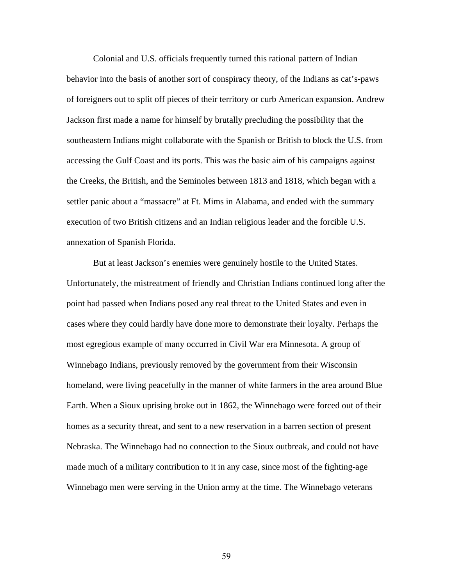Colonial and U.S. officials frequently turned this rational pattern of Indian behavior into the basis of another sort of conspiracy theory, of the Indians as cat's-paws of foreigners out to split off pieces of their territory or curb American expansion. Andrew Jackson first made a name for himself by brutally precluding the possibility that the southeastern Indians might collaborate with the Spanish or British to block the U.S. from accessing the Gulf Coast and its ports. This was the basic aim of his campaigns against the Creeks, the British, and the Seminoles between 1813 and 1818, which began with a settler panic about a "massacre" at Ft. Mims in Alabama, and ended with the summary execution of two British citizens and an Indian religious leader and the forcible U.S. annexation of Spanish Florida.

But at least Jackson's enemies were genuinely hostile to the United States. Unfortunately, the mistreatment of friendly and Christian Indians continued long after the point had passed when Indians posed any real threat to the United States and even in cases where they could hardly have done more to demonstrate their loyalty. Perhaps the most egregious example of many occurred in Civil War era Minnesota. A group of Winnebago Indians, previously removed by the government from their Wisconsin homeland, were living peacefully in the manner of white farmers in the area around Blue Earth. When a Sioux uprising broke out in 1862, the Winnebago were forced out of their homes as a security threat, and sent to a new reservation in a barren section of present Nebraska. The Winnebago had no connection to the Sioux outbreak, and could not have made much of a military contribution to it in any case, since most of the fighting-age Winnebago men were serving in the Union army at the time. The Winnebago veterans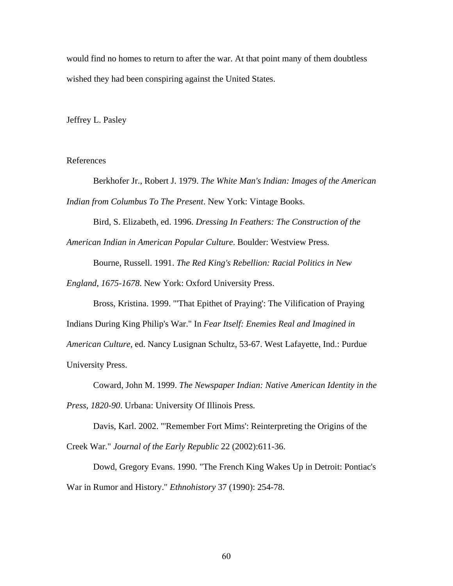would find no homes to return to after the war. At that point many of them doubtless wished they had been conspiring against the United States.

Jeffrey L. Pasley

## References

Berkhofer Jr., Robert J. 1979. *The White Man's Indian: Images of the American Indian from Columbus To The Present*. New York: Vintage Books.

Bird, S. Elizabeth, ed. 1996. *Dressing In Feathers: The Construction of the American Indian in American Popular Culture*. Boulder: Westview Press.

Bourne, Russell. 1991. *The Red King's Rebellion: Racial Politics in New England, 1675-1678*. New York: Oxford University Press.

Bross, Kristina. 1999. "'That Epithet of Praying': The Vilification of Praying Indians During King Philip's War." In *Fear Itself: Enemies Real and Imagined in American Culture*, ed. Nancy Lusignan Schultz, 53-67. West Lafayette, Ind.: Purdue University Press.

Coward, John M. 1999. *The Newspaper Indian: Native American Identity in the Press, 1820-90*. Urbana: University Of Illinois Press.

Davis, Karl. 2002. "'Remember Fort Mims': Reinterpreting the Origins of the Creek War." *Journal of the Early Republic* 22 (2002):611-36.

Dowd, Gregory Evans. 1990. "The French King Wakes Up in Detroit: Pontiac's War in Rumor and History." *Ethnohistory* 37 (1990): 254-78.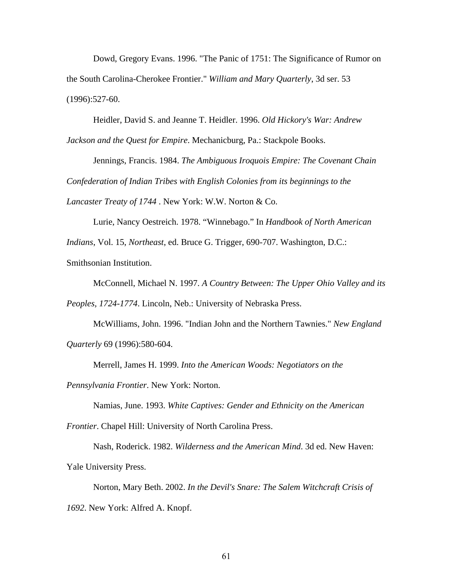Dowd, Gregory Evans. 1996. "The Panic of 1751: The Significance of Rumor on the South Carolina-Cherokee Frontier." *William and Mary Quarterly*, 3d ser. 53 (1996):527-60.

Heidler, David S. and Jeanne T. Heidler. 1996. *Old Hickory's War: Andrew Jackson and the Quest for Empire*. Mechanicburg, Pa.: Stackpole Books.

Jennings, Francis. 1984. *The Ambiguous Iroquois Empire: The Covenant Chain Confederation of Indian Tribes with English Colonies from its beginnings to the Lancaster Treaty of 1744* . New York: W.W. Norton & Co.

Lurie, Nancy Oestreich. 1978. "Winnebago." In *Handbook of North American Indians*, Vol. 15, *Northeast*, ed. Bruce G. Trigger, 690-707. Washington, D.C.: Smithsonian Institution.

McConnell, Michael N. 1997. *A Country Between: The Upper Ohio Valley and its Peoples, 1724-1774*. Lincoln, Neb.: University of Nebraska Press.

McWilliams, John. 1996. "Indian John and the Northern Tawnies." *New England Quarterly* 69 (1996):580-604.

Merrell, James H. 1999. *Into the American Woods: Negotiators on the* 

*Pennsylvania Frontier*. New York: Norton.

Namias, June. 1993. *White Captives: Gender and Ethnicity on the American* 

*Frontier*. Chapel Hill: University of North Carolina Press.

Nash, Roderick. 1982. *Wilderness and the American Mind*. 3d ed. New Haven: Yale University Press.

Norton, Mary Beth. 2002. *In the Devil's Snare: The Salem Witchcraft Crisis of 1692*. New York: Alfred A. Knopf.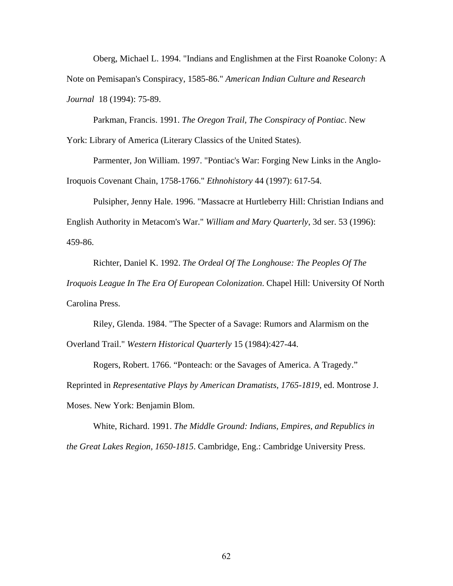Oberg, Michael L. 1994. "Indians and Englishmen at the First Roanoke Colony: A Note on Pemisapan's Conspiracy, 1585-86." *American Indian Culture and Research Journal* 18 (1994): 75-89.

Parkman, Francis. 1991. *The Oregon Trail, The Conspiracy of Pontiac*. New York: Library of America (Literary Classics of the United States).

Parmenter, Jon William. 1997. "Pontiac's War: Forging New Links in the Anglo-Iroquois Covenant Chain, 1758-1766." *Ethnohistory* 44 (1997): 617-54.

Pulsipher, Jenny Hale. 1996. "Massacre at Hurtleberry Hill: Christian Indians and English Authority in Metacom's War." *William and Mary Quarterly*, 3d ser. 53 (1996): 459-86.

Richter, Daniel K. 1992. *The Ordeal Of The Longhouse: The Peoples Of The Iroquois League In The Era Of European Colonization*. Chapel Hill: University Of North Carolina Press.

Riley, Glenda. 1984. "The Specter of a Savage: Rumors and Alarmism on the Overland Trail." *Western Historical Quarterly* 15 (1984):427-44.

Rogers, Robert. 1766. "Ponteach: or the Savages of America. A Tragedy." Reprinted in *Representative Plays by American Dramatists, 1765-1819*, ed. Montrose J. Moses. New York: Benjamin Blom.

White, Richard. 1991. *The Middle Ground: Indians, Empires, and Republics in the Great Lakes Region, 1650-1815*. Cambridge, Eng.: Cambridge University Press.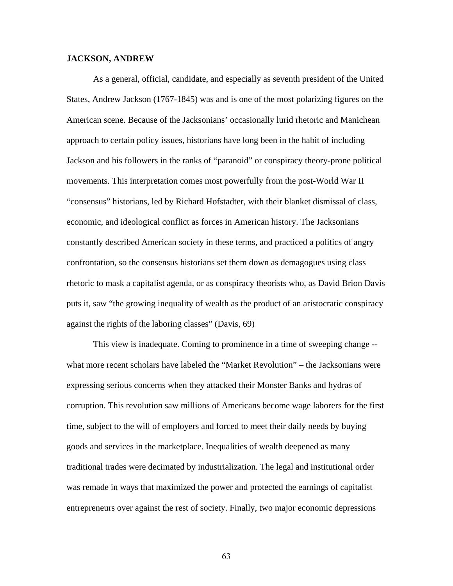### **JACKSON, ANDREW**

As a general, official, candidate, and especially as seventh president of the United States, Andrew Jackson (1767-1845) was and is one of the most polarizing figures on the American scene. Because of the Jacksonians' occasionally lurid rhetoric and Manichean approach to certain policy issues, historians have long been in the habit of including Jackson and his followers in the ranks of "paranoid" or conspiracy theory-prone political movements. This interpretation comes most powerfully from the post-World War II "consensus" historians, led by Richard Hofstadter, with their blanket dismissal of class, economic, and ideological conflict as forces in American history. The Jacksonians constantly described American society in these terms, and practiced a politics of angry confrontation, so the consensus historians set them down as demagogues using class rhetoric to mask a capitalist agenda, or as conspiracy theorists who, as David Brion Davis puts it, saw "the growing inequality of wealth as the product of an aristocratic conspiracy against the rights of the laboring classes" (Davis, 69)

This view is inadequate. Coming to prominence in a time of sweeping change - what more recent scholars have labeled the "Market Revolution" – the Jacksonians were expressing serious concerns when they attacked their Monster Banks and hydras of corruption. This revolution saw millions of Americans become wage laborers for the first time, subject to the will of employers and forced to meet their daily needs by buying goods and services in the marketplace. Inequalities of wealth deepened as many traditional trades were decimated by industrialization. The legal and institutional order was remade in ways that maximized the power and protected the earnings of capitalist entrepreneurs over against the rest of society. Finally, two major economic depressions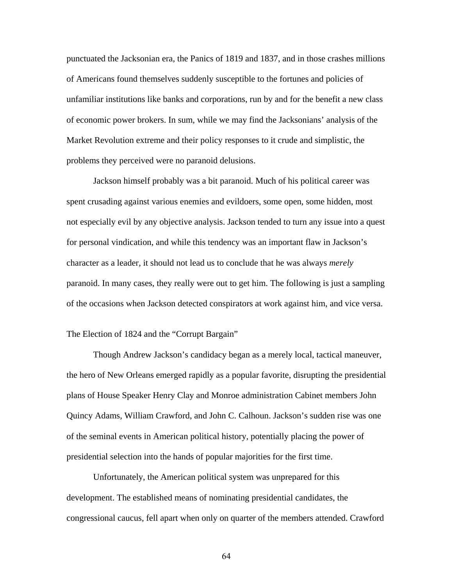punctuated the Jacksonian era, the Panics of 1819 and 1837, and in those crashes millions of Americans found themselves suddenly susceptible to the fortunes and policies of unfamiliar institutions like banks and corporations, run by and for the benefit a new class of economic power brokers. In sum, while we may find the Jacksonians' analysis of the Market Revolution extreme and their policy responses to it crude and simplistic, the problems they perceived were no paranoid delusions.

 Jackson himself probably was a bit paranoid. Much of his political career was spent crusading against various enemies and evildoers, some open, some hidden, most not especially evil by any objective analysis. Jackson tended to turn any issue into a quest for personal vindication, and while this tendency was an important flaw in Jackson's character as a leader, it should not lead us to conclude that he was always *merely* paranoid. In many cases, they really were out to get him. The following is just a sampling of the occasions when Jackson detected conspirators at work against him, and vice versa.

# The Election of 1824 and the "Corrupt Bargain"

 Though Andrew Jackson's candidacy began as a merely local, tactical maneuver, the hero of New Orleans emerged rapidly as a popular favorite, disrupting the presidential plans of House Speaker Henry Clay and Monroe administration Cabinet members John Quincy Adams, William Crawford, and John C. Calhoun. Jackson's sudden rise was one of the seminal events in American political history, potentially placing the power of presidential selection into the hands of popular majorities for the first time.

Unfortunately, the American political system was unprepared for this development. The established means of nominating presidential candidates, the congressional caucus, fell apart when only on quarter of the members attended. Crawford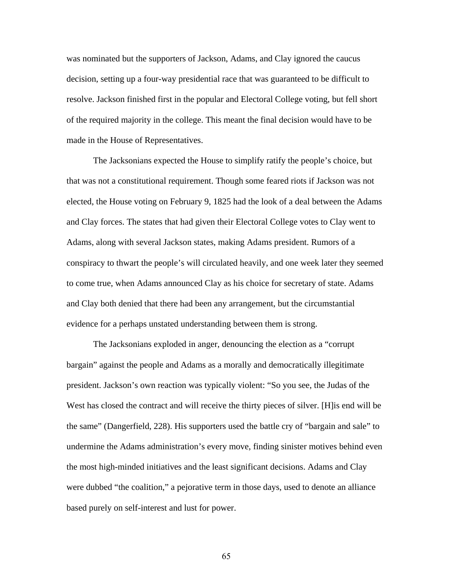was nominated but the supporters of Jackson, Adams, and Clay ignored the caucus decision, setting up a four-way presidential race that was guaranteed to be difficult to resolve. Jackson finished first in the popular and Electoral College voting, but fell short of the required majority in the college. This meant the final decision would have to be made in the House of Representatives.

The Jacksonians expected the House to simplify ratify the people's choice, but that was not a constitutional requirement. Though some feared riots if Jackson was not elected, the House voting on February 9, 1825 had the look of a deal between the Adams and Clay forces. The states that had given their Electoral College votes to Clay went to Adams, along with several Jackson states, making Adams president. Rumors of a conspiracy to thwart the people's will circulated heavily, and one week later they seemed to come true, when Adams announced Clay as his choice for secretary of state. Adams and Clay both denied that there had been any arrangement, but the circumstantial evidence for a perhaps unstated understanding between them is strong.

 The Jacksonians exploded in anger, denouncing the election as a "corrupt bargain" against the people and Adams as a morally and democratically illegitimate president. Jackson's own reaction was typically violent: "So you see, the Judas of the West has closed the contract and will receive the thirty pieces of silver. [H]is end will be the same" (Dangerfield, 228). His supporters used the battle cry of "bargain and sale" to undermine the Adams administration's every move, finding sinister motives behind even the most high-minded initiatives and the least significant decisions. Adams and Clay were dubbed "the coalition," a pejorative term in those days, used to denote an alliance based purely on self-interest and lust for power.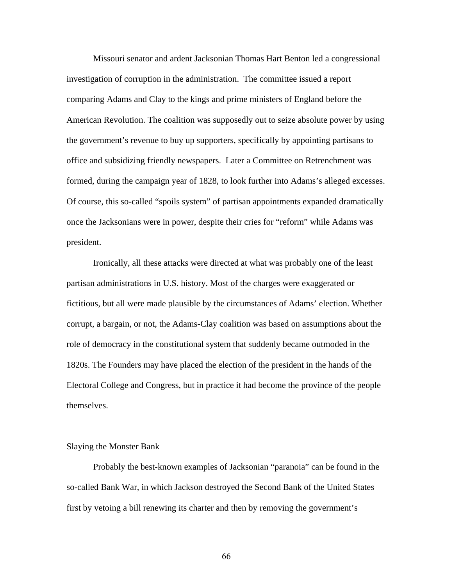Missouri senator and ardent Jacksonian Thomas Hart Benton led a congressional investigation of corruption in the administration. The committee issued a report comparing Adams and Clay to the kings and prime ministers of England before the American Revolution. The coalition was supposedly out to seize absolute power by using the government's revenue to buy up supporters, specifically by appointing partisans to office and subsidizing friendly newspapers. Later a Committee on Retrenchment was formed, during the campaign year of 1828, to look further into Adams's alleged excesses. Of course, this so-called "spoils system" of partisan appointments expanded dramatically once the Jacksonians were in power, despite their cries for "reform" while Adams was president.

Ironically, all these attacks were directed at what was probably one of the least partisan administrations in U.S. history. Most of the charges were exaggerated or fictitious, but all were made plausible by the circumstances of Adams' election. Whether corrupt, a bargain, or not, the Adams-Clay coalition was based on assumptions about the role of democracy in the constitutional system that suddenly became outmoded in the 1820s. The Founders may have placed the election of the president in the hands of the Electoral College and Congress, but in practice it had become the province of the people themselves.

#### Slaying the Monster Bank

 Probably the best-known examples of Jacksonian "paranoia" can be found in the so-called Bank War, in which Jackson destroyed the Second Bank of the United States first by vetoing a bill renewing its charter and then by removing the government's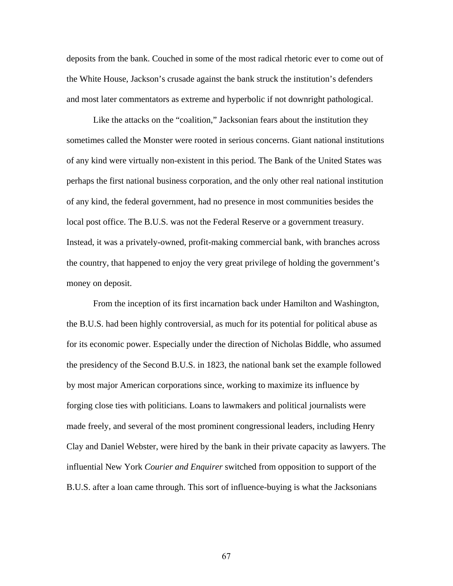deposits from the bank. Couched in some of the most radical rhetoric ever to come out of the White House, Jackson's crusade against the bank struck the institution's defenders and most later commentators as extreme and hyperbolic if not downright pathological.

 Like the attacks on the "coalition," Jacksonian fears about the institution they sometimes called the Monster were rooted in serious concerns. Giant national institutions of any kind were virtually non-existent in this period. The Bank of the United States was perhaps the first national business corporation, and the only other real national institution of any kind, the federal government, had no presence in most communities besides the local post office. The B.U.S. was not the Federal Reserve or a government treasury. Instead, it was a privately-owned, profit-making commercial bank, with branches across the country, that happened to enjoy the very great privilege of holding the government's money on deposit.

From the inception of its first incarnation back under Hamilton and Washington, the B.U.S. had been highly controversial, as much for its potential for political abuse as for its economic power. Especially under the direction of Nicholas Biddle, who assumed the presidency of the Second B.U.S. in 1823, the national bank set the example followed by most major American corporations since, working to maximize its influence by forging close ties with politicians. Loans to lawmakers and political journalists were made freely, and several of the most prominent congressional leaders, including Henry Clay and Daniel Webster, were hired by the bank in their private capacity as lawyers. The influential New York *Courier and Enquirer* switched from opposition to support of the B.U.S. after a loan came through. This sort of influence-buying is what the Jacksonians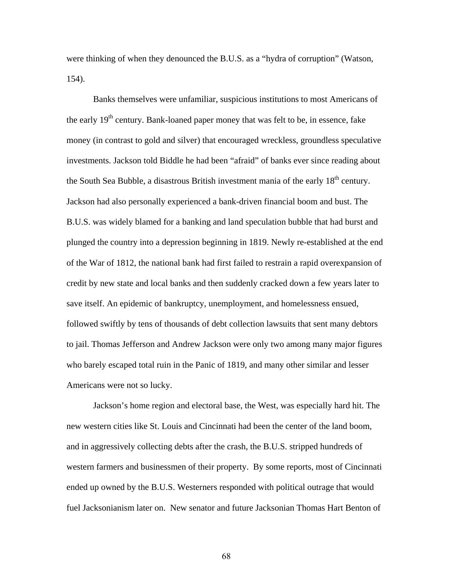were thinking of when they denounced the B.U.S. as a "hydra of corruption" (Watson, 154).

Banks themselves were unfamiliar, suspicious institutions to most Americans of the early  $19<sup>th</sup>$  century. Bank-loaned paper money that was felt to be, in essence, fake money (in contrast to gold and silver) that encouraged wreckless, groundless speculative investments. Jackson told Biddle he had been "afraid" of banks ever since reading about the South Sea Bubble, a disastrous British investment mania of the early  $18<sup>th</sup>$  century. Jackson had also personally experienced a bank-driven financial boom and bust. The B.U.S. was widely blamed for a banking and land speculation bubble that had burst and plunged the country into a depression beginning in 1819. Newly re-established at the end of the War of 1812, the national bank had first failed to restrain a rapid overexpansion of credit by new state and local banks and then suddenly cracked down a few years later to save itself. An epidemic of bankruptcy, unemployment, and homelessness ensued, followed swiftly by tens of thousands of debt collection lawsuits that sent many debtors to jail. Thomas Jefferson and Andrew Jackson were only two among many major figures who barely escaped total ruin in the Panic of 1819, and many other similar and lesser Americans were not so lucky.

Jackson's home region and electoral base, the West, was especially hard hit. The new western cities like St. Louis and Cincinnati had been the center of the land boom, and in aggressively collecting debts after the crash, the B.U.S. stripped hundreds of western farmers and businessmen of their property. By some reports, most of Cincinnati ended up owned by the B.U.S. Westerners responded with political outrage that would fuel Jacksonianism later on. New senator and future Jacksonian Thomas Hart Benton of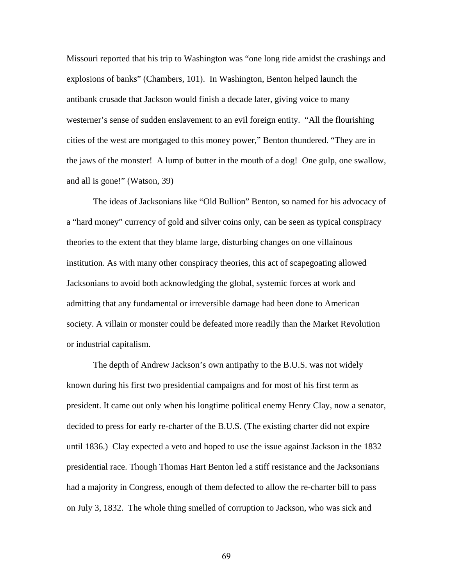Missouri reported that his trip to Washington was "one long ride amidst the crashings and explosions of banks" (Chambers, 101). In Washington, Benton helped launch the antibank crusade that Jackson would finish a decade later, giving voice to many westerner's sense of sudden enslavement to an evil foreign entity. "All the flourishing cities of the west are mortgaged to this money power," Benton thundered. "They are in the jaws of the monster! A lump of butter in the mouth of a dog! One gulp, one swallow, and all is gone!" (Watson, 39)

The ideas of Jacksonians like "Old Bullion" Benton, so named for his advocacy of a "hard money" currency of gold and silver coins only, can be seen as typical conspiracy theories to the extent that they blame large, disturbing changes on one villainous institution. As with many other conspiracy theories, this act of scapegoating allowed Jacksonians to avoid both acknowledging the global, systemic forces at work and admitting that any fundamental or irreversible damage had been done to American society. A villain or monster could be defeated more readily than the Market Revolution or industrial capitalism.

 The depth of Andrew Jackson's own antipathy to the B.U.S. was not widely known during his first two presidential campaigns and for most of his first term as president. It came out only when his longtime political enemy Henry Clay, now a senator, decided to press for early re-charter of the B.U.S. (The existing charter did not expire until 1836.) Clay expected a veto and hoped to use the issue against Jackson in the 1832 presidential race. Though Thomas Hart Benton led a stiff resistance and the Jacksonians had a majority in Congress, enough of them defected to allow the re-charter bill to pass on July 3, 1832. The whole thing smelled of corruption to Jackson, who was sick and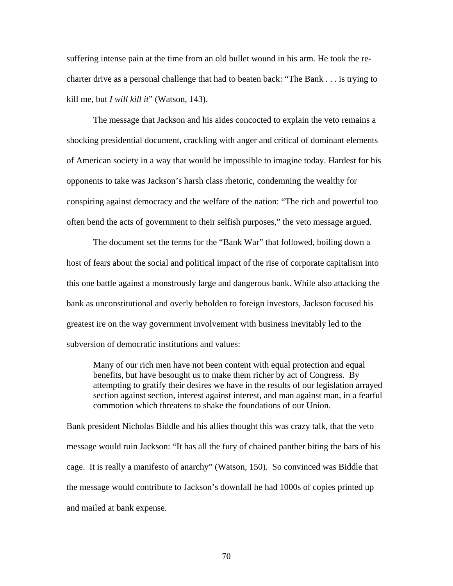suffering intense pain at the time from an old bullet wound in his arm. He took the recharter drive as a personal challenge that had to beaten back: "The Bank . . . is trying to kill me, but *I will kill it*" (Watson, 143).

The message that Jackson and his aides concocted to explain the veto remains a shocking presidential document, crackling with anger and critical of dominant elements of American society in a way that would be impossible to imagine today. Hardest for his opponents to take was Jackson's harsh class rhetoric, condemning the wealthy for conspiring against democracy and the welfare of the nation: "The rich and powerful too often bend the acts of government to their selfish purposes," the veto message argued.

The document set the terms for the "Bank War" that followed, boiling down a host of fears about the social and political impact of the rise of corporate capitalism into this one battle against a monstrously large and dangerous bank. While also attacking the bank as unconstitutional and overly beholden to foreign investors, Jackson focused his greatest ire on the way government involvement with business inevitably led to the subversion of democratic institutions and values:

Many of our rich men have not been content with equal protection and equal benefits, but have besought us to make them richer by act of Congress. By attempting to gratify their desires we have in the results of our legislation arrayed section against section, interest against interest, and man against man, in a fearful commotion which threatens to shake the foundations of our Union.

Bank president Nicholas Biddle and his allies thought this was crazy talk, that the veto message would ruin Jackson: "It has all the fury of chained panther biting the bars of his cage. It is really a manifesto of anarchy" (Watson, 150). So convinced was Biddle that the message would contribute to Jackson's downfall he had 1000s of copies printed up and mailed at bank expense.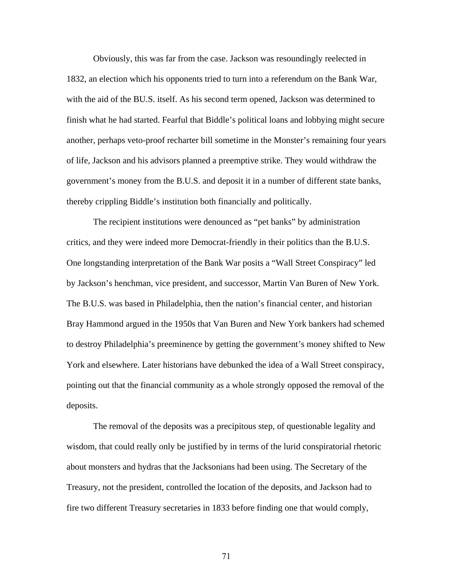Obviously, this was far from the case. Jackson was resoundingly reelected in 1832, an election which his opponents tried to turn into a referendum on the Bank War, with the aid of the BU.S. itself. As his second term opened, Jackson was determined to finish what he had started. Fearful that Biddle's political loans and lobbying might secure another, perhaps veto-proof recharter bill sometime in the Monster's remaining four years of life, Jackson and his advisors planned a preemptive strike. They would withdraw the government's money from the B.U.S. and deposit it in a number of different state banks, thereby crippling Biddle's institution both financially and politically.

The recipient institutions were denounced as "pet banks" by administration critics, and they were indeed more Democrat-friendly in their politics than the B.U.S. One longstanding interpretation of the Bank War posits a "Wall Street Conspiracy" led by Jackson's henchman, vice president, and successor, Martin Van Buren of New York. The B.U.S. was based in Philadelphia, then the nation's financial center, and historian Bray Hammond argued in the 1950s that Van Buren and New York bankers had schemed to destroy Philadelphia's preeminence by getting the government's money shifted to New York and elsewhere. Later historians have debunked the idea of a Wall Street conspiracy, pointing out that the financial community as a whole strongly opposed the removal of the deposits.

The removal of the deposits was a precipitous step, of questionable legality and wisdom, that could really only be justified by in terms of the lurid conspiratorial rhetoric about monsters and hydras that the Jacksonians had been using. The Secretary of the Treasury, not the president, controlled the location of the deposits, and Jackson had to fire two different Treasury secretaries in 1833 before finding one that would comply,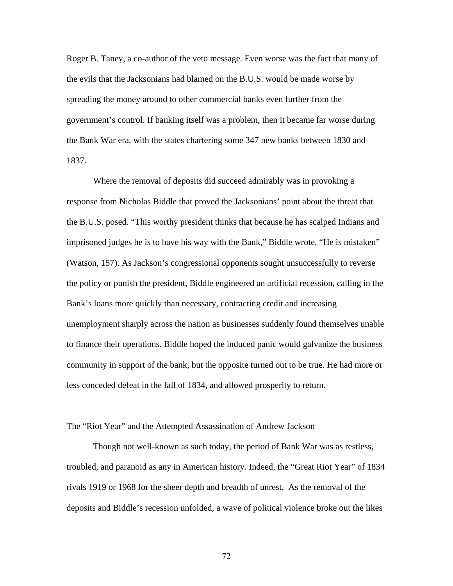Roger B. Taney, a co-author of the veto message. Even worse was the fact that many of the evils that the Jacksonians had blamed on the B.U.S. would be made worse by spreading the money around to other commercial banks even further from the government's control. If banking itself was a problem, then it became far worse during the Bank War era, with the states chartering some 347 new banks between 1830 and 1837.

Where the removal of deposits did succeed admirably was in provoking a response from Nicholas Biddle that proved the Jacksonians' point about the threat that the B.U.S. posed. "This worthy president thinks that because he has scalped Indians and imprisoned judges he is to have his way with the Bank," Biddle wrote, "He is mistaken" (Watson, 157). As Jackson's congressional opponents sought unsuccessfully to reverse the policy or punish the president, Biddle engineered an artificial recession, calling in the Bank's loans more quickly than necessary, contracting credit and increasing unemployment sharply across the nation as businesses suddenly found themselves unable to finance their operations. Biddle hoped the induced panic would galvanize the business community in support of the bank, but the opposite turned out to be true. He had more or less conceded defeat in the fall of 1834, and allowed prosperity to return.

The "Riot Year" and the Attempted Assassination of Andrew Jackson

 Though not well-known as such today, the period of Bank War was as restless, troubled, and paranoid as any in American history. Indeed, the "Great Riot Year" of 1834 rivals 1919 or 1968 for the sheer depth and breadth of unrest. As the removal of the deposits and Biddle's recession unfolded, a wave of political violence broke out the likes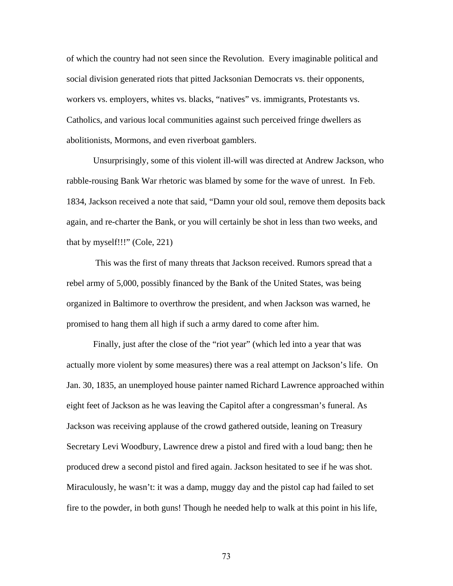of which the country had not seen since the Revolution. Every imaginable political and social division generated riots that pitted Jacksonian Democrats vs. their opponents, workers vs. employers, whites vs. blacks, "natives" vs. immigrants, Protestants vs. Catholics, and various local communities against such perceived fringe dwellers as abolitionists, Mormons, and even riverboat gamblers.

Unsurprisingly, some of this violent ill-will was directed at Andrew Jackson, who rabble-rousing Bank War rhetoric was blamed by some for the wave of unrest. In Feb. 1834, Jackson received a note that said, "Damn your old soul, remove them deposits back again, and re-charter the Bank, or you will certainly be shot in less than two weeks, and that by myself!!!" (Cole, 221)

 This was the first of many threats that Jackson received. Rumors spread that a rebel army of 5,000, possibly financed by the Bank of the United States, was being organized in Baltimore to overthrow the president, and when Jackson was warned, he promised to hang them all high if such a army dared to come after him.

Finally, just after the close of the "riot year" (which led into a year that was actually more violent by some measures) there was a real attempt on Jackson's life. On Jan. 30, 1835, an unemployed house painter named Richard Lawrence approached within eight feet of Jackson as he was leaving the Capitol after a congressman's funeral. As Jackson was receiving applause of the crowd gathered outside, leaning on Treasury Secretary Levi Woodbury, Lawrence drew a pistol and fired with a loud bang; then he produced drew a second pistol and fired again. Jackson hesitated to see if he was shot. Miraculously, he wasn't: it was a damp, muggy day and the pistol cap had failed to set fire to the powder, in both guns! Though he needed help to walk at this point in his life,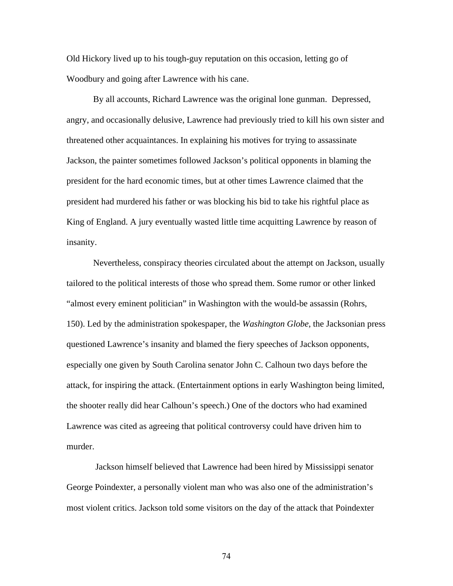Old Hickory lived up to his tough-guy reputation on this occasion, letting go of Woodbury and going after Lawrence with his cane.

By all accounts, Richard Lawrence was the original lone gunman. Depressed, angry, and occasionally delusive, Lawrence had previously tried to kill his own sister and threatened other acquaintances. In explaining his motives for trying to assassinate Jackson, the painter sometimes followed Jackson's political opponents in blaming the president for the hard economic times, but at other times Lawrence claimed that the president had murdered his father or was blocking his bid to take his rightful place as King of England. A jury eventually wasted little time acquitting Lawrence by reason of insanity.

Nevertheless, conspiracy theories circulated about the attempt on Jackson, usually tailored to the political interests of those who spread them. Some rumor or other linked "almost every eminent politician" in Washington with the would-be assassin (Rohrs, 150). Led by the administration spokespaper, the *Washington Globe*, the Jacksonian press questioned Lawrence's insanity and blamed the fiery speeches of Jackson opponents, especially one given by South Carolina senator John C. Calhoun two days before the attack, for inspiring the attack. (Entertainment options in early Washington being limited, the shooter really did hear Calhoun's speech.) One of the doctors who had examined Lawrence was cited as agreeing that political controversy could have driven him to murder.

 Jackson himself believed that Lawrence had been hired by Mississippi senator George Poindexter, a personally violent man who was also one of the administration's most violent critics. Jackson told some visitors on the day of the attack that Poindexter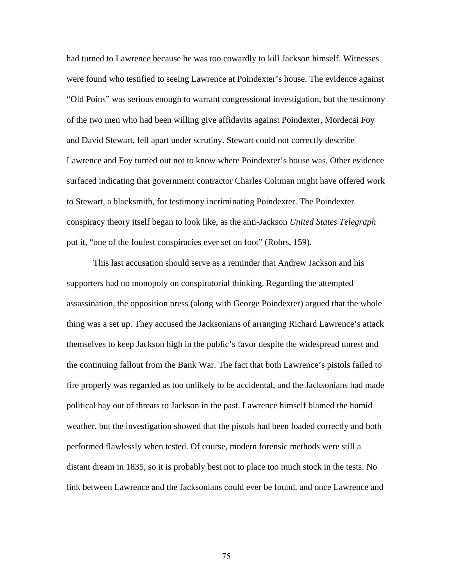had turned to Lawrence because he was too cowardly to kill Jackson himself. Witnesses were found who testified to seeing Lawrence at Poindexter's house. The evidence against "Old Poins" was serious enough to warrant congressional investigation, but the testimony of the two men who had been willing give affidavits against Poindexter, Mordecai Foy and David Stewart, fell apart under scrutiny. Stewart could not correctly describe Lawrence and Foy turned out not to know where Poindexter's house was. Other evidence surfaced indicating that government contractor Charles Coltman might have offered work to Stewart, a blacksmith, for testimony incriminating Poindexter. The Poindexter conspiracy theory itself began to look like, as the anti-Jackson *United States Telegraph* put it, "one of the foulest conspiracies ever set on foot" (Rohrs, 159).

 This last accusation should serve as a reminder that Andrew Jackson and his supporters had no monopoly on conspiratorial thinking. Regarding the attempted assassination, the opposition press (along with George Poindexter) argued that the whole thing was a set up. They accused the Jacksonians of arranging Richard Lawrence's attack themselves to keep Jackson high in the public's favor despite the widespread unrest and the continuing fallout from the Bank War. The fact that both Lawrence's pistols failed to fire properly was regarded as too unlikely to be accidental, and the Jacksonians had made political hay out of threats to Jackson in the past. Lawrence himself blamed the humid weather, but the investigation showed that the pistols had been loaded correctly and both performed flawlessly when tested. Of course, modern forensic methods were still a distant dream in 1835, so it is probably best not to place too much stock in the tests. No link between Lawrence and the Jacksonians could ever be found, and once Lawrence and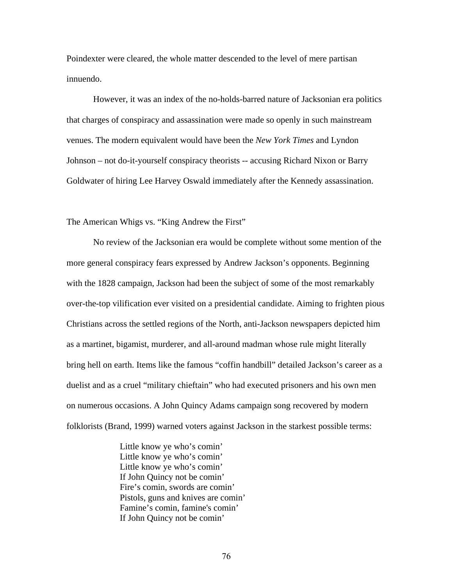Poindexter were cleared, the whole matter descended to the level of mere partisan innuendo.

However, it was an index of the no-holds-barred nature of Jacksonian era politics that charges of conspiracy and assassination were made so openly in such mainstream venues. The modern equivalent would have been the *New York Times* and Lyndon Johnson – not do-it-yourself conspiracy theorists -- accusing Richard Nixon or Barry Goldwater of hiring Lee Harvey Oswald immediately after the Kennedy assassination.

The American Whigs vs. "King Andrew the First"

 No review of the Jacksonian era would be complete without some mention of the more general conspiracy fears expressed by Andrew Jackson's opponents. Beginning with the 1828 campaign, Jackson had been the subject of some of the most remarkably over-the-top vilification ever visited on a presidential candidate. Aiming to frighten pious Christians across the settled regions of the North, anti-Jackson newspapers depicted him as a martinet, bigamist, murderer, and all-around madman whose rule might literally bring hell on earth. Items like the famous "coffin handbill" detailed Jackson's career as a duelist and as a cruel "military chieftain" who had executed prisoners and his own men on numerous occasions. A John Quincy Adams campaign song recovered by modern folklorists (Brand, 1999) warned voters against Jackson in the starkest possible terms:

> Little know ye who's comin' Little know ye who's comin' Little know ye who's comin' If John Quincy not be comin' Fire's comin, swords are comin' Pistols, guns and knives are comin' Famine's comin, famine's comin' If John Quincy not be comin'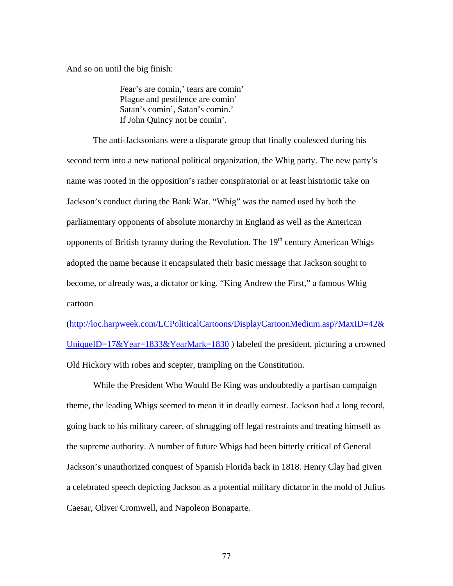And so on until the big finish:

Fear's are comin,' tears are comin' Plague and pestilence are comin' Satan's comin', Satan's comin.' If John Quincy not be comin'.

The anti-Jacksonians were a disparate group that finally coalesced during his second term into a new national political organization, the Whig party. The new party's name was rooted in the opposition's rather conspiratorial or at least histrionic take on Jackson's conduct during the Bank War. "Whig" was the named used by both the parliamentary opponents of absolute monarchy in England as well as the American opponents of British tyranny during the Revolution. The  $19<sup>th</sup>$  century American Whigs adopted the name because it encapsulated their basic message that Jackson sought to become, or already was, a dictator or king. "King Andrew the First," a famous Whig cartoon

(http://loc.harpweek.com/LCPoliticalCartoons/DisplayCartoonMedium.asp?MaxID=42& UniqueID= $17&Year=1833&YearMark=1830$  ) labeled the president, picturing a crowned Old Hickory with robes and scepter, trampling on the Constitution.

While the President Who Would Be King was undoubtedly a partisan campaign theme, the leading Whigs seemed to mean it in deadly earnest. Jackson had a long record, going back to his military career, of shrugging off legal restraints and treating himself as the supreme authority. A number of future Whigs had been bitterly critical of General Jackson's unauthorized conquest of Spanish Florida back in 1818. Henry Clay had given a celebrated speech depicting Jackson as a potential military dictator in the mold of Julius Caesar, Oliver Cromwell, and Napoleon Bonaparte.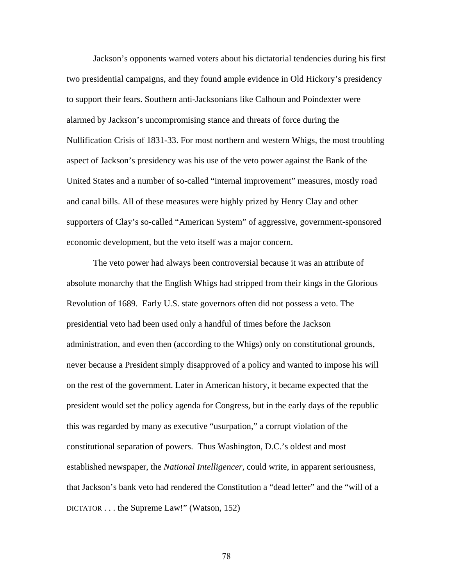Jackson's opponents warned voters about his dictatorial tendencies during his first two presidential campaigns, and they found ample evidence in Old Hickory's presidency to support their fears. Southern anti-Jacksonians like Calhoun and Poindexter were alarmed by Jackson's uncompromising stance and threats of force during the Nullification Crisis of 1831-33. For most northern and western Whigs, the most troubling aspect of Jackson's presidency was his use of the veto power against the Bank of the United States and a number of so-called "internal improvement" measures, mostly road and canal bills. All of these measures were highly prized by Henry Clay and other supporters of Clay's so-called "American System" of aggressive, government-sponsored economic development, but the veto itself was a major concern.

The veto power had always been controversial because it was an attribute of absolute monarchy that the English Whigs had stripped from their kings in the Glorious Revolution of 1689. Early U.S. state governors often did not possess a veto. The presidential veto had been used only a handful of times before the Jackson administration, and even then (according to the Whigs) only on constitutional grounds, never because a President simply disapproved of a policy and wanted to impose his will on the rest of the government. Later in American history, it became expected that the president would set the policy agenda for Congress, but in the early days of the republic this was regarded by many as executive "usurpation," a corrupt violation of the constitutional separation of powers. Thus Washington, D.C.'s oldest and most established newspaper, the *National Intelligencer*, could write, in apparent seriousness, that Jackson's bank veto had rendered the Constitution a "dead letter" and the "will of a DICTATOR . . . the Supreme Law!" (Watson, 152)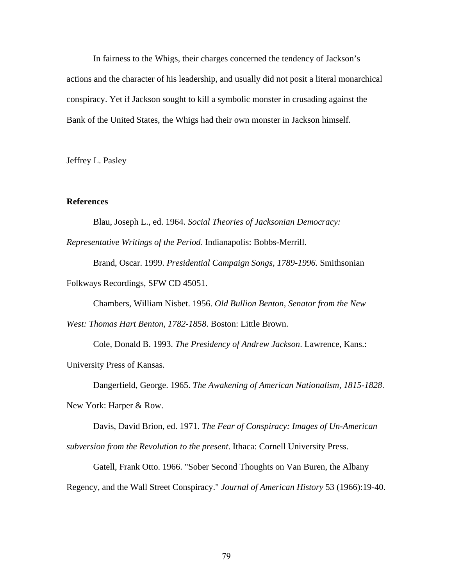In fairness to the Whigs, their charges concerned the tendency of Jackson's actions and the character of his leadership, and usually did not posit a literal monarchical conspiracy. Yet if Jackson sought to kill a symbolic monster in crusading against the Bank of the United States, the Whigs had their own monster in Jackson himself.

Jeffrey L. Pasley

# **References**

Blau, Joseph L., ed. 1964. *Social Theories of Jacksonian Democracy:* 

*Representative Writings of the Period*. Indianapolis: Bobbs-Merrill.

Brand, Oscar. 1999. *Presidential Campaign Songs, 1789-1996.* Smithsonian Folkways Recordings, SFW CD 45051.

Chambers, William Nisbet. 1956. *Old Bullion Benton, Senator from the New West: Thomas Hart Benton, 1782-1858*. Boston: Little Brown.

Cole, Donald B. 1993. *The Presidency of Andrew Jackson*. Lawrence, Kans.:

University Press of Kansas.

Dangerfield, George. 1965. *The Awakening of American Nationalism, 1815-1828*.

New York: Harper & Row.

Davis, David Brion, ed. 1971. *The Fear of Conspiracy: Images of Un-American subversion from the Revolution to the present*. Ithaca: Cornell University Press.

Gatell, Frank Otto. 1966. "Sober Second Thoughts on Van Buren, the Albany Regency, and the Wall Street Conspiracy." *Journal of American History* 53 (1966):19-40.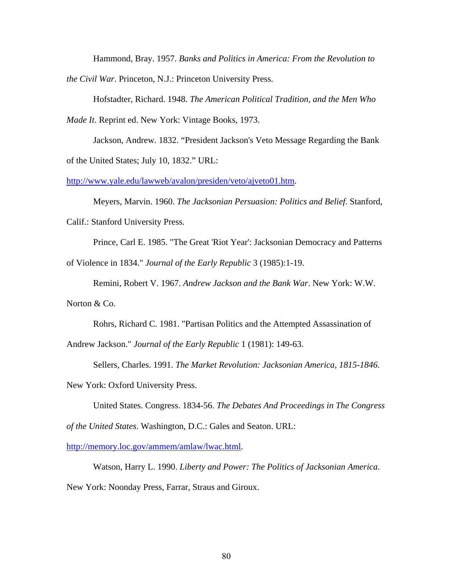Hammond, Bray. 1957. *Banks and Politics in America: From the Revolution to* 

*the Civil War*. Princeton, N.J.: Princeton University Press.

Hofstadter, Richard. 1948. *The American Political Tradition, and the Men Who Made It*. Reprint ed. New York: Vintage Books, 1973.

Jackson, Andrew. 1832. "President Jackson's Veto Message Regarding the Bank of the United States; July 10, 1832." URL:

http://www.yale.edu/lawweb/avalon/presiden/veto/ajveto01.htm.

Meyers, Marvin. 1960. *The Jacksonian Persuasion: Politics and Belief*. Stanford,

Calif.: Stanford University Press.

Prince, Carl E. 1985. "The Great 'Riot Year': Jacksonian Democracy and Patterns of Violence in 1834." *Journal of the Early Republic* 3 (1985):1-19.

Remini, Robert V. 1967. *Andrew Jackson and the Bank War*. New York: W.W.

Norton & Co.

Rohrs, Richard C. 1981. "Partisan Politics and the Attempted Assassination of Andrew Jackson." *Journal of the Early Republic* 1 (1981): 149-63.

Sellers, Charles. 1991. *The Market Revolution: Jacksonian America, 1815-1846*.

New York: Oxford University Press.

United States. Congress. 1834-56. *The Debates And Proceedings in The Congress of the United States*. Washington, D.C.: Gales and Seaton. URL:

http://memory.loc.gov/ammem/amlaw/lwac.html.

Watson, Harry L. 1990. *Liberty and Power: The Politics of Jacksonian America*. New York: Noonday Press, Farrar, Straus and Giroux.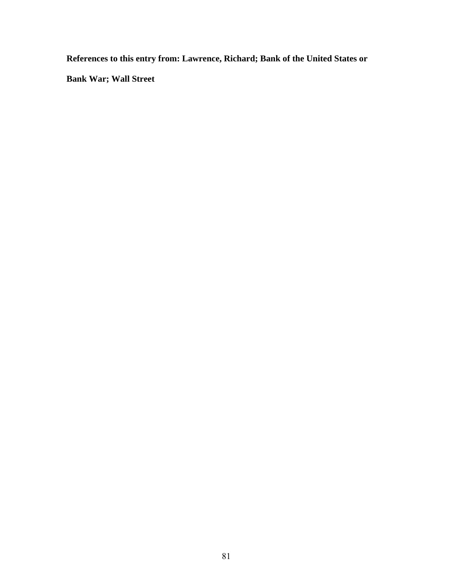**References to this entry from: Lawrence, Richard; Bank of the United States or** 

**Bank War; Wall Street**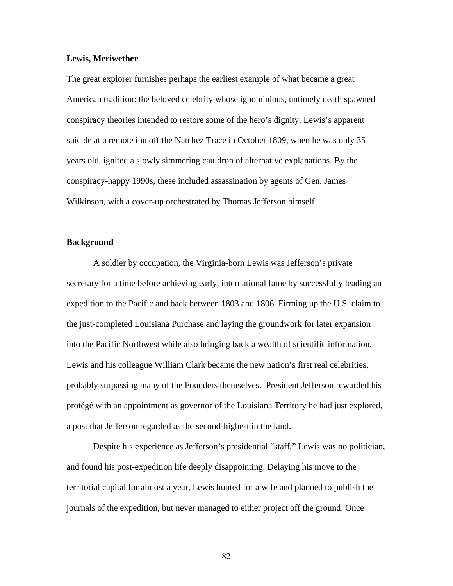#### **Lewis, Meriwether**

The great explorer furnishes perhaps the earliest example of what became a great American tradition: the beloved celebrity whose ignominious, untimely death spawned conspiracy theories intended to restore some of the hero's dignity. Lewis's apparent suicide at a remote inn off the Natchez Trace in October 1809, when he was only 35 years old, ignited a slowly simmering cauldron of alternative explanations. By the conspiracy-happy 1990s, these included assassination by agents of Gen. James Wilkinson, with a cover-up orchestrated by Thomas Jefferson himself.

#### **Background**

A soldier by occupation, the Virginia-born Lewis was Jefferson's private secretary for a time before achieving early, international fame by successfully leading an expedition to the Pacific and back between 1803 and 1806. Firming up the U.S. claim to the just-completed Louisiana Purchase and laying the groundwork for later expansion into the Pacific Northwest while also bringing back a wealth of scientific information, Lewis and his colleague William Clark became the new nation's first real celebrities, probably surpassing many of the Founders themselves. President Jefferson rewarded his protégé with an appointment as governor of the Louisiana Territory he had just explored, a post that Jefferson regarded as the second-highest in the land.

Despite his experience as Jefferson's presidential "staff," Lewis was no politician, and found his post-expedition life deeply disappointing. Delaying his move to the territorial capital for almost a year, Lewis hunted for a wife and planned to publish the journals of the expedition, but never managed to either project off the ground. Once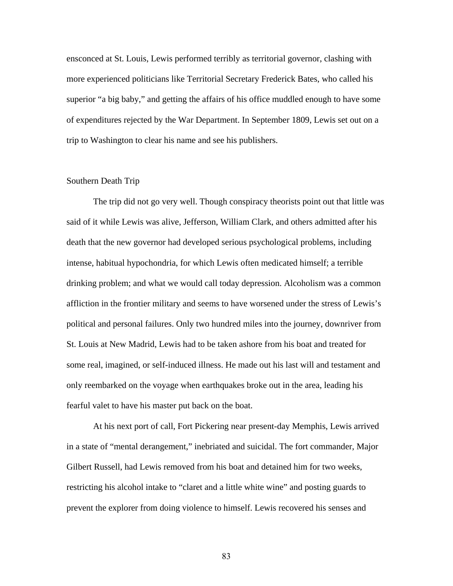ensconced at St. Louis, Lewis performed terribly as territorial governor, clashing with more experienced politicians like Territorial Secretary Frederick Bates, who called his superior "a big baby," and getting the affairs of his office muddled enough to have some of expenditures rejected by the War Department. In September 1809, Lewis set out on a trip to Washington to clear his name and see his publishers.

#### Southern Death Trip

The trip did not go very well. Though conspiracy theorists point out that little was said of it while Lewis was alive, Jefferson, William Clark, and others admitted after his death that the new governor had developed serious psychological problems, including intense, habitual hypochondria, for which Lewis often medicated himself; a terrible drinking problem; and what we would call today depression. Alcoholism was a common affliction in the frontier military and seems to have worsened under the stress of Lewis's political and personal failures. Only two hundred miles into the journey, downriver from St. Louis at New Madrid, Lewis had to be taken ashore from his boat and treated for some real, imagined, or self-induced illness. He made out his last will and testament and only reembarked on the voyage when earthquakes broke out in the area, leading his fearful valet to have his master put back on the boat.

At his next port of call, Fort Pickering near present-day Memphis, Lewis arrived in a state of "mental derangement," inebriated and suicidal. The fort commander, Major Gilbert Russell, had Lewis removed from his boat and detained him for two weeks, restricting his alcohol intake to "claret and a little white wine" and posting guards to prevent the explorer from doing violence to himself. Lewis recovered his senses and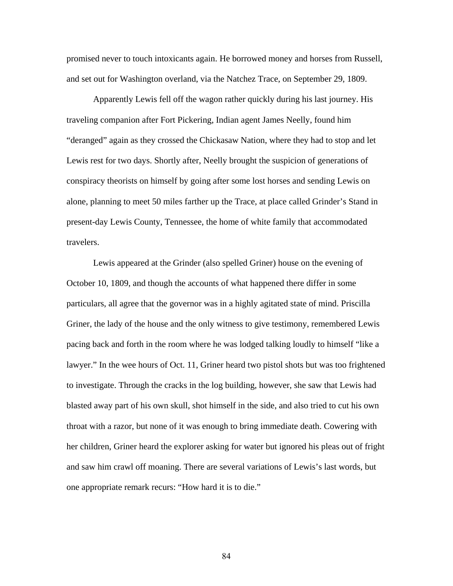promised never to touch intoxicants again. He borrowed money and horses from Russell, and set out for Washington overland, via the Natchez Trace, on September 29, 1809.

Apparently Lewis fell off the wagon rather quickly during his last journey. His traveling companion after Fort Pickering, Indian agent James Neelly, found him "deranged" again as they crossed the Chickasaw Nation, where they had to stop and let Lewis rest for two days. Shortly after, Neelly brought the suspicion of generations of conspiracy theorists on himself by going after some lost horses and sending Lewis on alone, planning to meet 50 miles farther up the Trace, at place called Grinder's Stand in present-day Lewis County, Tennessee, the home of white family that accommodated travelers.

Lewis appeared at the Grinder (also spelled Griner) house on the evening of October 10, 1809, and though the accounts of what happened there differ in some particulars, all agree that the governor was in a highly agitated state of mind. Priscilla Griner, the lady of the house and the only witness to give testimony, remembered Lewis pacing back and forth in the room where he was lodged talking loudly to himself "like a lawyer." In the wee hours of Oct. 11, Griner heard two pistol shots but was too frightened to investigate. Through the cracks in the log building, however, she saw that Lewis had blasted away part of his own skull, shot himself in the side, and also tried to cut his own throat with a razor, but none of it was enough to bring immediate death. Cowering with her children, Griner heard the explorer asking for water but ignored his pleas out of fright and saw him crawl off moaning. There are several variations of Lewis's last words, but one appropriate remark recurs: "How hard it is to die."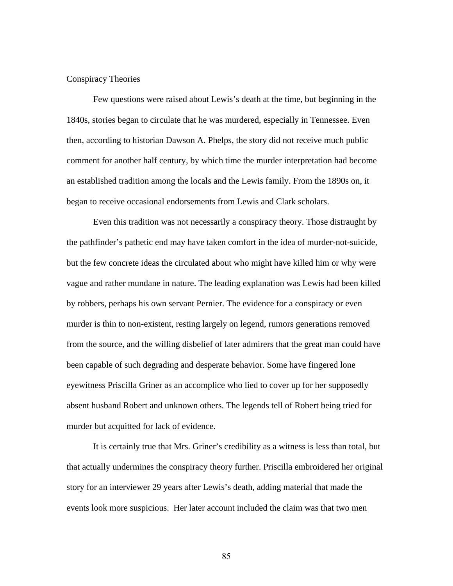## Conspiracy Theories

Few questions were raised about Lewis's death at the time, but beginning in the 1840s, stories began to circulate that he was murdered, especially in Tennessee. Even then, according to historian Dawson A. Phelps, the story did not receive much public comment for another half century, by which time the murder interpretation had become an established tradition among the locals and the Lewis family. From the 1890s on, it began to receive occasional endorsements from Lewis and Clark scholars.

Even this tradition was not necessarily a conspiracy theory. Those distraught by the pathfinder's pathetic end may have taken comfort in the idea of murder-not-suicide, but the few concrete ideas the circulated about who might have killed him or why were vague and rather mundane in nature. The leading explanation was Lewis had been killed by robbers, perhaps his own servant Pernier. The evidence for a conspiracy or even murder is thin to non-existent, resting largely on legend, rumors generations removed from the source, and the willing disbelief of later admirers that the great man could have been capable of such degrading and desperate behavior. Some have fingered lone eyewitness Priscilla Griner as an accomplice who lied to cover up for her supposedly absent husband Robert and unknown others. The legends tell of Robert being tried for murder but acquitted for lack of evidence.

It is certainly true that Mrs. Griner's credibility as a witness is less than total, but that actually undermines the conspiracy theory further. Priscilla embroidered her original story for an interviewer 29 years after Lewis's death, adding material that made the events look more suspicious. Her later account included the claim was that two men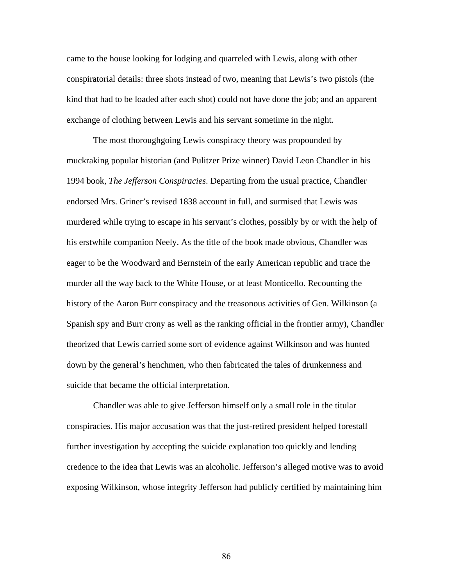came to the house looking for lodging and quarreled with Lewis, along with other conspiratorial details: three shots instead of two, meaning that Lewis's two pistols (the kind that had to be loaded after each shot) could not have done the job; and an apparent exchange of clothing between Lewis and his servant sometime in the night.

The most thoroughgoing Lewis conspiracy theory was propounded by muckraking popular historian (and Pulitzer Prize winner) David Leon Chandler in his 1994 book, *The Jefferson Conspiracies*. Departing from the usual practice, Chandler endorsed Mrs. Griner's revised 1838 account in full, and surmised that Lewis was murdered while trying to escape in his servant's clothes, possibly by or with the help of his erstwhile companion Neely. As the title of the book made obvious, Chandler was eager to be the Woodward and Bernstein of the early American republic and trace the murder all the way back to the White House, or at least Monticello. Recounting the history of the Aaron Burr conspiracy and the treasonous activities of Gen. Wilkinson (a Spanish spy and Burr crony as well as the ranking official in the frontier army), Chandler theorized that Lewis carried some sort of evidence against Wilkinson and was hunted down by the general's henchmen, who then fabricated the tales of drunkenness and suicide that became the official interpretation.

Chandler was able to give Jefferson himself only a small role in the titular conspiracies. His major accusation was that the just-retired president helped forestall further investigation by accepting the suicide explanation too quickly and lending credence to the idea that Lewis was an alcoholic. Jefferson's alleged motive was to avoid exposing Wilkinson, whose integrity Jefferson had publicly certified by maintaining him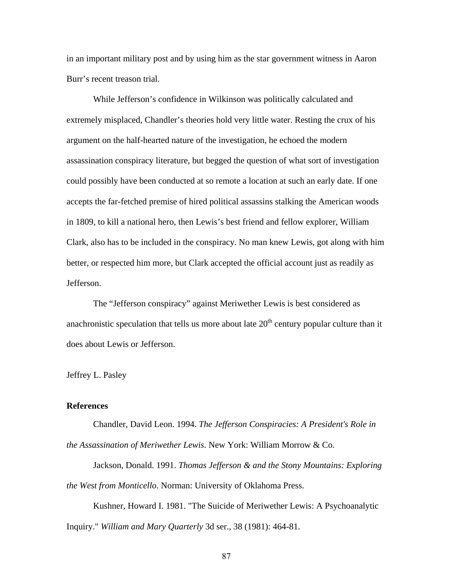in an important military post and by using him as the star government witness in Aaron Burr's recent treason trial.

While Jefferson's confidence in Wilkinson was politically calculated and extremely misplaced, Chandler's theories hold very little water. Resting the crux of his argument on the half-hearted nature of the investigation, he echoed the modern assassination conspiracy literature, but begged the question of what sort of investigation could possibly have been conducted at so remote a location at such an early date. If one accepts the far-fetched premise of hired political assassins stalking the American woods in 1809, to kill a national hero, then Lewis's best friend and fellow explorer, William Clark, also has to be included in the conspiracy. No man knew Lewis, got along with him better, or respected him more, but Clark accepted the official account just as readily as Jefferson.

The "Jefferson conspiracy" against Meriwether Lewis is best considered as anachronistic speculation that tells us more about late  $20<sup>th</sup>$  century popular culture than it does about Lewis or Jefferson.

## Jeffrey L. Pasley

#### **References**

Chandler, David Leon. 1994. *The Jefferson Conspiracies: A President's Role in the Assassination of Meriwether Lewis*. New York: William Morrow & Co.

Jackson, Donald. 1991. *Thomas Jefferson & and the Stony Mountains: Exploring the West from Monticello*. Norman: University of Oklahoma Press.

Kushner, Howard I. 1981. "The Suicide of Meriwether Lewis: A Psychoanalytic Inquiry." *William and Mary Quarterly* 3d ser., 38 (1981): 464-81.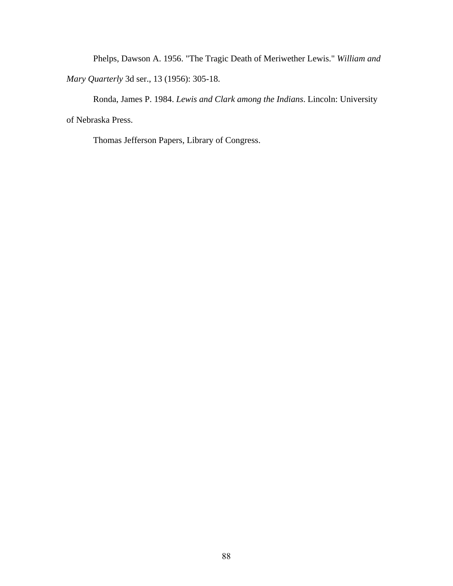Phelps, Dawson A. 1956. "The Tragic Death of Meriwether Lewis." *William and Mary Quarterly* 3d ser., 13 (1956): 305-18.

Ronda, James P. 1984. *Lewis and Clark among the Indians*. Lincoln: University of Nebraska Press.

Thomas Jefferson Papers, Library of Congress.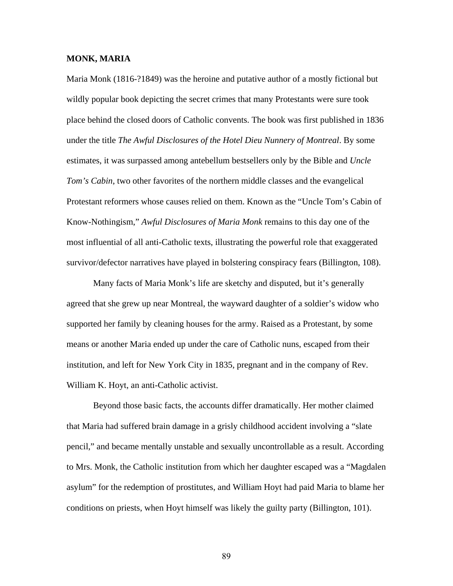# **MONK, MARIA**

Maria Monk (1816-?1849) was the heroine and putative author of a mostly fictional but wildly popular book depicting the secret crimes that many Protestants were sure took place behind the closed doors of Catholic convents. The book was first published in 1836 under the title *The Awful Disclosures of the Hotel Dieu Nunnery of Montreal*. By some estimates, it was surpassed among antebellum bestsellers only by the Bible and *Uncle Tom's Cabin*, two other favorites of the northern middle classes and the evangelical Protestant reformers whose causes relied on them. Known as the "Uncle Tom's Cabin of Know-Nothingism," *Awful Disclosures of Maria Monk* remains to this day one of the most influential of all anti-Catholic texts, illustrating the powerful role that exaggerated survivor/defector narratives have played in bolstering conspiracy fears (Billington, 108).

 Many facts of Maria Monk's life are sketchy and disputed, but it's generally agreed that she grew up near Montreal, the wayward daughter of a soldier's widow who supported her family by cleaning houses for the army. Raised as a Protestant, by some means or another Maria ended up under the care of Catholic nuns, escaped from their institution, and left for New York City in 1835, pregnant and in the company of Rev. William K. Hoyt, an anti-Catholic activist.

Beyond those basic facts, the accounts differ dramatically. Her mother claimed that Maria had suffered brain damage in a grisly childhood accident involving a "slate pencil," and became mentally unstable and sexually uncontrollable as a result. According to Mrs. Monk, the Catholic institution from which her daughter escaped was a "Magdalen asylum" for the redemption of prostitutes, and William Hoyt had paid Maria to blame her conditions on priests, when Hoyt himself was likely the guilty party (Billington, 101).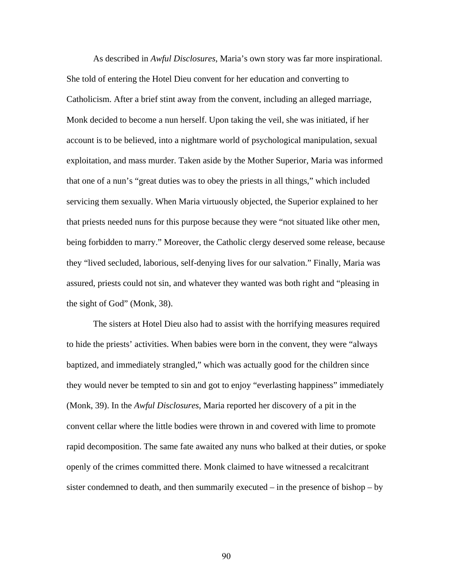As described in *Awful Disclosures*, Maria's own story was far more inspirational. She told of entering the Hotel Dieu convent for her education and converting to Catholicism. After a brief stint away from the convent, including an alleged marriage, Monk decided to become a nun herself. Upon taking the veil, she was initiated, if her account is to be believed, into a nightmare world of psychological manipulation, sexual exploitation, and mass murder. Taken aside by the Mother Superior, Maria was informed that one of a nun's "great duties was to obey the priests in all things," which included servicing them sexually. When Maria virtuously objected, the Superior explained to her that priests needed nuns for this purpose because they were "not situated like other men, being forbidden to marry." Moreover, the Catholic clergy deserved some release, because they "lived secluded, laborious, self-denying lives for our salvation." Finally, Maria was assured, priests could not sin, and whatever they wanted was both right and "pleasing in the sight of God" (Monk, 38).

The sisters at Hotel Dieu also had to assist with the horrifying measures required to hide the priests' activities. When babies were born in the convent, they were "always baptized, and immediately strangled," which was actually good for the children since they would never be tempted to sin and got to enjoy "everlasting happiness" immediately (Monk, 39). In the *Awful Disclosures*, Maria reported her discovery of a pit in the convent cellar where the little bodies were thrown in and covered with lime to promote rapid decomposition. The same fate awaited any nuns who balked at their duties, or spoke openly of the crimes committed there. Monk claimed to have witnessed a recalcitrant sister condemned to death, and then summarily executed – in the presence of bishop – by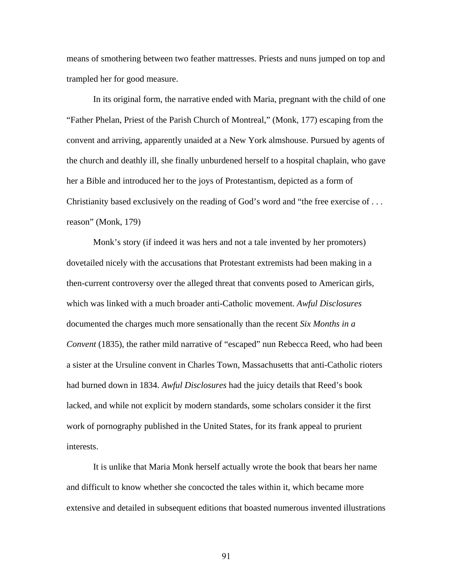means of smothering between two feather mattresses. Priests and nuns jumped on top and trampled her for good measure.

In its original form, the narrative ended with Maria, pregnant with the child of one "Father Phelan, Priest of the Parish Church of Montreal," (Monk, 177) escaping from the convent and arriving, apparently unaided at a New York almshouse. Pursued by agents of the church and deathly ill, she finally unburdened herself to a hospital chaplain, who gave her a Bible and introduced her to the joys of Protestantism, depicted as a form of Christianity based exclusively on the reading of God's word and "the free exercise of . . . reason" (Monk, 179)

Monk's story (if indeed it was hers and not a tale invented by her promoters) dovetailed nicely with the accusations that Protestant extremists had been making in a then-current controversy over the alleged threat that convents posed to American girls, which was linked with a much broader anti-Catholic movement. *Awful Disclosures*  documented the charges much more sensationally than the recent *Six Months in a Convent* (1835), the rather mild narrative of "escaped" nun Rebecca Reed, who had been a sister at the Ursuline convent in Charles Town, Massachusetts that anti-Catholic rioters had burned down in 1834. *Awful Disclosures* had the juicy details that Reed's book lacked, and while not explicit by modern standards, some scholars consider it the first work of pornography published in the United States, for its frank appeal to prurient interests.

 It is unlike that Maria Monk herself actually wrote the book that bears her name and difficult to know whether she concocted the tales within it, which became more extensive and detailed in subsequent editions that boasted numerous invented illustrations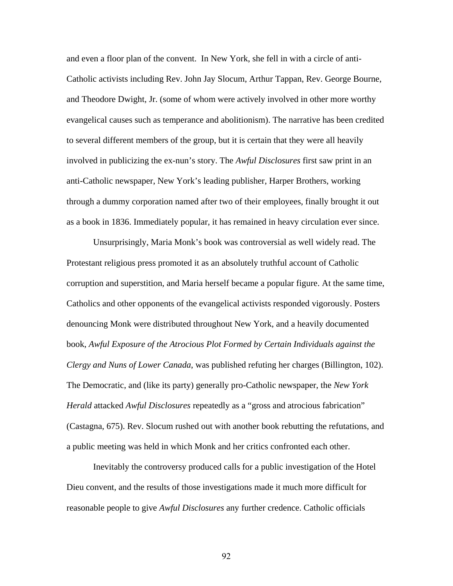and even a floor plan of the convent. In New York, she fell in with a circle of anti-Catholic activists including Rev. John Jay Slocum, Arthur Tappan, Rev. George Bourne, and Theodore Dwight, Jr. (some of whom were actively involved in other more worthy evangelical causes such as temperance and abolitionism). The narrative has been credited to several different members of the group, but it is certain that they were all heavily involved in publicizing the ex-nun's story. The *Awful Disclosures* first saw print in an anti-Catholic newspaper, New York's leading publisher, Harper Brothers, working through a dummy corporation named after two of their employees, finally brought it out as a book in 1836. Immediately popular, it has remained in heavy circulation ever since.

 Unsurprisingly, Maria Monk's book was controversial as well widely read. The Protestant religious press promoted it as an absolutely truthful account of Catholic corruption and superstition, and Maria herself became a popular figure. At the same time, Catholics and other opponents of the evangelical activists responded vigorously. Posters denouncing Monk were distributed throughout New York, and a heavily documented book, *Awful Exposure of the Atrocious Plot Formed by Certain Individuals against the Clergy and Nuns of Lower Canada*, was published refuting her charges (Billington, 102). The Democratic, and (like its party) generally pro-Catholic newspaper, the *New York Herald* attacked *Awful Disclosures* repeatedly as a "gross and atrocious fabrication" (Castagna, 675). Rev. Slocum rushed out with another book rebutting the refutations, and a public meeting was held in which Monk and her critics confronted each other.

Inevitably the controversy produced calls for a public investigation of the Hotel Dieu convent, and the results of those investigations made it much more difficult for reasonable people to give *Awful Disclosures* any further credence. Catholic officials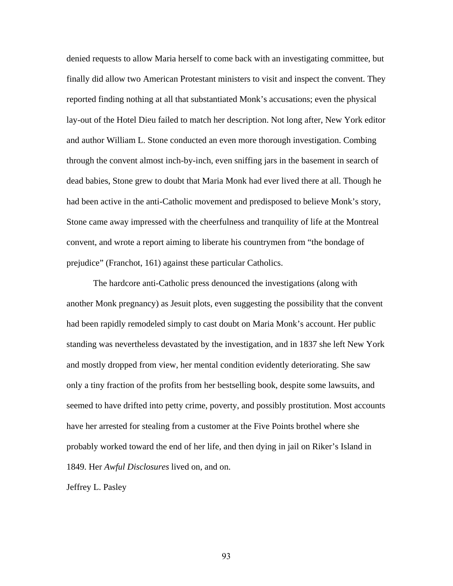denied requests to allow Maria herself to come back with an investigating committee, but finally did allow two American Protestant ministers to visit and inspect the convent. They reported finding nothing at all that substantiated Monk's accusations; even the physical lay-out of the Hotel Dieu failed to match her description. Not long after, New York editor and author William L. Stone conducted an even more thorough investigation. Combing through the convent almost inch-by-inch, even sniffing jars in the basement in search of dead babies, Stone grew to doubt that Maria Monk had ever lived there at all. Though he had been active in the anti-Catholic movement and predisposed to believe Monk's story, Stone came away impressed with the cheerfulness and tranquility of life at the Montreal convent, and wrote a report aiming to liberate his countrymen from "the bondage of prejudice" (Franchot, 161) against these particular Catholics.

The hardcore anti-Catholic press denounced the investigations (along with another Monk pregnancy) as Jesuit plots, even suggesting the possibility that the convent had been rapidly remodeled simply to cast doubt on Maria Monk's account. Her public standing was nevertheless devastated by the investigation, and in 1837 she left New York and mostly dropped from view, her mental condition evidently deteriorating. She saw only a tiny fraction of the profits from her bestselling book, despite some lawsuits, and seemed to have drifted into petty crime, poverty, and possibly prostitution. Most accounts have her arrested for stealing from a customer at the Five Points brothel where she probably worked toward the end of her life, and then dying in jail on Riker's Island in 1849. Her *Awful Disclosures* lived on, and on.

Jeffrey L. Pasley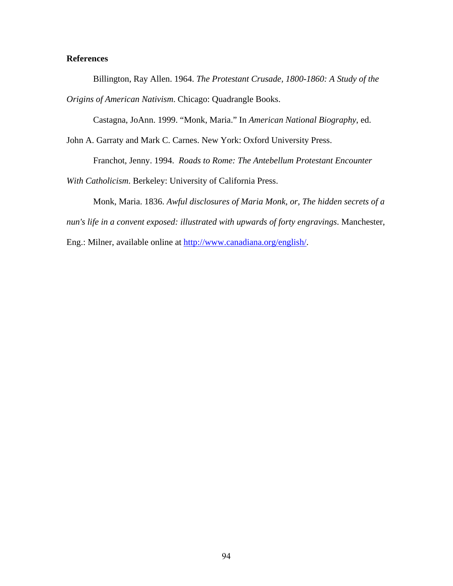# **References**

Billington, Ray Allen. 1964. *The Protestant Crusade, 1800-1860: A Study of the Origins of American Nativism*. Chicago: Quadrangle Books.

Castagna, JoAnn. 1999. "Monk, Maria." In *American National Biography*, ed.

John A. Garraty and Mark C. Carnes. New York: Oxford University Press.

Franchot, Jenny. 1994. *Roads to Rome: The Antebellum Protestant Encounter* 

*With Catholicism*. Berkeley: University of California Press.

Monk, Maria. 1836. *Awful disclosures of Maria Monk, or, The hidden secrets of a* 

*nun's life in a convent exposed: illustrated with upwards of forty engravings*. Manchester,

Eng.: Milner, available online at http://www.canadiana.org/english/.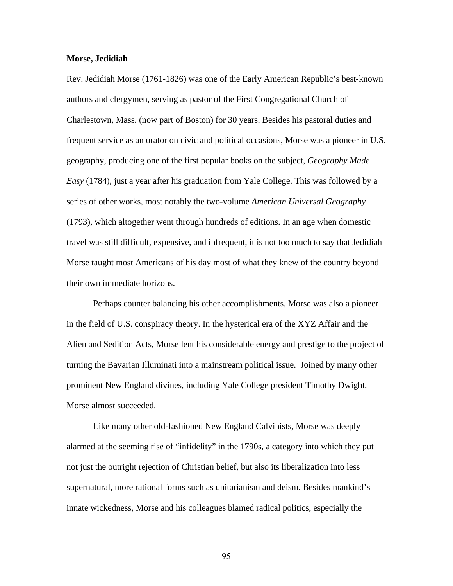## **Morse, Jedidiah**

Rev. Jedidiah Morse (1761-1826) was one of the Early American Republic's best-known authors and clergymen, serving as pastor of the First Congregational Church of Charlestown, Mass. (now part of Boston) for 30 years. Besides his pastoral duties and frequent service as an orator on civic and political occasions, Morse was a pioneer in U.S. geography, producing one of the first popular books on the subject, *Geography Made Easy* (1784), just a year after his graduation from Yale College. This was followed by a series of other works, most notably the two-volume *American Universal Geography* (1793), which altogether went through hundreds of editions. In an age when domestic travel was still difficult, expensive, and infrequent, it is not too much to say that Jedidiah Morse taught most Americans of his day most of what they knew of the country beyond their own immediate horizons.

Perhaps counter balancing his other accomplishments, Morse was also a pioneer in the field of U.S. conspiracy theory. In the hysterical era of the XYZ Affair and the Alien and Sedition Acts, Morse lent his considerable energy and prestige to the project of turning the Bavarian Illuminati into a mainstream political issue. Joined by many other prominent New England divines, including Yale College president Timothy Dwight, Morse almost succeeded.

 Like many other old-fashioned New England Calvinists, Morse was deeply alarmed at the seeming rise of "infidelity" in the 1790s, a category into which they put not just the outright rejection of Christian belief, but also its liberalization into less supernatural, more rational forms such as unitarianism and deism. Besides mankind's innate wickedness, Morse and his colleagues blamed radical politics, especially the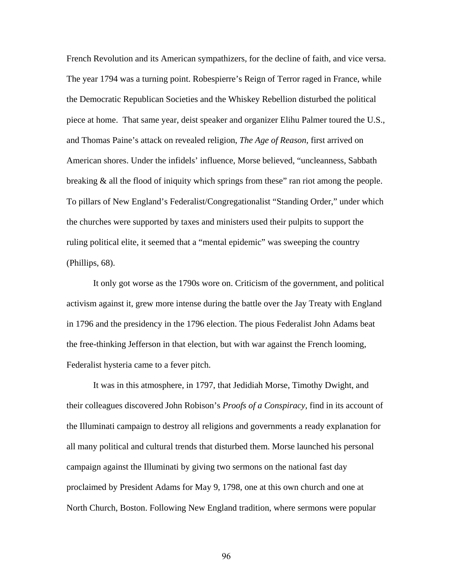French Revolution and its American sympathizers, for the decline of faith, and vice versa. The year 1794 was a turning point. Robespierre's Reign of Terror raged in France, while the Democratic Republican Societies and the Whiskey Rebellion disturbed the political piece at home. That same year, deist speaker and organizer Elihu Palmer toured the U.S., and Thomas Paine's attack on revealed religion, *The Age of Reason*, first arrived on American shores. Under the infidels' influence, Morse believed, "uncleanness, Sabbath breaking & all the flood of iniquity which springs from these" ran riot among the people. To pillars of New England's Federalist/Congregationalist "Standing Order," under which the churches were supported by taxes and ministers used their pulpits to support the ruling political elite, it seemed that a "mental epidemic" was sweeping the country (Phillips, 68).

 It only got worse as the 1790s wore on. Criticism of the government, and political activism against it, grew more intense during the battle over the Jay Treaty with England in 1796 and the presidency in the 1796 election. The pious Federalist John Adams beat the free-thinking Jefferson in that election, but with war against the French looming, Federalist hysteria came to a fever pitch.

It was in this atmosphere, in 1797, that Jedidiah Morse, Timothy Dwight, and their colleagues discovered John Robison's *Proofs of a Conspiracy*, find in its account of the Illuminati campaign to destroy all religions and governments a ready explanation for all many political and cultural trends that disturbed them. Morse launched his personal campaign against the Illuminati by giving two sermons on the national fast day proclaimed by President Adams for May 9, 1798, one at this own church and one at North Church, Boston. Following New England tradition, where sermons were popular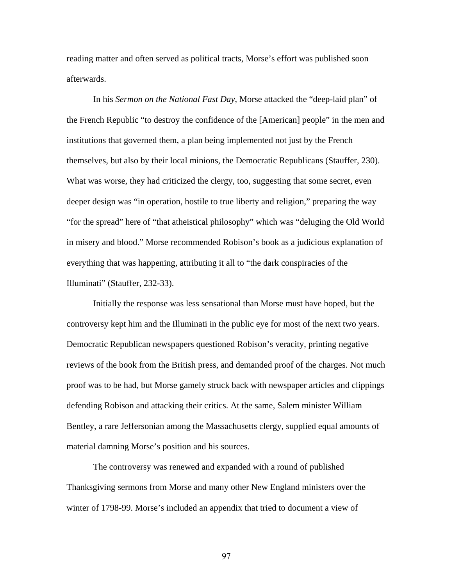reading matter and often served as political tracts, Morse's effort was published soon afterwards.

In his *Sermon on the National Fast Day*, Morse attacked the "deep-laid plan" of the French Republic "to destroy the confidence of the [American] people" in the men and institutions that governed them, a plan being implemented not just by the French themselves, but also by their local minions, the Democratic Republicans (Stauffer, 230). What was worse, they had criticized the clergy, too, suggesting that some secret, even deeper design was "in operation, hostile to true liberty and religion," preparing the way "for the spread" here of "that atheistical philosophy" which was "deluging the Old World in misery and blood." Morse recommended Robison's book as a judicious explanation of everything that was happening, attributing it all to "the dark conspiracies of the Illuminati" (Stauffer, 232-33).

 Initially the response was less sensational than Morse must have hoped, but the controversy kept him and the Illuminati in the public eye for most of the next two years. Democratic Republican newspapers questioned Robison's veracity, printing negative reviews of the book from the British press, and demanded proof of the charges. Not much proof was to be had, but Morse gamely struck back with newspaper articles and clippings defending Robison and attacking their critics. At the same, Salem minister William Bentley, a rare Jeffersonian among the Massachusetts clergy, supplied equal amounts of material damning Morse's position and his sources.

The controversy was renewed and expanded with a round of published Thanksgiving sermons from Morse and many other New England ministers over the winter of 1798-99. Morse's included an appendix that tried to document a view of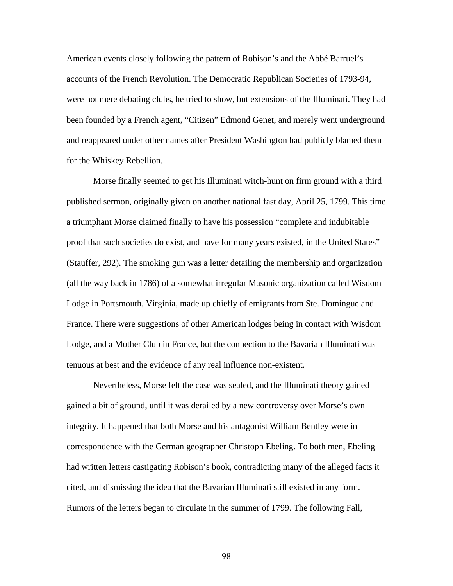American events closely following the pattern of Robison's and the Abbé Barruel's accounts of the French Revolution. The Democratic Republican Societies of 1793-94, were not mere debating clubs, he tried to show, but extensions of the Illuminati. They had been founded by a French agent, "Citizen" Edmond Genet, and merely went underground and reappeared under other names after President Washington had publicly blamed them for the Whiskey Rebellion.

 Morse finally seemed to get his Illuminati witch-hunt on firm ground with a third published sermon, originally given on another national fast day, April 25, 1799. This time a triumphant Morse claimed finally to have his possession "complete and indubitable proof that such societies do exist, and have for many years existed, in the United States" (Stauffer, 292). The smoking gun was a letter detailing the membership and organization (all the way back in 1786) of a somewhat irregular Masonic organization called Wisdom Lodge in Portsmouth, Virginia, made up chiefly of emigrants from Ste. Domingue and France. There were suggestions of other American lodges being in contact with Wisdom Lodge, and a Mother Club in France, but the connection to the Bavarian Illuminati was tenuous at best and the evidence of any real influence non-existent.

 Nevertheless, Morse felt the case was sealed, and the Illuminati theory gained gained a bit of ground, until it was derailed by a new controversy over Morse's own integrity. It happened that both Morse and his antagonist William Bentley were in correspondence with the German geographer Christoph Ebeling. To both men, Ebeling had written letters castigating Robison's book, contradicting many of the alleged facts it cited, and dismissing the idea that the Bavarian Illuminati still existed in any form. Rumors of the letters began to circulate in the summer of 1799. The following Fall,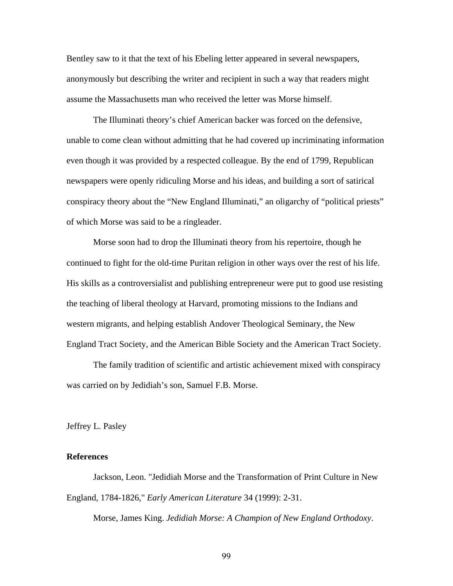Bentley saw to it that the text of his Ebeling letter appeared in several newspapers, anonymously but describing the writer and recipient in such a way that readers might assume the Massachusetts man who received the letter was Morse himself.

The Illuminati theory's chief American backer was forced on the defensive, unable to come clean without admitting that he had covered up incriminating information even though it was provided by a respected colleague. By the end of 1799, Republican newspapers were openly ridiculing Morse and his ideas, and building a sort of satirical conspiracy theory about the "New England Illuminati," an oligarchy of "political priests" of which Morse was said to be a ringleader.

Morse soon had to drop the Illuminati theory from his repertoire, though he continued to fight for the old-time Puritan religion in other ways over the rest of his life. His skills as a controversialist and publishing entrepreneur were put to good use resisting the teaching of liberal theology at Harvard, promoting missions to the Indians and western migrants, and helping establish Andover Theological Seminary, the New England Tract Society, and the American Bible Society and the American Tract Society.

The family tradition of scientific and artistic achievement mixed with conspiracy was carried on by Jedidiah's son, Samuel F.B. Morse.

Jeffrey L. Pasley

# **References**

Jackson, Leon. "Jedidiah Morse and the Transformation of Print Culture in New England, 1784-1826," *Early American Literature* 34 (1999): 2-31.

Morse, James King. *Jedidiah Morse: A Champion of New England Orthodoxy*.